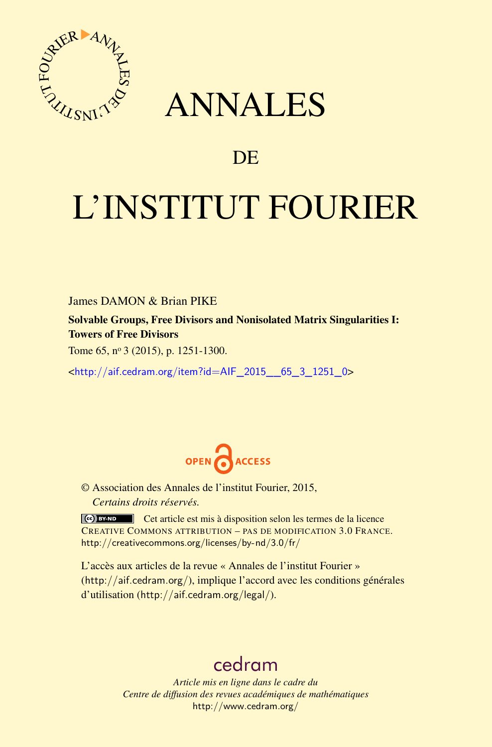

## ANNALES

### **DE**

# L'INSTITUT FOURIER

James DAMON & Brian PIKE

Solvable Groups, Free Divisors and Nonisolated Matrix Singularities I: Towers of Free Divisors

Tome 65, nº 3 (2015), p. 1251-1300.

<[http://aif.cedram.org/item?id=AIF\\_2015\\_\\_65\\_3\\_1251\\_0](http://aif.cedram.org/item?id=AIF_2015__65_3_1251_0)>



© Association des Annales de l'institut Fourier, 2015, *Certains droits réservés.*

Cet article est mis à disposition selon les termes de la licence CREATIVE COMMONS ATTRIBUTION – PAS DE MODIFICATION 3.0 FRANCE. <http://creativecommons.org/licenses/by-nd/3.0/fr/>

L'accès aux articles de la revue « Annales de l'institut Fourier » (<http://aif.cedram.org/>), implique l'accord avec les conditions générales d'utilisation (<http://aif.cedram.org/legal/>).

## [cedram](http://www.cedram.org/)

*Article mis en ligne dans le cadre du Centre de diffusion des revues académiques de mathématiques* <http://www.cedram.org/>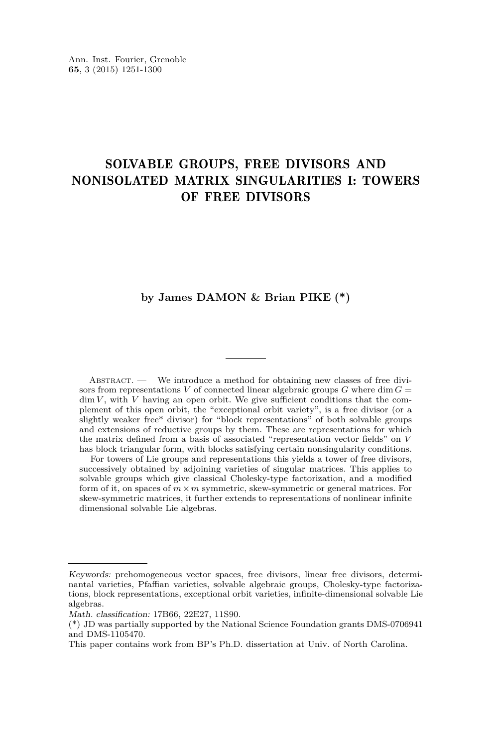#### SOLVABLE GROUPS, FREE DIVISORS AND NONISOLATED MATRIX SINGULARITIES I: TOWERS OF FREE DIVISORS

#### **by James DAMON & Brian PIKE (\*)**

ABSTRACT. — We introduce a method for obtaining new classes of free divisors from representations *V* of connected linear algebraic groups  $G$  where dim  $G =$  $\dim V$ , with *V* having an open orbit. We give sufficient conditions that the complement of this open orbit, the "exceptional orbit variety", is a free divisor (or a slightly weaker free\* divisor) for "block representations" of both solvable groups and extensions of reductive groups by them. These are representations for which the matrix defined from a basis of associated "representation vector fields" on *V* has block triangular form, with blocks satisfying certain nonsingularity conditions.

For towers of Lie groups and representations this yields a tower of free divisors, successively obtained by adjoining varieties of singular matrices. This applies to solvable groups which give classical Cholesky-type factorization, and a modified form of it, on spaces of  $m \times m$  symmetric, skew-symmetric or general matrices. For skew-symmetric matrices, it further extends to representations of nonlinear infinite dimensional solvable Lie algebras.

Keywords: prehomogeneous vector spaces, free divisors, linear free divisors, determinantal varieties, Pfaffian varieties, solvable algebraic groups, Cholesky-type factorizations, block representations, exceptional orbit varieties, infinite-dimensional solvable Lie algebras.

Math. classification: 17B66, 22E27, 11S90.

<sup>(\*)</sup> JD was partially supported by the National Science Foundation grants DMS-0706941 and DMS-1105470.

This paper contains work from BP's Ph.D. dissertation at Univ. of North Carolina.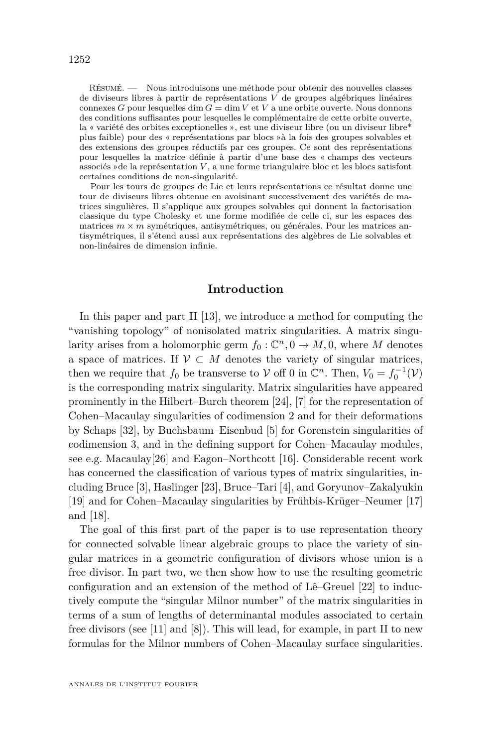Résumé. — Nous introduisons une méthode pour obtenir des nouvelles classes de diviseurs libres à partir de représentations *V* de groupes algébriques linéaires connexes *G* pour lesquelles dim  $G = \dim V$  et *V* a une orbite ouverte. Nous donnons des conditions suffisantes pour lesquelles le complémentaire de cette orbite ouverte, la « variété des orbites exceptionelles », est une diviseur libre (ou un diviseur libre\* plus faible) pour des « représentations par blocs »à la fois des groupes solvables et des extensions des groupes réductifs par ces groupes. Ce sont des représentations pour lesquelles la matrice définie à partir d'une base des « champs des vecteurs associés »de la représentation *V* , a une forme triangulaire bloc et les blocs satisfont certaines conditions de non-singularité.

Pour les tours de groupes de Lie et leurs représentations ce résultat donne une tour de diviseurs libres obtenue en avoisinant successivement des variétés de matrices singulières. Il s'applique aux groupes solvables qui donnent la factorisation classique du type Cholesky et une forme modifiée de celle ci, sur les espaces des matrices  $m \times m$  symétriques, antisymétriques, ou générales. Pour les matrices antisymétriques, il s'étend aussi aux représentations des algèbres de Lie solvables et non-linéaires de dimension infinie.

#### **Introduction**

In this paper and part II [\[13\]](#page-48-0), we introduce a method for computing the "vanishing topology" of nonisolated matrix singularities. A matrix singularity arises from a holomorphic germ  $f_0: \mathbb{C}^n, 0 \to M, 0$ , where M denotes a space of matrices. If  $V \subset M$  denotes the variety of singular matrices, then we require that  $f_0$  be transverse to  $V$  off 0 in  $\mathbb{C}^n$ . Then,  $V_0 = f_0^{-1}(V)$ is the corresponding matrix singularity. Matrix singularities have appeared prominently in the Hilbert–Burch theorem [\[24\]](#page-49-0), [\[7\]](#page-48-0) for the representation of Cohen–Macaulay singularities of codimension 2 and for their deformations by Schaps [\[32\]](#page-49-0), by Buchsbaum–Eisenbud [\[5\]](#page-48-0) for Gorenstein singularities of codimension 3, and in the defining support for Cohen–Macaulay modules, see e.g. Macaulay[\[26\]](#page-49-0) and Eagon–Northcott [\[16\]](#page-49-0). Considerable recent work has concerned the classification of various types of matrix singularities, including Bruce [\[3\]](#page-48-0), Haslinger [\[23\]](#page-49-0), Bruce–Tari [\[4\]](#page-48-0), and Goryunov–Zakalyukin [\[19\]](#page-49-0) and for Cohen–Macaulay singularities by Frühbis-Krüger–Neumer [\[17\]](#page-49-0) and [\[18\]](#page-49-0).

The goal of this first part of the paper is to use representation theory for connected solvable linear algebraic groups to place the variety of singular matrices in a geometric configuration of divisors whose union is a free divisor. In part two, we then show how to use the resulting geometric configuration and an extension of the method of Lê–Greuel [\[22\]](#page-49-0) to inductively compute the "singular Milnor number" of the matrix singularities in terms of a sum of lengths of determinantal modules associated to certain free divisors (see [\[11\]](#page-48-0) and [\[8\]](#page-48-0)). This will lead, for example, in part II to new formulas for the Milnor numbers of Cohen–Macaulay surface singularities.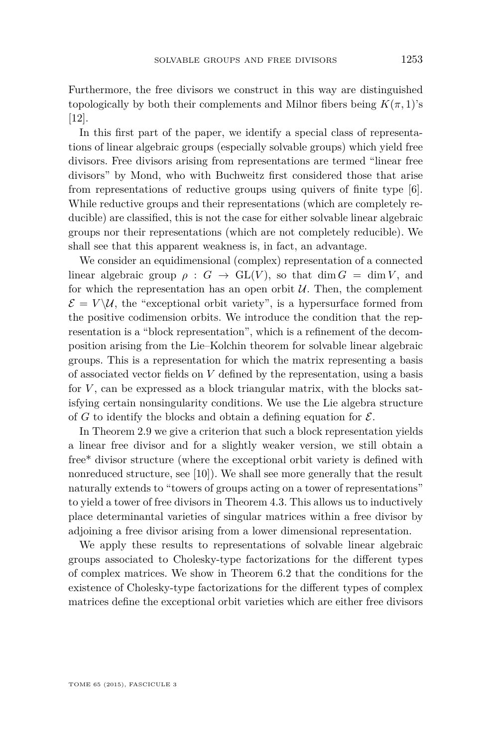Furthermore, the free divisors we construct in this way are distinguished topologically by both their complements and Milnor fibers being  $K(\pi, 1)$ 's [\[12\]](#page-48-0).

In this first part of the paper, we identify a special class of representations of linear algebraic groups (especially solvable groups) which yield free divisors. Free divisors arising from representations are termed "linear free divisors" by Mond, who with Buchweitz first considered those that arise from representations of reductive groups using quivers of finite type [\[6\]](#page-48-0). While reductive groups and their representations (which are completely reducible) are classified, this is not the case for either solvable linear algebraic groups nor their representations (which are not completely reducible). We shall see that this apparent weakness is, in fact, an advantage.

We consider an equidimensional (complex) representation of a connected linear algebraic group  $\rho : G \to GL(V)$ , so that dim  $G = \dim V$ , and for which the representation has an open orbit  $U$ . Then, the complement  $\mathcal{E} = V \backslash U$ , the "exceptional orbit variety", is a hypersurface formed from the positive codimension orbits. We introduce the condition that the representation is a "block representation", which is a refinement of the decomposition arising from the Lie–Kolchin theorem for solvable linear algebraic groups. This is a representation for which the matrix representing a basis of associated vector fields on *V* defined by the representation, using a basis for *V* , can be expressed as a block triangular matrix, with the blocks satisfying certain nonsingularity conditions. We use the Lie algebra structure of  $G$  to identify the blocks and obtain a defining equation for  $\mathcal{E}$ .

In Theorem [2.9](#page-13-0) we give a criterion that such a block representation yields a linear free divisor and for a slightly weaker version, we still obtain a free\* divisor structure (where the exceptional orbit variety is defined with nonreduced structure, see [\[10\]](#page-48-0)). We shall see more generally that the result naturally extends to "towers of groups acting on a tower of representations" to yield a tower of free divisors in Theorem [4.3.](#page-20-0) This allows us to inductively place determinantal varieties of singular matrices within a free divisor by adjoining a free divisor arising from a lower dimensional representation.

We apply these results to representations of solvable linear algebraic groups associated to Cholesky-type factorizations for the different types of complex matrices. We show in Theorem [6.2](#page-30-0) that the conditions for the existence of Cholesky-type factorizations for the different types of complex matrices define the exceptional orbit varieties which are either free divisors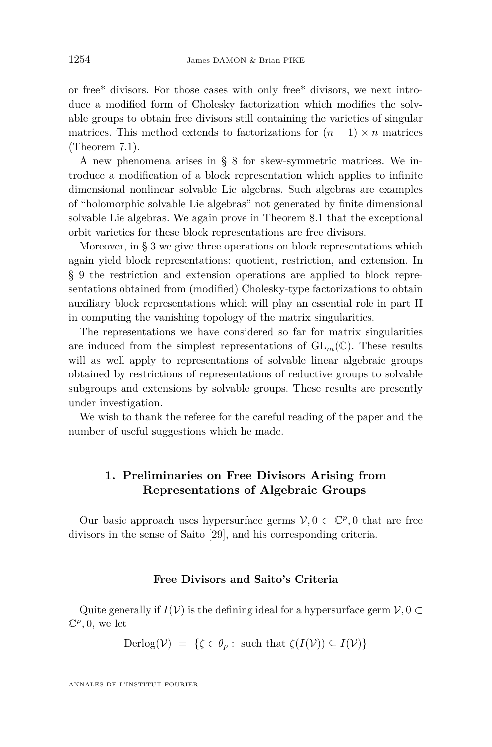or free\* divisors. For those cases with only free\* divisors, we next introduce a modified form of Cholesky factorization which modifies the solvable groups to obtain free divisors still containing the varieties of singular matrices. This method extends to factorizations for  $(n-1) \times n$  matrices (Theorem [7.1\)](#page-35-0).

A new phenomena arises in § [8](#page-37-0) for skew-symmetric matrices. We introduce a modification of a block representation which applies to infinite dimensional nonlinear solvable Lie algebras. Such algebras are examples of "holomorphic solvable Lie algebras" not generated by finite dimensional solvable Lie algebras. We again prove in Theorem [8.1](#page-39-0) that the exceptional orbit varieties for these block representations are free divisors.

Moreover, in § [3](#page-15-0) we give three operations on block representations which again yield block representations: quotient, restriction, and extension. In § [9](#page-43-0) the restriction and extension operations are applied to block representations obtained from (modified) Cholesky-type factorizations to obtain auxiliary block representations which will play an essential role in part II in computing the vanishing topology of the matrix singularities.

The representations we have considered so far for matrix singularities are induced from the simplest representations of  $GL_m(\mathbb{C})$ . These results will as well apply to representations of solvable linear algebraic groups obtained by restrictions of representations of reductive groups to solvable subgroups and extensions by solvable groups. These results are presently under investigation.

We wish to thank the referee for the careful reading of the paper and the number of useful suggestions which he made.

#### **1. Preliminaries on Free Divisors Arising from Representations of Algebraic Groups**

Our basic approach uses hypersurface germs  $V, 0 \subset \mathbb{C}^p, 0$  that are free divisors in the sense of Saito [\[29\]](#page-49-0), and his corresponding criteria.

#### **Free Divisors and Saito's Criteria**

Quite generally if  $I(V)$  is the defining ideal for a hypersurface germ  $V, 0 \subset$  $\mathbb{C}^p, 0$ , we let

 $Derlog(\mathcal{V}) = \{ \zeta \in \theta_p : \text{ such that } \zeta(I(\mathcal{V})) \subseteq I(\mathcal{V}) \}$ 

ANNALES DE L'INSTITUT FOURIER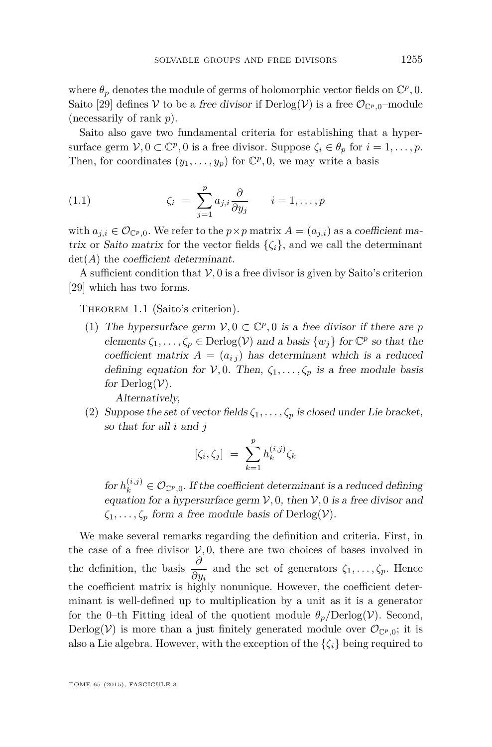<span id="page-5-0"></span>where  $\theta_p$  denotes the module of germs of holomorphic vector fields on  $\mathbb{C}^p$ , 0. Saito [\[29\]](#page-49-0) defines V to be a free divisor if  $Derlog(V)$  is a free  $\mathcal{O}_{\mathbb{C}^p,0}$ -module (necessarily of rank *p*).

Saito also gave two fundamental criteria for establishing that a hypersurface germ  $V, 0 \subset \mathbb{C}^p, 0$  is a free divisor. Suppose  $\zeta_i \in \theta_p$  for  $i = 1, \ldots, p$ . Then, for coordinates  $(y_1, \ldots, y_p)$  for  $\mathbb{C}^p$ , 0, we may write a basis

(1.1) 
$$
\zeta_i = \sum_{j=1}^p a_{j,i} \frac{\partial}{\partial y_j} \qquad i = 1, \dots, p
$$

with  $a_{j,i} \in \mathcal{O}_{\mathbb{C}^p,0}$ . We refer to the  $p \times p$  matrix  $A = (a_{j,i})$  as a coefficient matrix or Saito matrix for the vector fields  $\{\zeta_i\}$ , and we call the determinant det(*A*) the coefficient determinant.

A sufficient condition that  $V$ , 0 is a free divisor is given by Saito's criterion [\[29\]](#page-49-0) which has two forms.

THEOREM 1.1 (Saito's criterion).

(1) The hypersurface germ  $V, 0 \subset \mathbb{C}^p, 0$  is a free divisor if there are p elements  $\zeta_1, \ldots, \zeta_p \in \text{Derlog}(\mathcal{V})$  and a basis  $\{w_j\}$  for  $\mathbb{C}^p$  so that the coefficient matrix  $A = (a_{ij})$  has determinant which is a reduced defining equation for  $V$ , 0. Then,  $\zeta_1, \ldots, \zeta_p$  is a free module basis for  $Derlog(V)$ .

Alternatively,

(2) Suppose the set of vector fields  $\zeta_1, \ldots, \zeta_p$  is closed under Lie bracket, so that for all *i* and *j*

$$
[\zeta_i, \zeta_j] = \sum_{k=1}^p h_k^{(i,j)} \zeta_k
$$

for  $h_k^{(i,j)} \in \mathcal{O}_{\mathbb{C}^p,0}$ . If the coefficient determinant is a reduced defining equation for a hypersurface germ  $V, 0$ , then  $V, 0$  is a free divisor and  $\zeta_1, \ldots, \zeta_p$  form a free module basis of  $Derlog(\mathcal{V})$ .

We make several remarks regarding the definition and criteria. First, in the case of a free divisor  $V, 0$ , there are two choices of bases involved in the definition, the basis  $\frac{\partial}{\partial y_i}$  and the set of generators  $\zeta_1, \ldots, \zeta_p$ . Hence the coefficient matrix is highly nonunique. However, the coefficient determinant is well-defined up to multiplication by a unit as it is a generator for the 0–th Fitting ideal of the quotient module  $\theta_p/\text{Derlog}(\mathcal{V})$ . Second,  $Derlog(V)$  is more than a just finitely generated module over  $\mathcal{O}_{\mathbb{C}^p,0}$ ; it is also a Lie algebra. However, with the exception of the  $\{\zeta_i\}$  being required to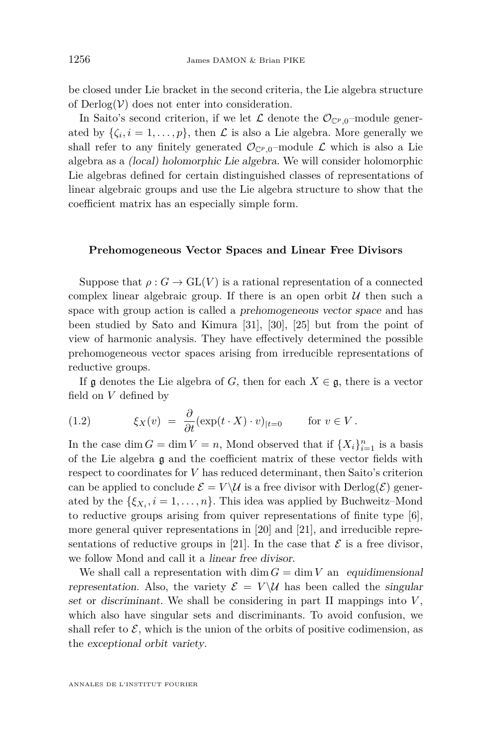<span id="page-6-0"></span>be closed under Lie bracket in the second criteria, the Lie algebra structure of  $Derlog(V)$  does not enter into consideration.

In Saito's second criterion, if we let  $\mathcal{L}$  denote the  $\mathcal{O}_{\mathbb{C}^p,0}$ -module generated by  $\{\zeta_i, i = 1, \ldots, p\}$ , then  $\mathcal L$  is also a Lie algebra. More generally we shall refer to any finitely generated  $\mathcal{O}_{\mathbb{C}^p,0}$ -module  $\mathcal L$  which is also a Lie algebra as a (local) holomorphic Lie algebra. We will consider holomorphic Lie algebras defined for certain distinguished classes of representations of linear algebraic groups and use the Lie algebra structure to show that the coefficient matrix has an especially simple form.

#### **Prehomogeneous Vector Spaces and Linear Free Divisors**

Suppose that  $\rho: G \to GL(V)$  is a rational representation of a connected complex linear algebraic group. If there is an open orbit  $U$  then such a space with group action is called a prehomogeneous vector space and has been studied by Sato and Kimura [\[31\]](#page-49-0), [\[30\]](#page-49-0), [\[25\]](#page-49-0) but from the point of view of harmonic analysis. They have effectively determined the possible prehomogeneous vector spaces arising from irreducible representations of reductive groups.

If  $\mathfrak g$  denotes the Lie algebra of *G*, then for each  $X \in \mathfrak g$ , there is a vector field on *V* defined by

(1.2) 
$$
\xi_X(v) = \frac{\partial}{\partial t} (\exp(t \cdot X) \cdot v)_{|t=0} \quad \text{for } v \in V.
$$

In the case dim  $G = \dim V = n$ , Mond observed that if  $\{X_i\}_{i=1}^n$  is a basis of the Lie algebra g and the coefficient matrix of these vector fields with respect to coordinates for *V* has reduced determinant, then Saito's criterion can be applied to conclude  $\mathcal{E} = V \backslash \mathcal{U}$  is a free divisor with Derlog( $\mathcal{E}$ ) generated by the  $\{\xi_{X_i}, i = 1, \ldots, n\}$ . This idea was applied by Buchweitz–Mond to reductive groups arising from quiver representations of finite type [\[6\]](#page-48-0), more general quiver representations in [\[20\]](#page-49-0) and [\[21\]](#page-49-0), and irreducible repre-sentations of reductive groups in [\[21\]](#page-49-0). In the case that  $\mathcal E$  is a free divisor, we follow Mond and call it a linear free divisor.

We shall call a representation with  $\dim G = \dim V$  an equidimensional representation. Also, the variety  $\mathcal{E} = V \backslash \mathcal{U}$  has been called the singular set or discriminant. We shall be considering in part II mappings into  $V$ , which also have singular sets and discriminants. To avoid confusion, we shall refer to  $\mathcal{E}$ , which is the union of the orbits of positive codimension, as the exceptional orbit variety.

ANNALES DE L'INSTITUT FOURIER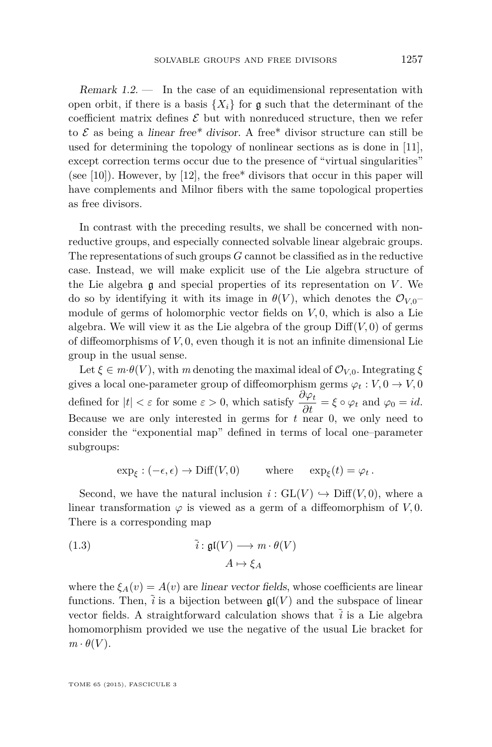Remark  $1.2$  — In the case of an equidimensional representation with open orbit, if there is a basis  $\{X_i\}$  for g such that the determinant of the coefficient matrix defines  $\mathcal E$  but with nonreduced structure, then we refer to  $\mathcal E$  as being a linear free\* divisor. A free\* divisor structure can still be used for determining the topology of nonlinear sections as is done in [\[11\]](#page-48-0), except correction terms occur due to the presence of "virtual singularities" (see [\[10\]](#page-48-0)). However, by  $[12]$ , the free\* divisors that occur in this paper will have complements and Milnor fibers with the same topological properties as free divisors.

In contrast with the preceding results, we shall be concerned with nonreductive groups, and especially connected solvable linear algebraic groups. The representations of such groups *G* cannot be classified as in the reductive case. Instead, we will make explicit use of the Lie algebra structure of the Lie algebra  $\mathfrak g$  and special properties of its representation on *V*. We do so by identifying it with its image in  $\theta(V)$ , which denotes the  $\mathcal{O}_{V,0}$ module of germs of holomorphic vector fields on *V,* 0, which is also a Lie algebra. We will view it as the Lie algebra of the group  $\text{Diff}(V, 0)$  of germs of diffeomorphisms of *V,* 0, even though it is not an infinite dimensional Lie group in the usual sense.

Let  $\xi \in m \cdot \theta(V)$ , with *m* denoting the maximal ideal of  $\mathcal{O}_{V,0}$ . Integrating  $\xi$ gives a local one-parameter group of diffeomorphism germs  $\varphi_t : V, 0 \to V, 0$ defined for  $|t| < \varepsilon$  for some  $\varepsilon > 0$ , which satisfy  $\frac{\partial \varphi_t}{\partial t} = \xi \circ \varphi_t$  and  $\varphi_0 = id$ . Because we are only interested in germs for  $t$  near  $0$ , we only need to consider the "exponential map" defined in terms of local one–parameter subgroups:

$$
\exp_{\xi} : (-\epsilon, \epsilon) \to \text{Diff}(V, 0)
$$
 where  $\exp_{\xi}(t) = \varphi_t$ .

Second, we have the natural inclusion  $i : GL(V) \hookrightarrow Diff(V, 0)$ , where a linear transformation  $\varphi$  is viewed as a germ of a diffeomorphism of *V*, 0. There is a corresponding map

(1.3) 
$$
\tilde{i}: \mathfrak{gl}(V) \longrightarrow m \cdot \theta(V)
$$

$$
A \mapsto \xi_A
$$

where the  $\xi_A(v) = A(v)$  are linear vector fields, whose coefficients are linear functions. Then,  $\tilde{i}$  is a bijection between  $\mathfrak{gl}(V)$  and the subspace of linear vector fields. A straightforward calculation shows that  $\tilde{i}$  is a Lie algebra homomorphism provided we use the negative of the usual Lie bracket for  $m \cdot \theta(V)$ .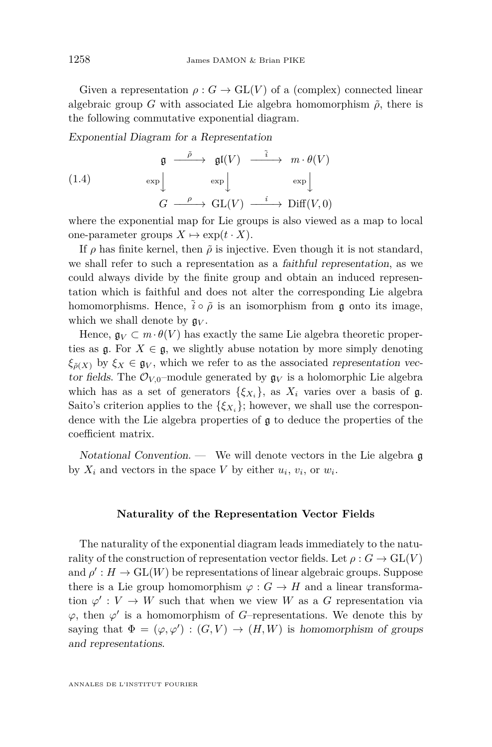Given a representation  $\rho: G \to GL(V)$  of a (complex) connected linear algebraic group *G* with associated Lie algebra homomorphism  $\tilde{\rho}$ , there is the following commutative exponential diagram.

Exponential Diagram for a Representation

(1.4) 
$$
\begin{array}{cccc}\n\mathfrak{g} & \xrightarrow{\tilde{\rho}} & \mathfrak{gl}(V) & \xrightarrow{\tilde{i}} & m \cdot \theta(V) \\
\exp \downarrow & \exp \downarrow & \exp \downarrow & \\
G & \xrightarrow{\rho} & \text{GL}(V) & \xrightarrow{i} & \text{Diff}(V,0)\n\end{array}
$$

where the exponential map for Lie groups is also viewed as a map to local one-parameter groups  $X \mapsto \exp(t \cdot X)$ .

If  $\rho$  has finite kernel, then  $\tilde{\rho}$  is injective. Even though it is not standard, we shall refer to such a representation as a faithful representation, as we could always divide by the finite group and obtain an induced representation which is faithful and does not alter the corresponding Lie algebra homomorphisms. Hence,  $\tilde{i} \circ \tilde{\rho}$  is an isomorphism from g onto its image, which we shall denote by  $\mathfrak{g}_V$ .

Hence,  $\mathfrak{g}_V \subset m \cdot \theta(V)$  has exactly the same Lie algebra theoretic properties as  $\mathfrak{g}$ . For  $X \in \mathfrak{g}$ , we slightly abuse notation by more simply denoting  $\xi_{\tilde{\rho}(X)}$  by  $\xi_X \in \mathfrak{g}_V$ , which we refer to as the associated representation vector fields. The  $\mathcal{O}_{V,0}$ -module generated by  $\mathfrak{g}_V$  is a holomorphic Lie algebra which has as a set of generators  $\{\xi_{X_i}\}\$ , as  $X_i$  varies over a basis of g. Saito's criterion applies to the  $\{\xi_{X_i}\}$ ; however, we shall use the correspondence with the Lie algebra properties of  $\mathfrak g$  to deduce the properties of the coefficient matrix.

Notational Convention.  $\qquad$  We will denote vectors in the Lie algebra g by  $X_i$  and vectors in the space  $V$  by either  $u_i$ ,  $v_i$ , or  $w_i$ .

#### **Naturality of the Representation Vector Fields**

The naturality of the exponential diagram leads immediately to the naturality of the construction of representation vector fields. Let  $\rho: G \to GL(V)$ and  $\rho': H \to GL(W)$  be representations of linear algebraic groups. Suppose there is a Lie group homomorphism  $\varphi : G \to H$  and a linear transformation  $\varphi' : V \to W$  such that when we view W as a G representation via  $\varphi$ , then  $\varphi'$  is a homomorphism of *G*–representations. We denote this by saying that  $\Phi = (\varphi, \varphi') : (G, V) \to (H, W)$  is homomorphism of groups and representations.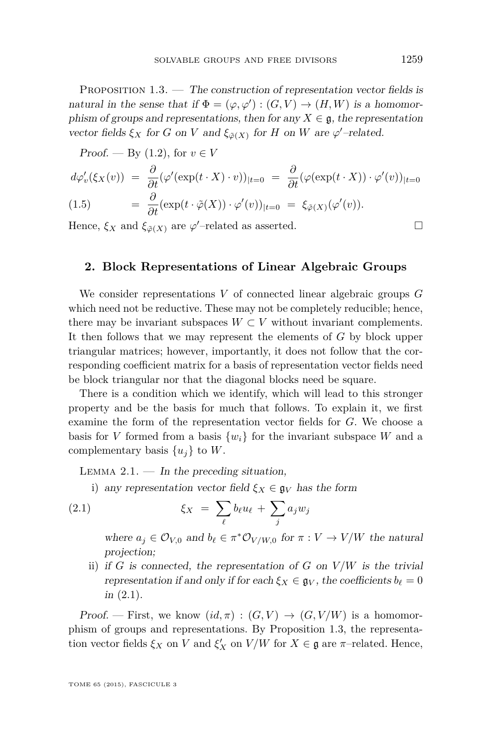<span id="page-9-0"></span>PROPOSITION  $1.3.$  — The construction of representation vector fields is natural in the sense that if  $\Phi = (\varphi, \varphi') : (G, V) \to (H, W)$  is a homomorphism of groups and representations, then for any  $X \in \mathfrak{g}$ , the representation vector fields  $\xi_X$  for *G* on *V* and  $\xi_{\tilde{\varphi}(X)}$  for *H* on *W* are  $\varphi'$ -related.

Proof. — By (1.2), for 
$$
v \in V
$$
  
\n
$$
d\varphi'_v(\xi_X(v)) = \frac{\partial}{\partial t} (\varphi'(\exp(t \cdot X) \cdot v))_{|t=0} = \frac{\partial}{\partial t} (\varphi(\exp(t \cdot X)) \cdot \varphi'(v))_{|t=0}
$$
\n(1.5) 
$$
= \frac{\partial}{\partial t} (\exp(t \cdot \tilde{\varphi}(X)) \cdot \varphi'(v))_{|t=0} = \xi_{\tilde{\varphi}(X)} (\varphi'(v)).
$$

Hence,  $\xi_X$  and  $\xi_{\tilde{\varphi}(X)}$  are  $\varphi'$ -related as asserted.

**2. Block Representations of Linear Algebraic Groups**

We consider representations *V* of connected linear algebraic groups *G* which need not be reductive. These may not be completely reducible; hence, there may be invariant subspaces  $W \subset V$  without invariant complements. It then follows that we may represent the elements of *G* by block upper triangular matrices; however, importantly, it does not follow that the corresponding coefficient matrix for a basis of representation vector fields need be block triangular nor that the diagonal blocks need be square.

There is a condition which we identify, which will lead to this stronger property and be the basis for much that follows. To explain it, we first examine the form of the representation vector fields for *G*. We choose a basis for *V* formed from a basis  $\{w_i\}$  for the invariant subspace *W* and a complementary basis  $\{u_j\}$  to W.

LEMMA  $2.1.$  — In the preceding situation,

i) any representation vector field  $\xi_X \in \mathfrak{g}_V$  has the form

(2.1) 
$$
\xi_X = \sum_{\ell} b_{\ell} u_{\ell} + \sum_j a_j w_j
$$

where  $a_j \in \mathcal{O}_{V,0}$  and  $b_\ell \in \pi^* \mathcal{O}_{V/W,0}$  for  $\pi : V \to V/W$  the natural projection;

ii) if *G* is connected, the representation of *G* on  $V/W$  is the trivial representation if and only if for each  $\xi_X \in \mathfrak{g}_V$ , the coefficients  $b_\ell = 0$ in (2.1).

Proof. — First, we know  $(id, \pi) : (G, V) \to (G, V/W)$  is a homomorphism of groups and representations. By Proposition 1.3, the representation vector fields  $\xi_X$  on  $V$  and  $\xi'_X$  on  $V/W$  for  $X \in \mathfrak{g}$  are  $\pi$ –related. Hence,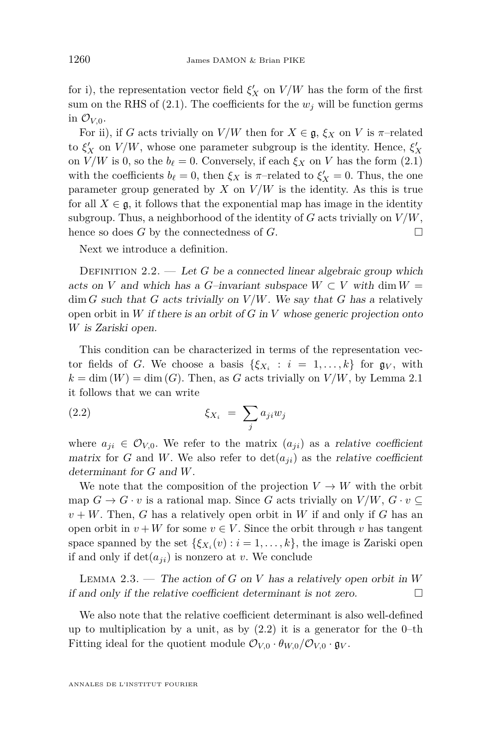for i), the representation vector field  $\xi_X'$  on  $V/W$  has the form of the first sum on the RHS of  $(2.1)$ . The coefficients for the  $w_j$  will be function germs in  $\mathcal{O}_{V,0}$ .

For ii), if *G* acts trivially on *V*/*W* then for  $X \in \mathfrak{g}$ ,  $\xi_X$  on *V* is  $\pi$ -related to  $\xi_X'$  on  $V/W$ , whose one parameter subgroup is the identity. Hence,  $\xi_X'$ on *V*/*W* is 0, so the  $b_{\ell} = 0$ . Conversely, if each  $\xi_X$  on *V* has the form [\(2.1\)](#page-9-0) with the coefficients  $b_{\ell} = 0$ , then  $\xi_X$  is  $\pi$ -related to  $\xi'_X = 0$ . Thus, the one parameter group generated by  $X$  on  $V/W$  is the identity. As this is true for all  $X \in \mathfrak{g}$ , it follows that the exponential map has image in the identity subgroup. Thus, a neighborhood of the identity of  $G$  acts trivially on  $V/W$ , hence so does  $G$  by the connectedness of  $G$ .

Next we introduce a definition.

DEFINITION 2.2. — Let G be a connected linear algebraic group which acts on *V* and which has a *G*–invariant subspace  $W \subset V$  with dim  $W =$  $\dim G$  such that *G* acts trivially on *V*/*W*. We say that *G* has a relatively open orbit in *W* if there is an orbit of *G* in *V* whose generic projection onto *W* is Zariski open.

This condition can be characterized in terms of the representation vector fields of *G*. We choose a basis  $\{\xi_{X_i} : i = 1, ..., k\}$  for  $\mathfrak{g}_V$ , with  $k = \dim(W) = \dim(G)$ . Then, as *G* acts trivially on  $V/W$ , by Lemma [2.1](#page-9-0) it follows that we can write

$$
\xi_{X_i} = \sum_j a_{ji} w_j
$$

where  $a_{ji} \in \mathcal{O}_{V,0}$ . We refer to the matrix  $(a_{ji})$  as a relative coefficient matrix for *G* and *W*. We also refer to  $\det(a_{ji})$  as the relative coefficient determinant for *G* and *W*.

We note that the composition of the projection  $V \to W$  with the orbit map  $G \to G \cdot v$  is a rational map. Since *G* acts trivially on  $V/W$ ,  $G \cdot v \subseteq$  $v + W$ . Then, *G* has a relatively open orbit in *W* if and only if *G* has an open orbit in  $v + W$  for some  $v \in V$ . Since the orbit through *v* has tangent space spanned by the set  $\{\xi_{X_i}(v) : i = 1, \ldots, k\}$ , the image is Zariski open if and only if  $\det(a_{ji})$  is nonzero at *v*. We conclude

Lemma 2.3. — The action of *G* on *V* has a relatively open orbit in *W* if and only if the relative coefficient determinant is not zero.  $\Box$ 

We also note that the relative coefficient determinant is also well-defined up to multiplication by a unit, as by  $(2.2)$  it is a generator for the 0-th Fitting ideal for the quotient module  $\mathcal{O}_{V,0} \cdot \theta_{W,0}/\mathcal{O}_{V,0} \cdot \mathfrak{g}_V$ .

ANNALES DE L'INSTITUT FOURIER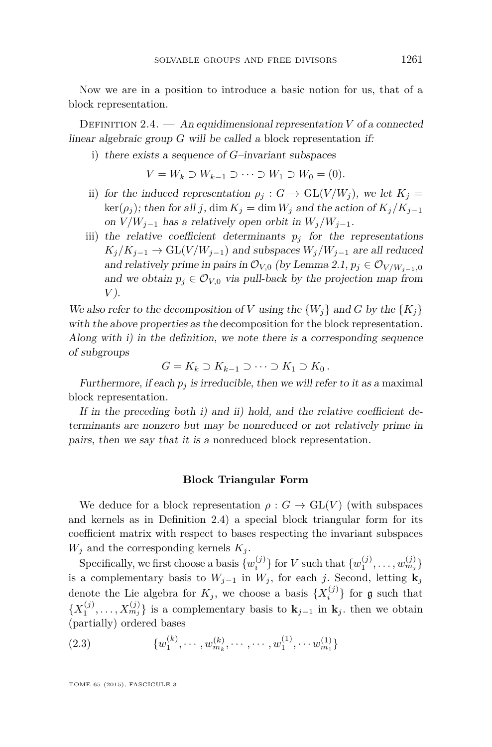<span id="page-11-0"></span>Now we are in a position to introduce a basic notion for us, that of a block representation.

DEFINITION 2.4.  $-$  An equidimensional representation *V* of a connected linear algebraic group *G* will be called a block representation if:

i) there exists a sequence of *G*–invariant subspaces

$$
V = W_k \supset W_{k-1} \supset \cdots \supset W_1 \supset W_0 = (0).
$$

- ii) for the induced representation  $\rho_i$  :  $G \to GL(V/W_i)$ , we let  $K_i$  $\ker(\rho_j)$ ; then for all *j*, dim  $K_j = \dim W_j$  and the action of  $K_j/K_{j-1}$ on  $V/W_{i-1}$  has a relatively open orbit in  $W_i/W_{i-1}$ .
- iii) the relative coefficient determinants  $p_i$  for the representations  $K_j/K_{j-1} \to GL(V/W_{j-1})$  and subspaces  $W_j/W_{j-1}$  are all reduced and relatively prime in pairs in  $\mathcal{O}_{V,0}$  (by Lemma [2.1,](#page-9-0)  $p_j \in \mathcal{O}_{V/W_{i-1},0}$ and we obtain  $p_i \in \mathcal{O}_{V,0}$  via pull-back by the projection map from *V* ).

We also refer to the decomposition of *V* using the  $\{W_i\}$  and *G* by the  $\{K_i\}$ with the above properties as the decomposition for the block representation. Along with i) in the definition, we note there is a corresponding sequence of subgroups

$$
G=K_k\supset K_{k-1}\supset\cdots\supset K_1\supset K_0.
$$

Furthermore, if each  $p_i$  is irreducible, then we will refer to it as a maximal block representation.

If in the preceding both i) and ii) hold, and the relative coefficient determinants are nonzero but may be nonreduced or not relatively prime in pairs, then we say that it is a nonreduced block representation.

#### **Block Triangular Form**

We deduce for a block representation  $\rho: G \to GL(V)$  (with subspaces and kernels as in Definition 2.4) a special block triangular form for its coefficient matrix with respect to bases respecting the invariant subspaces  $W_i$  and the corresponding kernels  $K_i$ .

Specifically, we first choose a basis  $\{w_i^{(j)}\}$  for *V* such that  $\{w_1^{(j)}, \ldots, w_{m_j}^{(j)}\}$ is a complementary basis to  $W_{j-1}$  in  $W_j$ , for each *j*. Second, letting  $\mathbf{k}_j$ denote the Lie algebra for  $K_j$ , we choose a basis  $\{X_i^{(j)}\}$  for  $\mathfrak g$  such that  ${X_1^{(j)}, \ldots, X_{m_j}^{(j)}}$  is a complementary basis to  $\mathbf{k}_{j-1}$  in  $\mathbf{k}_j$ , then we obtain (partially) ordered bases

(2.3) 
$$
\{w_1^{(k)}, \cdots, w_{m_k}^{(k)}, \cdots, \cdots, w_1^{(1)}, \cdots w_{m_1}^{(1)}\}
$$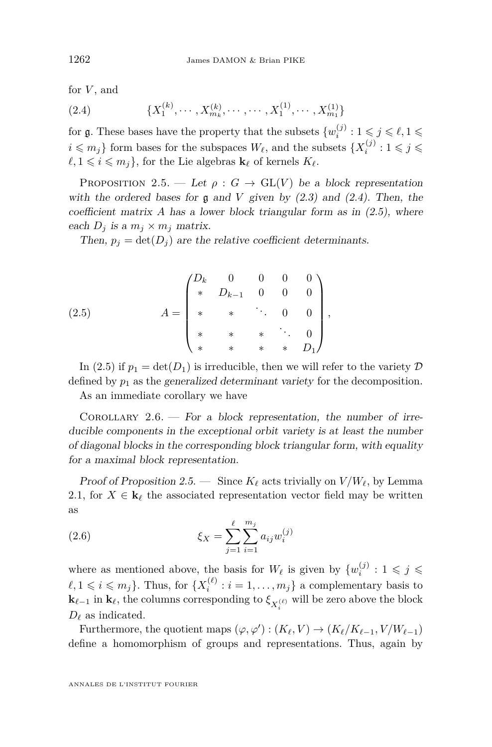<span id="page-12-0"></span>for *V* , and

(2.4) 
$$
\{X_1^{(k)}, \cdots, X_{m_k}^{(k)}, \cdots, \cdots, X_1^{(1)}, \cdots, X_{m_1}^{(1)}\}
$$

for  $\mathfrak{g}$ . These bases have the property that the subsets  $\{w_i^{(j)}: 1 \leqslant j \leqslant \ell, 1 \leqslant j \leqslant \ell\}$  $i \leqslant m_j$ } form bases for the subspaces  $W_\ell$ , and the subsets  $\{X_i^{(j)}: 1 \leqslant j \leqslant j \leqslant j \leqslant j \leqslant j \leqslant j \leqslant j \leqslant j \leqslant j \leqslant j \leqslant j \leqslant j \leqslant j \leqslant j \leqslant j \leqslant j \leqslant j \leqslant j \leqslant j \leqslant j \leqslant j \leqslant j \leqslant j \leqslant j \$  $\ell, 1 \leq i \leq m_j$ , for the Lie algebras  $\mathbf{k}_{\ell}$  of kernels  $K_{\ell}$ .

PROPOSITION 2.5. — Let  $\rho: G \to GL(V)$  be a block representation with the ordered bases for  $\mathfrak g$  and *V* given by  $(2.3)$  and  $(2.4)$ . Then, the coefficient matrix *A* has a lower block triangular form as in (2.5), where each  $D_i$  is a  $m_i \times m_j$  matrix.

Then,  $p_i = \det(D_i)$  are the relative coefficient determinants.

(2.5) 
$$
A = \begin{pmatrix} D_k & 0 & 0 & 0 & 0 \\ * & D_{k-1} & 0 & 0 & 0 \\ * & * & * & \ddots & 0 & 0 \\ * & * & * & * & \ddots & 0 \\ * & * & * & * & D_1 \end{pmatrix},
$$

In (2.5) if  $p_1 = \det(D_1)$  is irreducible, then we will refer to the variety  $\mathcal D$ defined by  $p_1$  as the generalized determinant variety for the decomposition.

As an immediate corollary we have

COROLLARY  $2.6.$  – For a block representation, the number of irreducible components in the exceptional orbit variety is at least the number of diagonal blocks in the corresponding block triangular form, with equality for a maximal block representation.

Proof of Proposition 2.5. — Since  $K_\ell$  acts trivially on  $V/W_\ell$ , by Lemma [2.1,](#page-9-0) for  $X \in \mathbf{k}_{\ell}$  the associated representation vector field may be written as

(2.6) 
$$
\xi_X = \sum_{j=1}^{\ell} \sum_{i=1}^{m_j} a_{ij} w_i^{(j)}
$$

where as mentioned above, the basis for  $W_{\ell}$  is given by  $\{w_i^{(j)}: 1 \leqslant j \leqslant j \leqslant j \leqslant j \leqslant j \leqslant j \leqslant j \leqslant j \leqslant j \leqslant j \leqslant j \leqslant j \leqslant j \leqslant j \leqslant j \leqslant j \leqslant j \leqslant j \leqslant j \leqslant j \leqslant j \leqslant j \leqslant j \leqslant j \leqslant$  $\ell, 1 \leqslant i \leqslant m_j$ . Thus, for  $\{X_i^{(\ell)} : i = 1, \ldots, m_j\}$  a complementary basis to **k**<sup> $\ell$ </sup> in **k**<sup>*j*</sup>, the columns corresponding to  $\xi_{X_i^{(\ell)}}$  will be zero above the block *i*  $D_{\ell}$  as indicated.

Furthermore, the quotient maps  $(\varphi, \varphi') : (K_{\ell}, V) \to (K_{\ell}/K_{\ell-1}, V/W_{\ell-1})$ define a homomorphism of groups and representations. Thus, again by

ANNALES DE L'INSTITUT FOURIER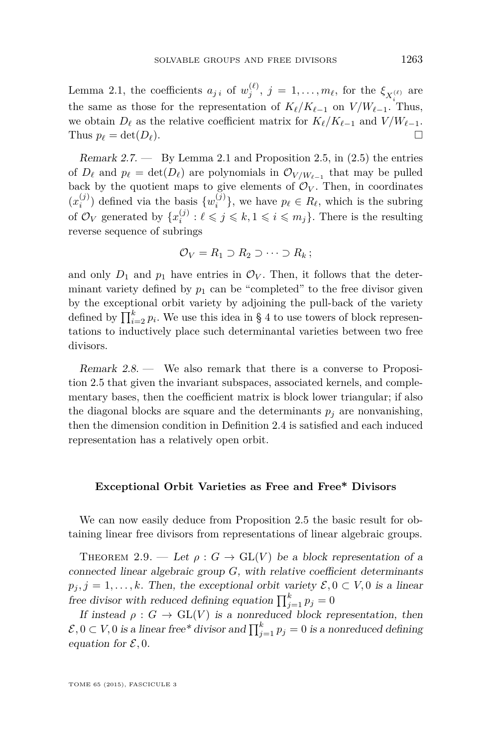<span id="page-13-0"></span>Lemma [2.1,](#page-9-0) the coefficients  $a_{j i}$  of  $w_j^{(\ell)}$ ,  $j = 1, \ldots, m_\ell$ , for the  $\xi_{X_i^{(\ell)}}$  are the same as those for the representation of  $K_{\ell}/K_{\ell-1}$  on  $V/W_{\ell-1}$ . Thus, we obtain  $D_{\ell}$  as the relative coefficient matrix for  $K_{\ell}/K_{\ell-1}$  and  $V/W_{\ell-1}$ . Thus  $p_\ell = \det(D_\ell)$ .

Remark 2.7.  $\qquad$  By Lemma [2.1](#page-9-0) and Proposition [2.5,](#page-12-0) in [\(2.5\)](#page-12-0) the entries of  $D_{\ell}$  and  $p_{\ell} = \det(D_{\ell})$  are polynomials in  $\mathcal{O}_{V/W_{\ell-1}}$  that may be pulled back by the quotient maps to give elements of  $\mathcal{O}_V$ . Then, in coordinates  $(x_i^{(j)})$  defined via the basis  $\{w_i^{(j)}\}$ , we have  $p_\ell \in R_\ell$ , which is the subring of  $\mathcal{O}_V$  generated by  $\{x_i^{(j)} : \ell \leqslant j \leqslant k, 1 \leqslant i \leqslant m_j\}$ . There is the resulting reverse sequence of subrings

$$
\mathcal{O}_V = R_1 \supset R_2 \supset \cdots \supset R_k \, ;
$$

and only  $D_1$  and  $p_1$  have entries in  $\mathcal{O}_V$ . Then, it follows that the determinant variety defined by  $p_1$  can be "completed" to the free divisor given by the exceptional orbit variety by adjoining the pull-back of the variety defined by  $\prod_{i=2}^{k} p_i$ . We use this idea in § [4](#page-19-0) to use towers of block representations to inductively place such determinantal varieties between two free divisors.

Remark 2.8. — We also remark that there is a converse to Proposition [2.5](#page-12-0) that given the invariant subspaces, associated kernels, and complementary bases, then the coefficient matrix is block lower triangular; if also the diagonal blocks are square and the determinants  $p_i$  are nonvanishing, then the dimension condition in Definition [2.4](#page-11-0) is satisfied and each induced representation has a relatively open orbit.

#### **Exceptional Orbit Varieties as Free and Free\* Divisors**

We can now easily deduce from Proposition [2.5](#page-12-0) the basic result for obtaining linear free divisors from representations of linear algebraic groups.

THEOREM 2.9. — Let  $\rho: G \to GL(V)$  be a block representation of a connected linear algebraic group *G*, with relative coefficient determinants  $p_j$ ,  $j = 1, \ldots, k$ . Then, the exceptional orbit variety  $\mathcal{E}, 0 \subset V$ , 0 is a linear free divisor with reduced defining equation  $\prod_{j=1}^{k} p_j = 0$ 

If instead  $\rho : G \to GL(V)$  is a nonreduced block representation, then  $\mathcal{E}, 0 \subset V, 0$  is a linear free\* divisor and  $\prod_{j=1}^{k} p_j = 0$  is a nonreduced defining equation for  $\mathcal{E}, 0$ .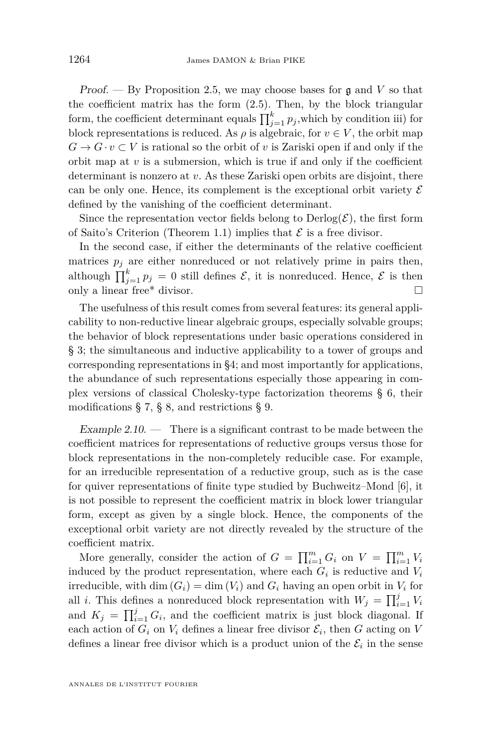Proof. — By Proposition [2.5,](#page-12-0) we may choose bases for g and *V* so that the coefficient matrix has the form [\(2.5\)](#page-12-0). Then, by the block triangular form, the coefficient determinant equals  $\prod_{j=1}^{k} p_j$ , which by condition iii) for block representations is reduced. As  $\rho$  is algebraic, for  $v \in V$ , the orbit map  $G \to G \cdot v \subset V$  is rational so the orbit of *v* is Zariski open if and only if the orbit map at  $v$  is a submersion, which is true if and only if the coefficient determinant is nonzero at *v*. As these Zariski open orbits are disjoint, there can be only one. Hence, its complement is the exceptional orbit variety  $\mathcal E$ defined by the vanishing of the coefficient determinant.

Since the representation vector fields belong to  $Derlog(\mathcal{E})$ , the first form of Saito's Criterion (Theorem [1.1\)](#page-5-0) implies that  $\mathcal E$  is a free divisor.

In the second case, if either the determinants of the relative coefficient matrices  $p_j$  are either nonreduced or not relatively prime in pairs then, although  $\prod_{j=1}^{k} p_j = 0$  still defines  $\mathcal{E}$ , it is nonreduced. Hence,  $\mathcal{E}$  is then only a linear free\* divisor.

The usefulness of this result comes from several features: its general applicability to non-reductive linear algebraic groups, especially solvable groups; the behavior of block representations under basic operations considered in § [3;](#page-15-0) the simultaneous and inductive applicability to a tower of groups and corresponding representations in [§4;](#page-19-0) and most importantly for applications, the abundance of such representations especially those appearing in complex versions of classical Cholesky-type factorization theorems § [6,](#page-27-0) their modifications § [7,](#page-34-0) § [8,](#page-37-0) and restrictions § [9.](#page-43-0)

Example  $2.10.$  — There is a significant contrast to be made between the coefficient matrices for representations of reductive groups versus those for block representations in the non-completely reducible case. For example, for an irreducible representation of a reductive group, such as is the case for quiver representations of finite type studied by Buchweitz–Mond [\[6\]](#page-48-0), it is not possible to represent the coefficient matrix in block lower triangular form, except as given by a single block. Hence, the components of the exceptional orbit variety are not directly revealed by the structure of the coefficient matrix.

More generally, consider the action of  $G = \prod_{i=1}^{m} G_i$  on  $V = \prod_{i=1}^{m} V_i$ induced by the product representation, where each  $G_i$  is reductive and  $V_i$ irreducible, with dim  $(G_i) = \dim(V_i)$  and  $G_i$  having an open orbit in  $V_i$  for all *i*. This defines a nonreduced block representation with  $W_j = \prod_{i=1}^j V_i$ and  $K_j = \prod_{i=1}^j G_i$ , and the coefficient matrix is just block diagonal. If each action of  $G_i$  on  $V_i$  defines a linear free divisor  $\mathcal{E}_i$ , then  $G$  acting on  $V$ defines a linear free divisor which is a product union of the  $\mathcal{E}_i$  in the sense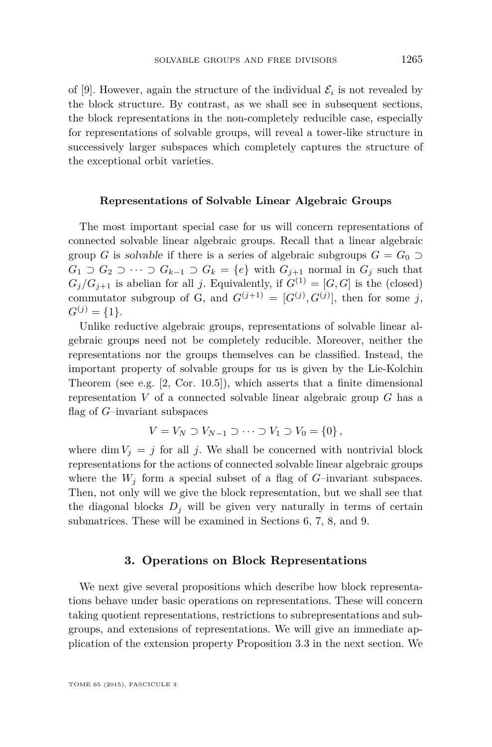<span id="page-15-0"></span>of [\[9\]](#page-48-0). However, again the structure of the individual  $\mathcal{E}_i$  is not revealed by the block structure. By contrast, as we shall see in subsequent sections, the block representations in the non-completely reducible case, especially for representations of solvable groups, will reveal a tower-like structure in successively larger subspaces which completely captures the structure of the exceptional orbit varieties.

#### **Representations of Solvable Linear Algebraic Groups**

The most important special case for us will concern representations of connected solvable linear algebraic groups. Recall that a linear algebraic group *G* is solvable if there is a series of algebraic subgroups  $G = G_0 \supset$ *G*<sub>1</sub> ⊃ *G*<sub>2</sub> ⊃ · · · ⊃ *G*<sub>*k*−1</sub> ⊃ *G*<sub>*k*</sub> = { $e$ } with *G*<sub>*j*+1</sub> normal in *G*<sub>*j*</sub> such that  $G_i/G_{i+1}$  is abelian for all *j*. Equivalently, if  $G^{(1)} = [G, G]$  is the (closed) commutator subgroup of G, and  $G^{(j+1)} = [G^{(j)}, G^{(j)}]$ , then for some *j*,  $G^{(j)} = \{1\}.$ 

Unlike reductive algebraic groups, representations of solvable linear algebraic groups need not be completely reducible. Moreover, neither the representations nor the groups themselves can be classified. Instead, the important property of solvable groups for us is given by the Lie-Kolchin Theorem (see e.g. [\[2,](#page-48-0) Cor. 10.5]), which asserts that a finite dimensional representation *V* of a connected solvable linear algebraic group *G* has a flag of *G*–invariant subspaces

$$
V = V_N \supset V_{N-1} \supset \cdots \supset V_1 \supset V_0 = \{0\},
$$

where dim  $V_i = j$  for all *j*. We shall be concerned with nontrivial block representations for the actions of connected solvable linear algebraic groups where the  $W_j$  form a special subset of a flag of  $G$ –invariant subspaces. Then, not only will we give the block representation, but we shall see that the diagonal blocks  $D_j$  will be given very naturally in terms of certain submatrices. These will be examined in Sections [6,](#page-27-0) [7,](#page-34-0) [8,](#page-37-0) and [9.](#page-43-0)

#### **3. Operations on Block Representations**

We next give several propositions which describe how block representations behave under basic operations on representations. These will concern taking quotient representations, restrictions to subrepresentations and subgroups, and extensions of representations. We will give an immediate application of the extension property Proposition [3.3](#page-18-0) in the next section. We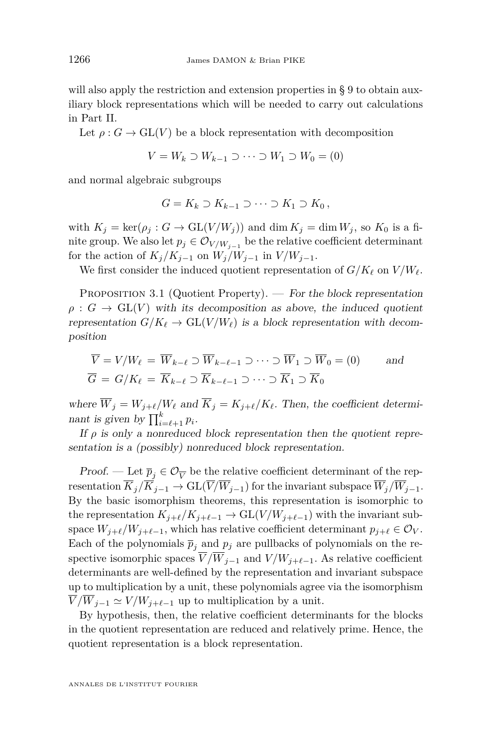<span id="page-16-0"></span>will also apply the restriction and extension properties in § [9](#page-43-0) to obtain auxiliary block representations which will be needed to carry out calculations in Part II.

Let  $\rho: G \to \mathrm{GL}(V)$  be a block representation with decomposition

$$
V = W_k \supset W_{k-1} \supset \cdots \supset W_1 \supset W_0 = (0)
$$

and normal algebraic subgroups

$$
G=K_k\supset K_{k-1}\supset\cdots\supset K_1\supset K_0\,,
$$

with  $K_i = \text{ker}(\rho_i : G \to \text{GL}(V/W_i))$  and dim  $K_i = \dim W_i$ , so  $K_0$  is a finite group. We also let  $p_j \in \mathcal{O}_{V/W_{j-1}}$  be the relative coefficient determinant for the action of  $K_i/K_{i-1}$  on  $W_i/W_{i-1}$  in  $V/W_{i-1}$ .

We first consider the induced quotient representation of  $G/K_\ell$  on  $V/W_\ell$ .

PROPOSITION 3.1 (Quotient Property). — For the block representation  $\rho: G \to \text{GL}(V)$  with its decomposition as above, the induced quotient representation  $G/K_{\ell} \to GL(V/W_{\ell})$  is a block representation with decomposition

$$
\overline{V} = V/W_{\ell} = \overline{W}_{k-\ell} \supset \overline{W}_{k-\ell-1} \supset \cdots \supset \overline{W}_1 \supset \overline{W}_0 = (0) \quad \text{and}
$$
  

$$
\overline{G} = G/K_{\ell} = \overline{K}_{k-\ell} \supset \overline{K}_{k-\ell-1} \supset \cdots \supset \overline{K}_1 \supset \overline{K}_0
$$

where  $\overline{W}_j = W_{j+\ell}/W_\ell$  and  $\overline{K}_j = K_{j+\ell}/K_\ell$ . Then, the coefficient determinant is given by  $\prod_{i=\ell+1}^{k} p_i$ .

If  $\rho$  is only a nonreduced block representation then the quotient representation is a (possibly) nonreduced block representation.

*Proof.* — Let  $\overline{p}_j \in \mathcal{O}_{\overline{V}}$  be the relative coefficient determinant of the representation  $\overline{K}_j/\overline{K}_{j-1} \to \text{GL}(\overline{V}/\overline{W}_{j-1})$  for the invariant subspace  $\overline{W}_j/\overline{W}_{j-1}$ . By the basic isomorphism theorems, this representation is isomorphic to the representation  $K_{i+\ell}/K_{i+\ell-1} \to GL(V/W_{i+\ell-1})$  with the invariant subspace  $W_{j+\ell}/W_{j+\ell-1}$ , which has relative coefficient determinant  $p_{j+\ell} \in \mathcal{O}_V$ . Each of the polynomials  $\bar{p}_i$  and  $p_j$  are pullbacks of polynomials on the respective isomorphic spaces  $\overline{V}/\overline{W}_{i-1}$  and  $V/W_{i+\ell-1}$ . As relative coefficient determinants are well-defined by the representation and invariant subspace up to multiplication by a unit, these polynomials agree via the isomorphism  $\overline{V}/\overline{W}_{j-1} \simeq V/W_{j+\ell-1}$  up to multiplication by a unit.

By hypothesis, then, the relative coefficient determinants for the blocks in the quotient representation are reduced and relatively prime. Hence, the quotient representation is a block representation.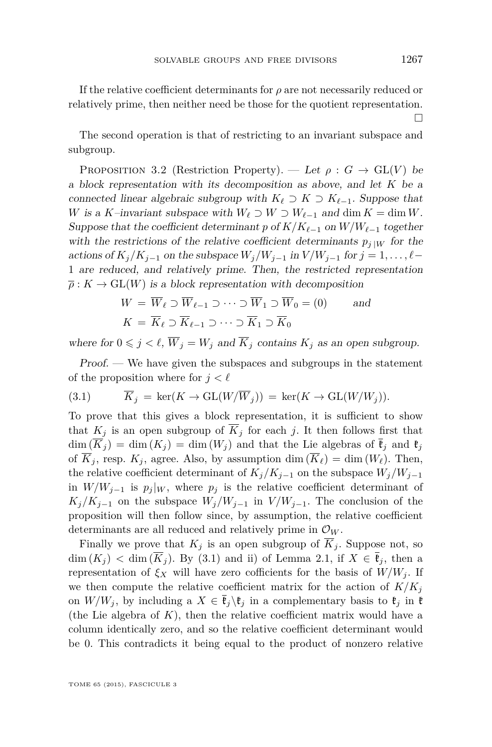<span id="page-17-0"></span>If the relative coefficient determinants for *ρ* are not necessarily reduced or relatively prime, then neither need be those for the quotient representation.  $\Box$ 

The second operation is that of restricting to an invariant subspace and subgroup.

PROPOSITION 3.2 (Restriction Property). — Let  $\rho: G \to GL(V)$  be a block representation with its decomposition as above, and let *K* be a connected linear algebraic subgroup with  $K_{\ell} \supset K \supset K_{\ell-1}$ . Suppose that *W* is a *K*–invariant subspace with  $W_{\ell} \supset W \supset W_{\ell-1}$  and dim  $K = \dim W$ . Suppose that the coefficient determinant *p* of  $K/K_{\ell-1}$  on  $W/W_{\ell-1}$  together with the restrictions of the relative coefficient determinants  $p_j|_W$  for the actions of  $K_j/K_{j-1}$  on the subspace  $W_j/W_{j-1}$  in  $V/W_{j-1}$  for  $j = 1, \ldots, \ell$ 1 are reduced, and relatively prime. Then, the restricted representation  $\overline{\rho}: K \to GL(W)$  is a block representation with decomposition

$$
W = \overline{W}_{\ell} \supset \overline{W}_{\ell-1} \supset \cdots \supset \overline{W}_1 \supset \overline{W}_0 = (0) \quad \text{and}
$$
  

$$
K = \overline{K}_{\ell} \supset \overline{K}_{\ell-1} \supset \cdots \supset \overline{K}_1 \supset \overline{K}_0
$$

where for  $0 \le j \le \ell$ ,  $\overline{W}_j = W_j$  and  $\overline{K}_j$  contains  $K_j$  as an open subgroup.

Proof. — We have given the subspaces and subgroups in the statement of the proposition where for  $j < \ell$ 

(3.1) 
$$
\overline{K}_j = \ker(K \to \text{GL}(W/\overline{W}_j)) = \ker(K \to \text{GL}(W/W_j)).
$$

To prove that this gives a block representation, it is sufficient to show that  $K_i$  is an open subgroup of  $\overline{K}_i$  for each *j*. It then follows first that  $\dim(\overline{K}_j) = \dim(K_j) = \dim(W_j)$  and that the Lie algebras of  $\overline{\mathfrak{k}}_j$  and  $\mathfrak{k}_j$ of  $\overline{K}_j$ , resp.  $K_j$ , agree. Also, by assumption dim  $(\overline{K}_\ell) = \dim(W_\ell)$ . Then, the relative coefficient determinant of  $K_i/K_{i-1}$  on the subspace  $W_i/W_{i-1}$ in  $W/W_{j-1}$  is  $p_j|_W$ , where  $p_j$  is the relative coefficient determinant of  $K_j/K_{j-1}$  on the subspace  $W_j/W_{j-1}$  in  $V/W_{j-1}$ . The conclusion of the proposition will then follow since, by assumption, the relative coefficient determinants are all reduced and relatively prime in  $\mathcal{O}_W$ .

Finally we prove that  $K_i$  is an open subgroup of  $K_i$ . Suppose not, so  $\dim(K_i) < \dim(\overline{K}_i)$ . By (3.1) and ii) of Lemma [2.1,](#page-9-0) if  $X \in \overline{\mathfrak{k}}_i$ , then a representation of  $\xi_X$  will have zero cofficients for the basis of  $W/W_i$ . If we then compute the relative coefficient matrix for the action of  $K/K<sub>j</sub>$ on  $W/W_j$ , by including a  $X \in \mathfrak{k}_j \backslash \mathfrak{k}_j$  in a complementary basis to  $\mathfrak{k}_j$  in  $\mathfrak{k}$ (the Lie algebra of *K*), then the relative coefficient matrix would have a column identically zero, and so the relative coefficient determinant would be 0. This contradicts it being equal to the product of nonzero relative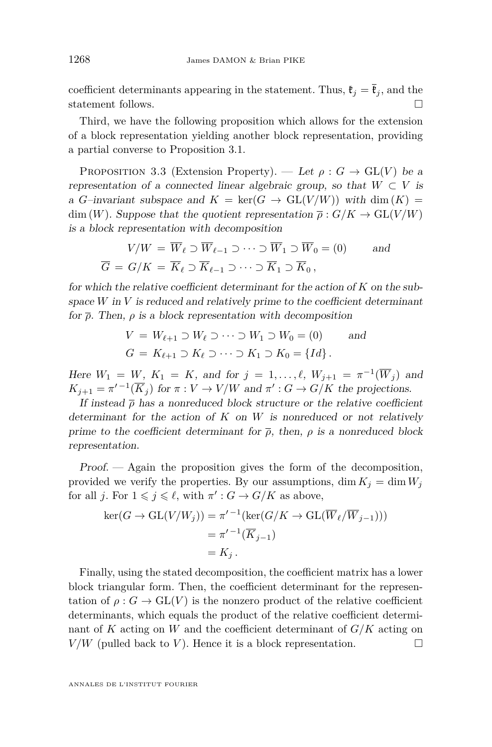<span id="page-18-0"></span>coefficient determinants appearing in the statement. Thus,  $\mathfrak{k}_j = \bar{\mathfrak{k}}_j$ , and the statement follows.

Third, we have the following proposition which allows for the extension of a block representation yielding another block representation, providing a partial converse to Proposition [3.1.](#page-16-0)

PROPOSITION 3.3 (Extension Property). — Let  $\rho: G \to GL(V)$  be a representation of a connected linear algebraic group, so that  $W \subset V$  is a *G*–invariant subspace and  $K = \text{ker}(G \to \text{GL}(V/W))$  with dim  $(K) =$ dim (*W*). Suppose that the quotient representation  $\bar{\rho}: G/K \to GL(V/W)$ is a block representation with decomposition

$$
V/W = \overline{W}_{\ell} \supset \overline{W}_{\ell-1} \supset \cdots \supset \overline{W}_1 \supset \overline{W}_0 = (0) \quad \text{and}
$$
  

$$
\overline{G} = G/K = \overline{K}_{\ell} \supset \overline{K}_{\ell-1} \supset \cdots \supset \overline{K}_1 \supset \overline{K}_0,
$$

for which the relative coefficient determinant for the action of *K* on the subspace  $W$  in  $V$  is reduced and relatively prime to the coefficient determinant for  $\bar{\rho}$ . Then,  $\rho$  is a block representation with decomposition

$$
V = W_{\ell+1} \supset W_{\ell} \supset \cdots \supset W_1 \supset W_0 = (0) \quad \text{and}
$$
  

$$
G = K_{\ell+1} \supset K_{\ell} \supset \cdots \supset K_1 \supset K_0 = \{Id\}.
$$

Here  $W_1 = W$ ,  $K_1 = K$ , and for  $j = 1, ..., \ell$ ,  $W_{j+1} = \pi^{-1}(\overline{W}_j)$  and  $K_{j+1} = \pi^{-1}(\overline{K}_j)$  for  $\pi : V \to V/W$  and  $\pi' : G \to G/K$  the projections.

If instead  $\bar{\rho}$  has a nonreduced block structure or the relative coefficient determinant for the action of *K* on *W* is nonreduced or not relatively prime to the coefficient determinant for  $\bar{\rho}$ , then,  $\rho$  is a nonreduced block representation.

Proof. — Again the proposition gives the form of the decomposition, provided we verify the properties. By our assumptions, dim  $K_j = \dim W_j$ for all *j*. For  $1 \leq j \leq \ell$ , with  $\pi' : G \to G/K$  as above,

$$
\ker(G \to \operatorname{GL}(V/W_j)) = \pi'^{-1}(\ker(G/K \to \operatorname{GL}(\overline{W}_{\ell}/\overline{W}_{j-1})))
$$

$$
= \pi'^{-1}(\overline{K}_{j-1})
$$

$$
= K_j.
$$

Finally, using the stated decomposition, the coefficient matrix has a lower block triangular form. Then, the coefficient determinant for the representation of  $\rho: G \to GL(V)$  is the nonzero product of the relative coefficient determinants, which equals the product of the relative coefficient determinant of *K* acting on *W* and the coefficient determinant of *G/K* acting on  $V/W$  (pulled back to *V*). Hence it is a block representation.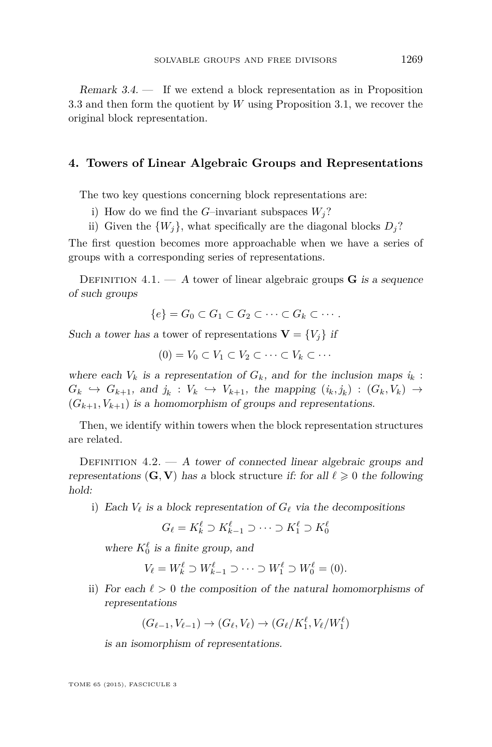<span id="page-19-0"></span>Remark 3.4. — If we extend a block representation as in Proposition [3.3](#page-18-0) and then form the quotient by *W* using Proposition [3.1,](#page-16-0) we recover the original block representation.

#### **4. Towers of Linear Algebraic Groups and Representations**

The two key questions concerning block representations are:

- i) How do we find the *G*–invariant subspaces  $W_i$ ?
- ii) Given the  $\{W_i\}$ , what specifically are the diagonal blocks  $D_i$ ?

The first question becomes more approachable when we have a series of groups with a corresponding series of representations.

DEFINITION  $4.1.$  – A tower of linear algebraic groups **G** is a sequence of such groups

$$
\{e\} = G_0 \subset G_1 \subset G_2 \subset \cdots \subset G_k \subset \cdots.
$$

Such a tower has a tower of representations  $\mathbf{V} = \{V_i\}$  if

$$
(0) = V_0 \subset V_1 \subset V_2 \subset \cdots \subset V_k \subset \cdots
$$

where each  $V_k$  is a representation of  $G_k$ , and for the inclusion maps  $i_k$ :  $G_k \leftrightarrow G_{k+1}$ , and  $j_k : V_k \hookrightarrow V_{k+1}$ , the mapping  $(i_k, j_k) : (G_k, V_k) \rightarrow$  $(G_{k+1}, V_{k+1})$  is a homomorphism of groups and representations.

Then, we identify within towers when the block representation structures are related.

DEFINITION  $4.2. - A$  tower of connected linear algebraic groups and representations  $(G, V)$  has a block structure if: for all  $\ell \geq 0$  the following hold:

i) Each  $V_{\ell}$  is a block representation of  $G_{\ell}$  via the decompositions

$$
G_{\ell} = K_{k}^{\ell} \supset K_{k-1}^{\ell} \supset \cdots \supset K_{1}^{\ell} \supset K_{0}^{\ell}
$$

where  $K_0^{\ell}$  is a finite group, and

 $V_{\ell} = W_{k}^{\ell} \supset W_{k-1}^{\ell} \supset \cdots \supset W_{1}^{\ell} \supset W_{0}^{\ell} = (0).$ 

ii) For each  $\ell > 0$  the composition of the natural homomorphisms of representations

$$
(G_{\ell-1}, V_{\ell-1}) \to (G_{\ell}, V_{\ell}) \to (G_{\ell}/K_1^{\ell}, V_{\ell}/W_1^{\ell})
$$

is an isomorphism of representations.

TOME 65 (2015), FASCICULE 3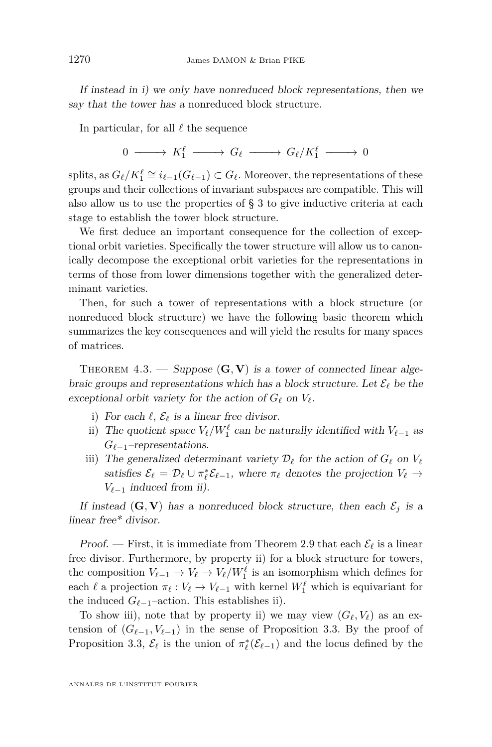<span id="page-20-0"></span>If instead in i) we only have nonreduced block representations, then we say that the tower has a nonreduced block structure.

In particular, for all  $\ell$  the sequence

 $0 \longrightarrow K_1^{\ell} \longrightarrow G_{\ell} \longrightarrow G_{\ell}/K_1^{\ell} \longrightarrow 0$ 

splits, as  $G_{\ell}/K_1^{\ell} \cong i_{\ell-1}(G_{\ell-1}) \subset G_{\ell}$ . Moreover, the representations of these groups and their collections of invariant subspaces are compatible. This will also allow us to use the properties of § [3](#page-15-0) to give inductive criteria at each stage to establish the tower block structure.

We first deduce an important consequence for the collection of exceptional orbit varieties. Specifically the tower structure will allow us to canonically decompose the exceptional orbit varieties for the representations in terms of those from lower dimensions together with the generalized determinant varieties.

Then, for such a tower of representations with a block structure (or nonreduced block structure) we have the following basic theorem which summarizes the key consequences and will yield the results for many spaces of matrices.

THEOREM 4.3. — Suppose  $(G, V)$  is a tower of connected linear algebraic groups and representations which has a block structure. Let  $\mathcal{E}_{\ell}$  be the exceptional orbit variety for the action of  $G_\ell$  on  $V_\ell$ .

- i) For each  $\ell$ ,  $\mathcal{E}_{\ell}$  is a linear free divisor.
- ii) The quotient space  $V_{\ell}/W_1^{\ell}$  can be naturally identified with  $V_{\ell-1}$  as  $G_{\ell-1}$ –representations.
- iii) The generalized determinant variety  $\mathcal{D}_{\ell}$  for the action of  $G_{\ell}$  on  $V_{\ell}$ satisfies  $\mathcal{E}_{\ell} = \mathcal{D}_{\ell} \cup \pi_{\ell}^* \mathcal{E}_{\ell-1}$ , where  $\pi_{\ell}$  denotes the projection  $V_{\ell} \to$  $V_{\ell-1}$  induced from ii).

If instead  $(G, V)$  has a nonreduced block structure, then each  $\mathcal{E}_i$  is a linear free\* divisor.

Proof. — First, it is immediate from Theorem [2.9](#page-13-0) that each  $\mathcal{E}_{\ell}$  is a linear free divisor. Furthermore, by property ii) for a block structure for towers, the composition  $V_{\ell-1} \to V_{\ell} \to V_{\ell}/W_1^{\ell}$  is an isomorphism which defines for each  $\ell$  a projection  $\pi_{\ell}: V_{\ell} \to V_{\ell-1}$  with kernel  $W_1^{\ell}$  which is equivariant for the induced  $G_{\ell-1}$ –action. This establishes ii).

To show iii), note that by property ii) we may view  $(G_{\ell}, V_{\ell})$  as an extension of  $(G_{\ell-1}, V_{\ell-1})$  in the sense of Proposition [3.3.](#page-18-0) By the proof of Proposition [3.3,](#page-18-0)  $\mathcal{E}_{\ell}$  is the union of  $\pi_{\ell}^*(\mathcal{E}_{\ell-1})$  and the locus defined by the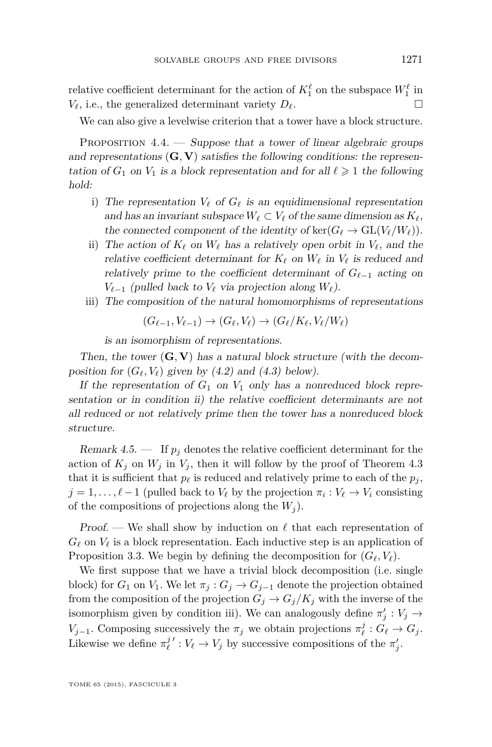<span id="page-21-0"></span>relative coefficient determinant for the action of  $K_1^{\ell}$  on the subspace  $W_1^{\ell}$  in  $V_{\ell}$ , i.e., the generalized determinant variety  $D_{\ell}$ .

We can also give a levelwise criterion that a tower have a block structure.

PROPOSITION  $4.4.$  — Suppose that a tower of linear algebraic groups and representations  $(G, V)$  satisfies the following conditions: the representation of  $G_1$  on  $V_1$  is a block representation and for all  $\ell \geq 1$  the following hold:

- i) The representation  $V_{\ell}$  of  $G_{\ell}$  is an equidimensional representation and has an invariant subspace  $W_\ell \subset V_\ell$  of the same dimension as  $K_\ell$ , the connected component of the identity of  $\ker(G_\ell \to \text{GL}(V_\ell/W_\ell)).$
- ii) The action of  $K_{\ell}$  on  $W_{\ell}$  has a relatively open orbit in  $V_{\ell}$ , and the relative coefficient determinant for  $K_{\ell}$  on  $W_{\ell}$  in  $V_{\ell}$  is reduced and relatively prime to the coefficient determinant of  $G_{\ell-1}$  acting on *V*<sub> $\ell-1$ </sub> (pulled back to *V*<sub> $\ell$ </sub> via projection along *W*<sub> $\ell$ </sub>).
- iii) The composition of the natural homomorphisms of representations

 $(G_{\ell-1}, V_{\ell-1}) \to (G_{\ell}, V_{\ell}) \to (G_{\ell}/K_{\ell}, V_{\ell}/W_{\ell})$ 

is an isomorphism of representations.

Then, the tower  $(G, V)$  has a natural block structure (with the decomposition for  $(G_\ell, V_\ell)$  given by  $(4.2)$  and  $(4.3)$  below).

If the representation of  $G_1$  on  $V_1$  only has a nonreduced block representation or in condition ii) the relative coefficient determinants are not all reduced or not relatively prime then the tower has a nonreduced block structure.

Remark 4.5.  $\frac{1}{2}$  If  $p_j$  denotes the relative coefficient determinant for the action of  $K_j$  on  $W_j$  in  $V_j$ , then it will follow by the proof of Theorem [4.3](#page-20-0) that it is sufficient that  $p_\ell$  is reduced and relatively prime to each of the  $p_j$ ,  $j = 1, \ldots, \ell - 1$  (pulled back to  $V_\ell$  by the projection  $\pi_i : V_\ell \to V_i$  consisting of the compositions of projections along the  $W_j$ ).

Proof. — We shall show by induction on  $\ell$  that each representation of  $G_{\ell}$  on  $V_{\ell}$  is a block representation. Each inductive step is an application of Proposition [3.3.](#page-18-0) We begin by defining the decomposition for  $(G_\ell, V_\ell)$ .

We first suppose that we have a trivial block decomposition (i.e. single block) for  $G_1$  on  $V_1$ . We let  $\pi_j : G_j \to G_{j-1}$  denote the projection obtained from the composition of the projection  $G_i \to G_i/K_i$  with the inverse of the isomorphism given by condition iii). We can analogously define  $\pi'_j : V_j \to$ *V*<sub>*j*</sub>-1. Composing successively the *π*<sup>*j*</sup> we obtain projections  $\pi_{\ell}^{j}: G_{\ell} \to G_j$ . Likewise we define  $\pi_{\ell}^{j'} : V_{\ell} \to V_j$  by successive compositions of the  $\pi'_{j}$ .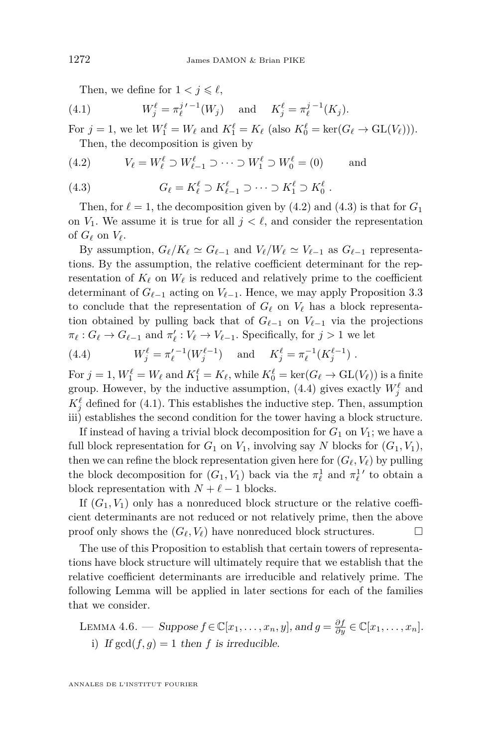<span id="page-22-0"></span>Then, we define for  $1 < j \leq \ell$ ,

(4.1) 
$$
W_j^{\ell} = \pi_{\ell}^{j' - 1}(W_j)
$$
 and  $K_j^{\ell} = \pi_{\ell}^{j - 1}(K_j)$ .

For  $j = 1$ , we let  $W_1^{\ell} = W_{\ell}$  and  $K_1^{\ell} = K_{\ell}$  (also  $K_0^{\ell} = \text{ker}(G_{\ell} \to \text{GL}(V_{\ell}))$ ). Then, the decomposition is given by

(4.2) 
$$
V_{\ell} = W_{\ell}^{\ell} \supset W_{\ell-1}^{\ell} \supset \cdots \supset W_{1}^{\ell} \supset W_{0}^{\ell} = (0) \quad \text{and}
$$

(4.3) 
$$
G_{\ell} = K_{\ell}^{\ell} \supset K_{\ell-1}^{\ell} \supset \cdots \supset K_{1}^{\ell} \supset K_{0}^{\ell}.
$$

Then, for  $\ell = 1$ , the decomposition given by (4.2) and (4.3) is that for  $G_1$ on  $V_1$ . We assume it is true for all  $j < \ell$ , and consider the representation of  $G_\ell$  on  $V_\ell$ .

By assumption,  $G_{\ell}/K_{\ell} \simeq G_{\ell-1}$  and  $V_{\ell}/W_{\ell} \simeq V_{\ell-1}$  as  $G_{\ell-1}$  representations. By the assumption, the relative coefficient determinant for the representation of  $K_{\ell}$  on  $W_{\ell}$  is reduced and relatively prime to the coefficient determinant of  $G_{\ell-1}$  acting on  $V_{\ell-1}$ . Hence, we may apply Proposition [3.3](#page-18-0) to conclude that the representation of  $G_\ell$  on  $V_\ell$  has a block representation obtained by pulling back that of  $G_{\ell-1}$  on  $V_{\ell-1}$  via the projections  $\pi_{\ell}: G_{\ell} \to G_{\ell-1}$  and  $\pi'_{\ell}: V_{\ell} \to V_{\ell-1}$ . Specifically, for  $j > 1$  we let

(4.4) 
$$
W_j^{\ell} = \pi_{\ell}^{\prime -1}(W_j^{\ell-1})
$$
 and  $K_j^{\ell} = \pi_{\ell}^{-1}(K_j^{\ell-1})$ .

For  $j = 1$ ,  $W_1^{\ell} = W_{\ell}$  and  $K_1^{\ell} = K_{\ell}$ , while  $K_0^{\ell} = \text{ker}(G_{\ell} \to \text{GL}(V_{\ell}))$  is a finite group. However, by the inductive assumption, (4.4) gives exactly  $W_j^{\ell}$  and  $K_j^{\ell}$  defined for (4.1). This establishes the inductive step. Then, assumption iii) establishes the second condition for the tower having a block structure.

If instead of having a trivial block decomposition for  $G_1$  on  $V_1$ ; we have a full block representation for  $G_1$  on  $V_1$ , involving say  $N$  blocks for  $(G_1, V_1)$ , then we can refine the block representation given here for  $(G_{\ell}, V_{\ell})$  by pulling the block decomposition for  $(G_1, V_1)$  back via the  $\pi_\ell^1$  and  $\pi_\ell^{1'}$  to obtain a block representation with  $N + \ell - 1$  blocks.

If  $(G_1, V_1)$  only has a nonreduced block structure or the relative coefficient determinants are not reduced or not relatively prime, then the above proof only shows the  $(G_{\ell}, V_{\ell})$  have nonreduced block structures.

The use of this Proposition to establish that certain towers of representations have block structure will ultimately require that we establish that the relative coefficient determinants are irreducible and relatively prime. The following Lemma will be applied in later sections for each of the families that we consider.

LEMMA 4.6. — Suppose  $f \in \mathbb{C}[x_1, \ldots, x_n, y]$ , and  $g = \frac{\partial f}{\partial y} \in \mathbb{C}[x_1, \ldots, x_n]$ . i) If  $gcd(f, g) = 1$  then *f* is irreducible.

ANNALES DE L'INSTITUT FOURIER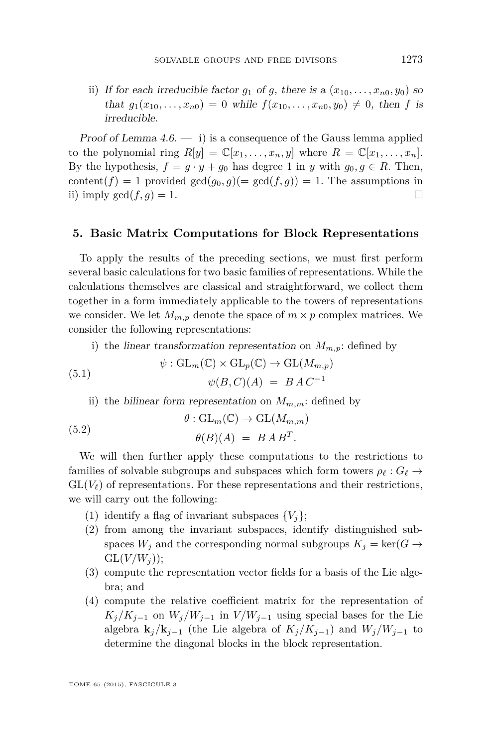<span id="page-23-0"></span>ii) If for each irreducible factor  $g_1$  of  $g$ , there is a  $(x_{10}, \ldots, x_{n0}, y_0)$  so that  $g_1(x_{10},...,x_{n0}) = 0$  while  $f(x_{10},...,x_{n0},y_0) \neq 0$ , then *f* is irreducible.

Proof of Lemma  $4.6. - 1$  $4.6. - 1$  is a consequence of the Gauss lemma applied to the polynomial ring  $R[y] = \mathbb{C}[x_1, \ldots, x_n, y]$  where  $R = \mathbb{C}[x_1, \ldots, x_n]$ . By the hypothesis,  $f = g \cdot y + g_0$  has degree 1 in *y* with  $g_0, g \in R$ . Then, content( $f$ ) = 1 provided  $gcd(g_0, g)$ (=  $gcd(f, g)$ ) = 1. The assumptions in ii) imply  $gcd(f, g) = 1$ .

#### **5. Basic Matrix Computations for Block Representations**

To apply the results of the preceding sections, we must first perform several basic calculations for two basic families of representations. While the calculations themselves are classical and straightforward, we collect them together in a form immediately applicable to the towers of representations we consider. We let  $M_{m,p}$  denote the space of  $m \times p$  complex matrices. We consider the following representations:

i) the linear transformation representation on  $M_{m,p}$ : defined by

(5.1) 
$$
\psi : GL_m(\mathbb{C}) \times GL_p(\mathbb{C}) \to GL(M_{m,p})
$$

$$
\psi(B, C)(A) = BA C^{-1}
$$

ii) the bilinear form representation on  $M_{m,m}$ : defined by

(5.2) 
$$
\theta : GL_m(\mathbb{C}) \to GL(M_{m,m})
$$

$$
\theta(B)(A) = BA B^T.
$$

We will then further apply these computations to the restrictions to families of solvable subgroups and subspaces which form towers  $\rho_{\ell}: G_{\ell} \to$  $GL(V_{\ell})$  of representations. For these representations and their restrictions, we will carry out the following:

- (1) identify a flag of invariant subspaces  $\{V_i\};$
- (2) from among the invariant subspaces, identify distinguished subspaces  $W_j$  and the corresponding normal subgroups  $K_j = \text{ker}(G \rightarrow$  $GL(V/W_i)$ ;
- (3) compute the representation vector fields for a basis of the Lie algebra; and
- (4) compute the relative coefficient matrix for the representation of  $K_j/K_{j-1}$  on  $W_j/W_{j-1}$  in  $V/W_{j-1}$  using special bases for the Lie algebra  $\mathbf{k}_i / \mathbf{k}_{i-1}$  (the Lie algebra of  $K_i / K_{i-1}$ ) and  $W_i / W_{i-1}$  to determine the diagonal blocks in the block representation.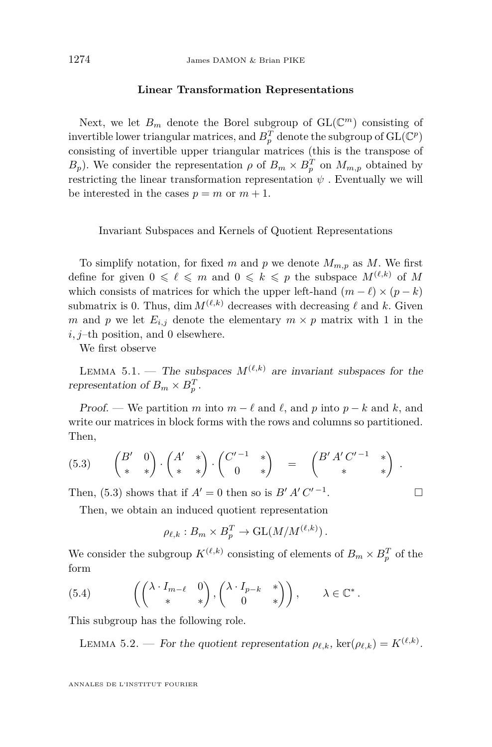#### **Linear Transformation Representations**

<span id="page-24-0"></span>Next, we let  $B_m$  denote the Borel subgroup of  $\text{GL}(\mathbb{C}^m)$  consisting of invertible lower triangular matrices, and  $B_p^T$  denote the subgroup of  $\mathrm{GL}(\mathbb{C}^p)$ consisting of invertible upper triangular matrices (this is the transpose of *B*<sub>*p*</sub>). We consider the representation  $\rho$  of  $B_m \times B_p^T$  on  $M_{m,p}$  obtained by restricting the linear transformation representation  $\psi$ . Eventually we will be interested in the cases  $p = m$  or  $m + 1$ .

Invariant Subspaces and Kernels of Quotient Representations

To simplify notation, for fixed  $m$  and  $p$  we denote  $M_{m,p}$  as  $M$ . We first define for given  $0 \le \ell \le m$  and  $0 \le k \le p$  the subspace  $M^{(\ell,k)}$  of M which consists of matrices for which the upper left-hand  $(m - \ell) \times (p - k)$ submatrix is 0. Thus, dim  $M^{(\ell,k)}$  decreases with decreasing  $\ell$  and  $k$ . Given *m* and *p* we let  $E_{i,j}$  denote the elementary  $m \times p$  matrix with 1 in the *i, j*–th position, and 0 elsewhere.

We first observe

LEMMA 5.1. — The subspaces  $M^{(\ell,k)}$  are invariant subspaces for the representation of  $B_m \times B_p^T$ .

Proof. — We partition *m* into  $m - \ell$  and  $\ell$ , and *p* into  $p - k$  and *k*, and write our matrices in block forms with the rows and columns so partitioned. Then,

$$
(5.3) \qquad \begin{pmatrix} B' & 0 \\ * & * \end{pmatrix} \cdot \begin{pmatrix} A' & * \\ * & * \end{pmatrix} \cdot \begin{pmatrix} C'^{-1} & * \\ 0 & * \end{pmatrix} = \begin{pmatrix} B'A'C'^{-1} & * \\ * & * \end{pmatrix}.
$$

Then, (5.3) shows that if  $A' = 0$  then so is  $B' A' C'^{-1}$ 

Then, we obtain an induced quotient representation

$$
\rho_{\ell,k}: B_m \times B_p^T \to \mathrm{GL}(M/M^{(\ell,k)}).
$$

.

We consider the subgroup  $K^{(\ell,k)}$  consisting of elements of  $B_m \times B_p^T$  of the form

(5.4) 
$$
\left( \begin{pmatrix} \lambda \cdot I_{m-\ell} & 0 \\ * & * \end{pmatrix}, \begin{pmatrix} \lambda \cdot I_{p-k} & * \\ 0 & * \end{pmatrix} \right), \lambda \in \mathbb{C}^*.
$$

This subgroup has the following role.

LEMMA 5.2. — For the quotient representation  $\rho_{\ell,k}$ , ker( $\rho_{\ell,k}$ ) =  $K^{(\ell,k)}$ .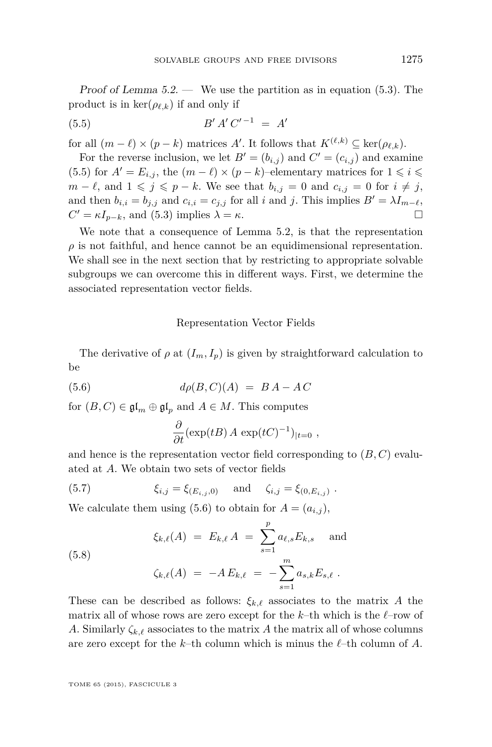<span id="page-25-0"></span>Proof of Lemma  $5.2.$  — We use the partition as in equation  $(5.3)$ . The product is in  $\ker(\rho_{\ell,k})$  if and only if

$$
(5.5) \t\t B' A' C'^{-1} = A'
$$

for all  $(m - \ell) \times (p - k)$  matrices A'. It follows that  $K^{(\ell, k)} \subseteq \text{ker}(\rho_{\ell, k})$ .

For the reverse inclusion, we let  $B' = (b_{i,j})$  and  $C' = (c_{i,j})$  and examine (5.5) for  $A' = E_{i,j}$ , the  $(m - \ell) \times (p - k)$ –elementary matrices for  $1 \leq i \leq k$ *m* −  $\ell$ , and 1 ≤ *j* ≤ *p* − *k*. We see that  $b_{i,j} = 0$  and  $c_{i,j} = 0$  for  $i \neq j$ , and then  $b_{i,i} = b_{j,j}$  and  $c_{i,i} = c_{j,j}$  for all *i* and *j*. This implies  $B' = \lambda I_{m-\ell}$ ,  $C' = \kappa I_{p-k}$ , and [\(5.3\)](#page-24-0) implies  $\lambda = \kappa$ .

We note that a consequence of Lemma [5.2,](#page-24-0) is that the representation  $\rho$  is not faithful, and hence cannot be an equidimensional representation. We shall see in the next section that by restricting to appropriate solvable subgroups we can overcome this in different ways. First, we determine the associated representation vector fields.

#### Representation Vector Fields

The derivative of  $\rho$  at  $(I_m, I_p)$  is given by straightforward calculation to be

$$
(5.6) \qquad d\rho(B,C)(A) = BA - AC
$$

for  $(B, C) \in \mathfrak{gl}_m \oplus \mathfrak{gl}_p$  and  $A \in M$ . This computes

$$
\frac{\partial}{\partial t}(\exp(tB) A \, \exp(tC)^{-1})_{|t=0} ,
$$

and hence is the representation vector field corresponding to  $(B, C)$  evaluated at *A*. We obtain two sets of vector fields

(5.7) 
$$
\xi_{i,j} = \xi_{(E_{i,j},0)}
$$
 and  $\zeta_{i,j} = \xi_{(0,E_{i,j})}$ .

We calculate them using (5.6) to obtain for  $A = (a_{i,j})$ ,

(5.8) 
$$
\xi_{k,\ell}(A) = E_{k,\ell} A = \sum_{s=1}^{p} a_{\ell,s} E_{k,s} \text{ and}
$$

$$
\zeta_{k,\ell}(A) = -A E_{k,\ell} = -\sum_{s=1}^{m} a_{s,k} E_{s,\ell} .
$$

These can be described as follows:  $\xi_{k,\ell}$  associates to the matrix *A* the matrix all of whose rows are zero except for the  $k$ –th which is the  $\ell$ –row of *A*. Similarly  $\zeta_{k,\ell}$  associates to the matrix *A* the matrix all of whose columns are zero except for the  $k$ –th column which is minus the  $\ell$ –th column of  $A$ .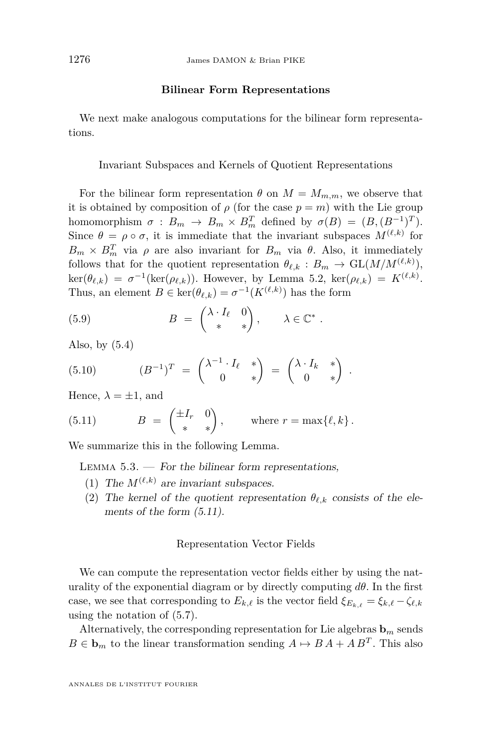#### **Bilinear Form Representations**

<span id="page-26-0"></span>We next make analogous computations for the bilinear form representations.

Invariant Subspaces and Kernels of Quotient Representations

For the bilinear form representation  $\theta$  on  $M = M_{m,m}$ , we observe that it is obtained by composition of  $\rho$  (for the case  $p = m$ ) with the Lie group homomorphism  $\sigma : B_m \to B_m \times B_m^T$  defined by  $\sigma(B) = (B, (B^{-1})^T)$ . Since  $\theta = \rho \circ \sigma$ , it is immediate that the invariant subspaces  $M^{(\ell,k)}$  for  $B_m \times B_m^T$  via  $\rho$  are also invariant for  $B_m$  via  $\theta$ . Also, it immediately follows that for the quotient representation  $\theta_{\ell,k}: B_m \to GL(M/M^{(\ell,k)}),$  $\ker(\theta_{\ell,k}) = \sigma^{-1}(\ker(\rho_{\ell,k}))$ . However, by Lemma [5.2,](#page-24-0)  $\ker(\rho_{\ell,k}) = K^{(\ell,k)}$ . Thus, an element  $B \in \ker(\theta_{\ell,k}) = \sigma^{-1}(K^{(\ell,k)})$  has the form

(5.9) 
$$
B = \begin{pmatrix} \lambda \cdot I_{\ell} & 0 \\ * & * \end{pmatrix}, \qquad \lambda \in \mathbb{C}^*.
$$

Also, by [\(5.4\)](#page-24-0)

$$
(5.10) \qquad (B^{-1})^T = \begin{pmatrix} \lambda^{-1} \cdot I_\ell & * \\ 0 & * \end{pmatrix} = \begin{pmatrix} \lambda \cdot I_k & * \\ 0 & * \end{pmatrix}.
$$

Hence,  $\lambda = \pm 1$ , and

(5.11) 
$$
B = \begin{pmatrix} \pm I_r & 0 \\ * & * \end{pmatrix}, \text{ where } r = \max\{\ell, k\}.
$$

We summarize this in the following Lemma.

LEMMA  $5.3.$  — For the bilinear form representations,

- (1) The  $M^{(\ell,k)}$  are invariant subspaces.
- (2) The kernel of the quotient representation  $\theta_{\ell,k}$  consists of the elements of the form (5.11).

#### Representation Vector Fields

We can compute the representation vector fields either by using the naturality of the exponential diagram or by directly computing  $d\theta$ . In the first case, we see that corresponding to  $E_{k,\ell}$  is the vector field  $\xi_{E_{k,\ell}} = \xi_{k,\ell} - \zeta_{\ell,k}$ using the notation of [\(5.7\)](#page-25-0).

Alternatively, the corresponding representation for Lie algebras  $\mathbf{b}_m$  sends  $B \in \mathbf{b}_m$  to the linear transformation sending  $A \mapsto BA + AB^T$ . This also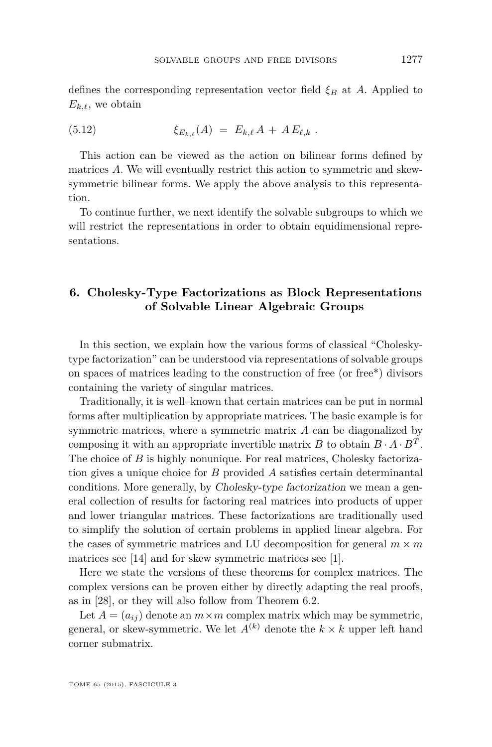<span id="page-27-0"></span>defines the corresponding representation vector field *ξ<sup>B</sup>* at *A*. Applied to  $E_{k,\ell}$ , we obtain

(5.12) 
$$
\xi_{E_{k,\ell}}(A) = E_{k,\ell} A + A E_{\ell,k} .
$$

This action can be viewed as the action on bilinear forms defined by matrices *A*. We will eventually restrict this action to symmetric and skewsymmetric bilinear forms. We apply the above analysis to this representation.

To continue further, we next identify the solvable subgroups to which we will restrict the representations in order to obtain equidimensional representations.

#### **6. Cholesky-Type Factorizations as Block Representations of Solvable Linear Algebraic Groups**

In this section, we explain how the various forms of classical "Choleskytype factorization" can be understood via representations of solvable groups on spaces of matrices leading to the construction of free (or free\*) divisors containing the variety of singular matrices.

Traditionally, it is well–known that certain matrices can be put in normal forms after multiplication by appropriate matrices. The basic example is for symmetric matrices, where a symmetric matrix *A* can be diagonalized by composing it with an appropriate invertible matrix  $B$  to obtain  $B \cdot A \cdot B^T$ . The choice of *B* is highly nonunique. For real matrices, Cholesky factorization gives a unique choice for *B* provided *A* satisfies certain determinantal conditions. More generally, by Cholesky-type factorization we mean a general collection of results for factoring real matrices into products of upper and lower triangular matrices. These factorizations are traditionally used to simplify the solution of certain problems in applied linear algebra. For the cases of symmetric matrices and LU decomposition for general  $m \times m$ matrices see [\[14\]](#page-48-0) and for skew symmetric matrices see [\[1\]](#page-48-0).

Here we state the versions of these theorems for complex matrices. The complex versions can be proven either by directly adapting the real proofs, as in [\[28\]](#page-49-0), or they will also follow from Theorem [6.2.](#page-30-0)

Let  $A = (a_{ij})$  denote an  $m \times m$  complex matrix which may be symmetric, general, or skew-symmetric. We let  $A^{(k)}$  denote the  $k \times k$  upper left hand corner submatrix.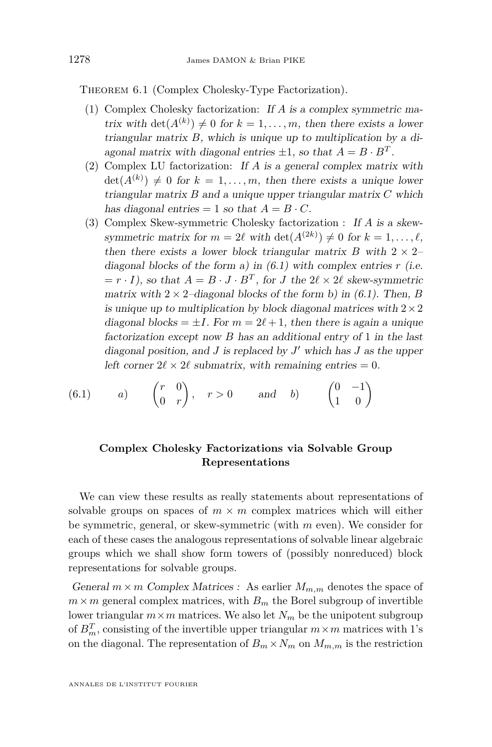<span id="page-28-0"></span>Theorem 6.1 (Complex Cholesky-Type Factorization).

- (1) Complex Cholesky factorization: If *A* is a complex symmetric matrix with  $\det(A^{(k)}) \neq 0$  for  $k = 1, \ldots, m$ , then there exists a lower triangular matrix *B*, which is unique up to multiplication by a diagonal matrix with diagonal entries  $\pm 1$ , so that  $A = B \cdot B^T$ .
- (2) Complex LU factorization: If *A* is a general complex matrix with  $\det(A^{(k)}) \neq 0$  for  $k = 1, \ldots, m$ , then there exists a unique lower triangular matrix *B* and a unique upper triangular matrix *C* which has diagonal entries  $= 1$  so that  $A = B \cdot C$ .
- (3) Complex Skew-symmetric Cholesky factorization : If *A* is a skewsymmetric matrix for  $m = 2\ell$  with  $\det(A^{(2k)}) \neq 0$  for  $k = 1, \ldots, \ell$ , then there exists a lower block triangular matrix *B* with  $2 \times 2$ – diagonal blocks of the form a) in  $(6.1)$  with complex entries  $r$  (i.e.  $= r \cdot I$ , so that  $A = B \cdot J \cdot B^T$ , for *J* the  $2\ell \times 2\ell$  skew-symmetric matrix with  $2 \times 2$ -diagonal blocks of the form b) in (6.1). Then, *B* is unique up to multiplication by block diagonal matrices with  $2 \times 2$ diagonal blocks =  $\pm I$ . For  $m = 2\ell + 1$ , then there is again a unique factorization except now *B* has an additional entry of 1 in the last diagonal position, and  $J$  is replaced by  $J'$  which has  $J$  as the upper left corner  $2\ell \times 2\ell$  submatrix, with remaining entries = 0.

(6.1)   
 a) 
$$
\begin{pmatrix} r & 0 \\ 0 & r \end{pmatrix}
$$
,  $r > 0$  and b)  $\begin{pmatrix} 0 & -1 \\ 1 & 0 \end{pmatrix}$ 

#### **Complex Cholesky Factorizations via Solvable Group Representations**

We can view these results as really statements about representations of solvable groups on spaces of  $m \times m$  complex matrices which will either be symmetric, general, or skew-symmetric (with *m* even). We consider for each of these cases the analogous representations of solvable linear algebraic groups which we shall show form towers of (possibly nonreduced) block representations for solvable groups.

General  $m \times m$  Complex Matrices : As earlier  $M_{m,m}$  denotes the space of  $m \times m$  general complex matrices, with  $B_m$  the Borel subgroup of invertible lower triangular  $m \times m$  matrices. We also let  $N_m$  be the unipotent subgroup of  $B_m^T$ , consisting of the invertible upper triangular  $m \times m$  matrices with 1's on the diagonal. The representation of  $B_m \times N_m$  on  $M_{m,m}$  is the restriction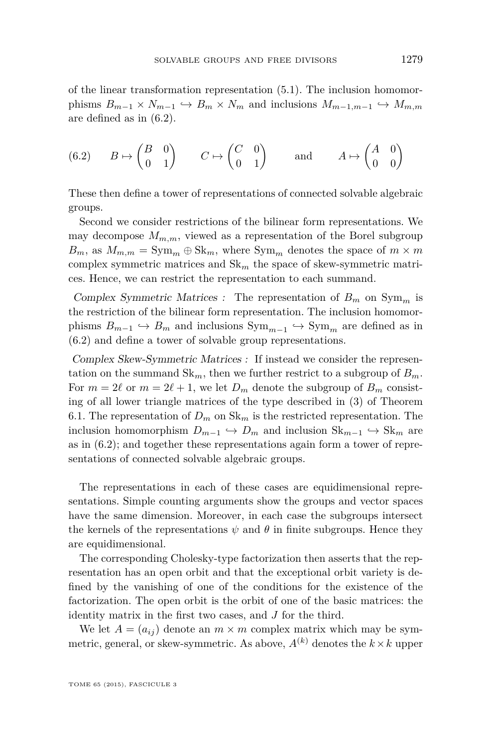<span id="page-29-0"></span>of the linear transformation representation [\(5.1\)](#page-23-0). The inclusion homomorphisms  $B_{m-1} \times N_{m-1} \hookrightarrow B_m \times N_m$  and inclusions  $M_{m-1,m-1} \hookrightarrow M_{m,m}$ are defined as in (6.2).

(6.2) 
$$
B \mapsto \begin{pmatrix} B & 0 \\ 0 & 1 \end{pmatrix}
$$
  $C \mapsto \begin{pmatrix} C & 0 \\ 0 & 1 \end{pmatrix}$  and  $A \mapsto \begin{pmatrix} A & 0 \\ 0 & 0 \end{pmatrix}$ 

These then define a tower of representations of connected solvable algebraic groups.

Second we consider restrictions of the bilinear form representations. We may decompose  $M_{m,m}$ , viewed as a representation of the Borel subgroup  $B_m$ , as  $M_{m,m} = \text{Sym}_m \oplus \text{Sk}_m$ , where  $\text{Sym}_m$  denotes the space of  $m \times m$ complex symmetric matrices and  $\text{Sk}_m$  the space of skew-symmetric matrices. Hence, we can restrict the representation to each summand.

Complex Symmetric Matrices : The representation of  $B_m$  on  $Sym_m$  is the restriction of the bilinear form representation. The inclusion homomorphisms  $B_{m-1} \hookrightarrow B_m$  and inclusions  $\text{Sym}_{m-1} \hookrightarrow \text{Sym}_m$  are defined as in (6.2) and define a tower of solvable group representations.

Complex Skew-Symmetric Matrices : If instead we consider the representation on the summand  $\text{Sk}_m$ , then we further restrict to a subgroup of  $B_m$ . For  $m = 2\ell$  or  $m = 2\ell + 1$ , we let  $D_m$  denote the subgroup of  $B_m$  consisting of all lower triangle matrices of the type described in (3) of Theorem [6.1.](#page-28-0) The representation of  $D_m$  on  $\text{Sk}_m$  is the restricted representation. The inclusion homomorphism  $D_{m-1} \hookrightarrow D_m$  and inclusion  $\text{Sk}_{m-1} \hookrightarrow \text{Sk}_m$  are as in (6.2); and together these representations again form a tower of representations of connected solvable algebraic groups.

The representations in each of these cases are equidimensional representations. Simple counting arguments show the groups and vector spaces have the same dimension. Moreover, in each case the subgroups intersect the kernels of the representations  $\psi$  and  $\theta$  in finite subgroups. Hence they are equidimensional.

The corresponding Cholesky-type factorization then asserts that the representation has an open orbit and that the exceptional orbit variety is defined by the vanishing of one of the conditions for the existence of the factorization. The open orbit is the orbit of one of the basic matrices: the identity matrix in the first two cases, and *J* for the third.

We let  $A = (a_{ij})$  denote an  $m \times m$  complex matrix which may be symmetric, general, or skew-symmetric. As above,  $A^{(k)}$  denotes the  $k \times k$  upper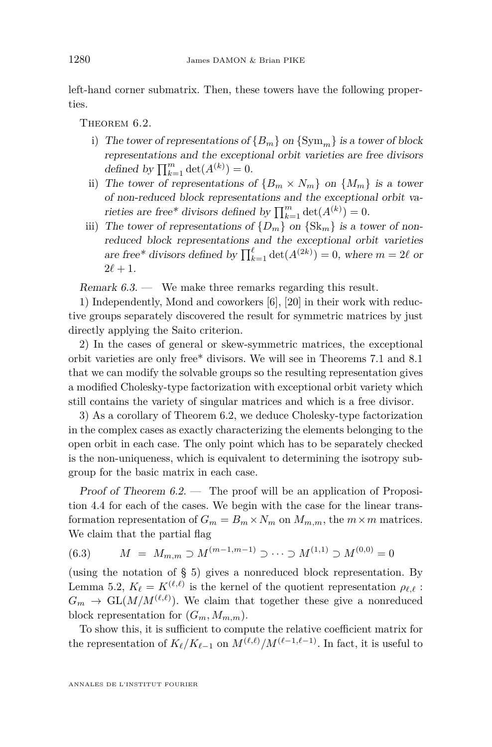<span id="page-30-0"></span>left-hand corner submatrix. Then, these towers have the following properties.

THEOREM  $6.2$ .

- i) The tower of representations of  ${B_m}$  on  ${\text{Sym}_m}$  is a tower of block representations and the exceptional orbit varieties are free divisors defined by  $\prod_{k=1}^{m} \det(A^{(k)}) = 0.$
- ii) The tower of representations of  ${B_m \times N_m}$  on  ${M_m}$  is a tower of non-reduced block representations and the exceptional orbit varieties are free\* divisors defined by  $\prod_{k=1}^{m} \det(A^{(k)}) = 0$ .
- iii) The tower of representations of  $\{D_m\}$  on  $\{Sk_m\}$  is a tower of nonreduced block representations and the exceptional orbit varieties are free\* divisors defined by  $\prod_{k=1}^{\ell} \det(A^{(2k)}) = 0$ , where  $m = 2\ell$  or  $2\ell + 1$ .

Remark 6.3. — We make three remarks regarding this result.

1) Independently, Mond and coworkers [\[6\]](#page-48-0), [\[20\]](#page-49-0) in their work with reductive groups separately discovered the result for symmetric matrices by just directly applying the Saito criterion.

2) In the cases of general or skew-symmetric matrices, the exceptional orbit varieties are only free\* divisors. We will see in Theorems [7.1](#page-35-0) and [8.1](#page-39-0) that we can modify the solvable groups so the resulting representation gives a modified Cholesky-type factorization with exceptional orbit variety which still contains the variety of singular matrices and which is a free divisor.

3) As a corollary of Theorem 6.2, we deduce Cholesky-type factorization in the complex cases as exactly characterizing the elements belonging to the open orbit in each case. The only point which has to be separately checked is the non-uniqueness, which is equivalent to determining the isotropy subgroup for the basic matrix in each case.

Proof of Theorem  $6.2$ . — The proof will be an application of Proposition [4.4](#page-21-0) for each of the cases. We begin with the case for the linear transformation representation of  $G_m = B_m \times N_m$  on  $M_{m,m}$ , the  $m \times m$  matrices. We claim that the partial flag

$$
(6.3) \qquad M = M_{m,m} \supset M^{(m-1,m-1)} \supset \cdots \supset M^{(1,1)} \supset M^{(0,0)} = 0
$$

(using the notation of § [5\)](#page-23-0) gives a nonreduced block representation. By Lemma [5.2,](#page-24-0)  $K_{\ell} = K^{(\ell,\ell)}$  is the kernel of the quotient representation  $\rho_{\ell,\ell}$ :  $G_m \to GL(M/M^{(\ell,\ell)})$ . We claim that together these give a nonreduced block representation for  $(G_m, M_{m,m})$ .

To show this, it is sufficient to compute the relative coefficient matrix for the representation of  $K_{\ell}/K_{\ell-1}$  on  $M^{(\ell,\ell)}/M^{(\ell-1,\ell-1)}$ . In fact, it is useful to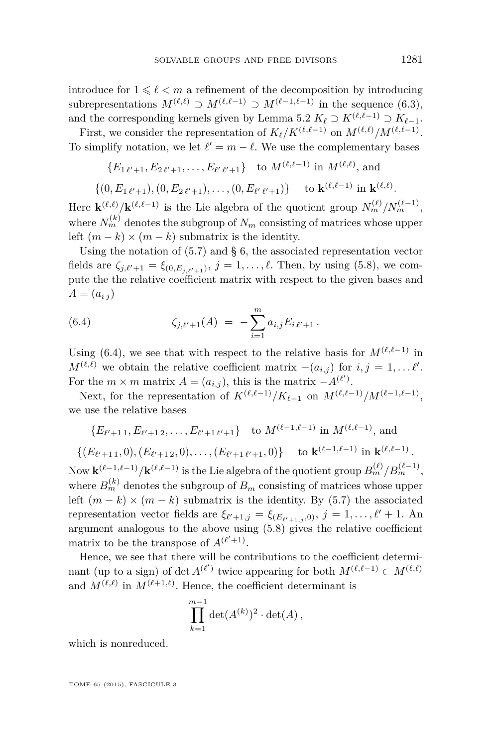introduce for  $1 \leq \ell < m$  a refinement of the decomposition by introducing subrepresentations  $M^{(\ell,\ell)} \supset M^{(\ell,\ell-1)} \supset M^{(\ell-1,\ell-1)}$  in the sequence [\(6.3\)](#page-30-0), and the corresponding kernels given by Lemma [5.2](#page-24-0)  $K_{\ell} \supset K^{(\ell, \ell-1)} \supset K_{\ell-1}$ .

First, we consider the representation of  $K_{\ell}/K^{(\ell,\ell-1)}$  on  $M^{(\ell,\ell)}/M^{(\ell,\ell-1)}$ . To simplify notation, we let  $\ell' = m - \ell$ . We use the complementary bases

$$
{E_1}_{\ell'+1}, E_2_{\ell'+1}, \ldots, E_{\ell'\ell'+1}
$$
 to  $M^{(\ell,\ell-1)}$  in  $M^{(\ell,\ell)}$ , and

$$
\{(0,E_1_{\ell'+1}), (0,E_2_{\ell'+1}), \ldots, (0,E_{\ell'\ell'+1})\} \text{ to } \mathbf{k}^{(\ell,\ell-1)} \text{ in } \mathbf{k}^{(\ell,\ell)}.
$$

Here  $\mathbf{k}^{(\ell,\ell)}/\mathbf{k}^{(\ell,\ell-1)}$  is the Lie algebra of the quotient group  $N_m^{(\ell)}/N_m^{(\ell-1)}$ , where  $N_m^{(k)}$  denotes the subgroup of  $N_m$  consisting of matrices whose upper left  $(m - k) \times (m - k)$  submatrix is the identity.

Using the notation of  $(5.7)$  and § [6,](#page-27-0) the associated representation vector fields are  $\zeta_{j,\ell'+1} = \xi_{(0,E_{j,\ell'+1})}, j = 1,\ldots,\ell$ . Then, by using [\(5.8\)](#page-25-0), we compute the the relative coefficient matrix with respect to the given bases and  $A = (a_{i,j})$ 

(6.4) 
$$
\zeta_{j,\ell'+1}(A) = -\sum_{i=1}^m a_{i,j} E_i \ell'_{+1}.
$$

Using (6.4), we see that with respect to the relative basis for  $M^{(\ell,\ell-1)}$  in  $M^{(\ell,\ell)}$  we obtain the relative coefficient matrix  $-(a_{i,j})$  for  $i, j = 1, \ldots \ell'$ . For the  $m \times m$  matrix  $A = (a_{i,j})$ , this is the matrix  $-A^{(\ell')}$ .

Next, for the representation of  $K^{(\ell,\ell-1)}/K_{\ell-1}$  on  $M^{(\ell,\ell-1)}/M^{(\ell-1,\ell-1)}$ , we use the relative bases

$$
{E_{\ell'+1,1}, E_{\ell'+1,2}, \ldots, E_{\ell'+1,\ell'+1}}
$$
 to  $M^{(\ell-1,\ell-1)}$  in  $M^{(\ell,\ell-1)}$ , and

 $\{(E_{\ell'+1,1}, 0), (E_{\ell'+1,2}, 0), \ldots, (E_{\ell'+1,\ell'+1}, 0)\}$  to  $\mathbf{k}^{(\ell-1,\ell-1)}$  in  $\mathbf{k}^{(\ell,\ell-1)}$ . Now  $\mathbf{k}^{(\ell-1,\ell-1)}/\mathbf{k}^{(\ell,\ell-1)}$  is the Lie algebra of the quotient group  $B_m^{(\ell)}/B_m^{(\ell-1)}$ , where  $B_{m}^{(k)}$  denotes the subgroup of  $B_{m}$  consisting of matrices whose upper left  $(m - k) \times (m - k)$  submatrix is the identity. By [\(5.7\)](#page-25-0) the associated representation vector fields are  $\xi_{\ell'+1,j} = \xi_{(E_{\ell'+1,j},0)}, j = 1, ..., \ell' + 1$ . An argument analogous to the above using [\(5.8\)](#page-25-0) gives the relative coefficient matrix to be the transpose of  $A^{(\ell'+1)}$ .

Hence, we see that there will be contributions to the coefficient determinant (up to a sign) of det  $A^{(\ell')}$  twice appearing for both  $M^{(\ell,\ell-1)} \subset M^{(\ell,\ell)}$ and  $M^{(\ell,\ell)}$  in  $M^{(\ell+1,\ell)}$ . Hence, the coefficient determinant is

$$
\prod_{k=1}^{m-1} \det(A^{(k)})^2 \cdot \det(A) ,
$$

which is nonreduced.

TOME 65 (2015), FASCICULE 3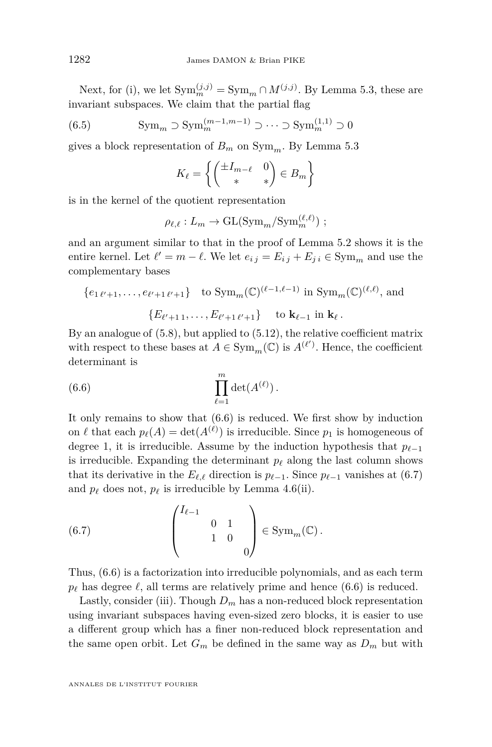Next, for (i), we let  $\text{Sym}_m^{(j,j)} = \text{Sym}_m \cap M^{(j,j)}$ . By Lemma [5.3,](#page-26-0) these are invariant subspaces. We claim that the partial flag

(6.5) 
$$
\mathrm{Sym}_m \supset \mathrm{Sym}_m^{(m-1,m-1)} \supset \cdots \supset \mathrm{Sym}_m^{(1,1)} \supset 0
$$

gives a block representation of  $B_m$  on  $Sym_m$ . By Lemma [5.3](#page-26-0)

$$
K_{\ell} = \left\{ \begin{pmatrix} \pm I_{m-\ell} & 0\\ * & * \end{pmatrix} \in B_m \right\}
$$

is in the kernel of the quotient representation

$$
\rho_{\ell,\ell}: L_m \to \mathrm{GL}(\mathrm{Sym}_m/\mathrm{Sym}_m^{(\ell,\ell)})
$$
;

and an argument similar to that in the proof of Lemma [5.2](#page-24-0) shows it is the entire kernel. Let  $\ell' = m - \ell$ . We let  $e_{i j} = E_{i j} + E_{j i} \in \text{Sym}_{m}$  and use the complementary bases

$$
\{e_1_{\ell'+1}, \dots, e_{\ell'+1_{\ell'+1}}\} \text{ to } \text{Sym}_m(\mathbb{C})^{(\ell-1,\ell-1)} \text{ in } \text{Sym}_m(\mathbb{C})^{(\ell,\ell)}, \text{ and}
$$

$$
\{E_{\ell'+11}, \dots, E_{\ell'+1_{\ell'+1}}\} \text{ to } \mathbf{k}_{\ell-1} \text{ in } \mathbf{k}_{\ell}.
$$

By an analogue of [\(5.8\)](#page-25-0), but applied to [\(5.12\)](#page-27-0), the relative coefficient matrix with respect to these bases at  $A \in \text{Sym}_m(\mathbb{C})$  is  $A^{(\ell')}$ . Hence, the coefficient determinant is

(6.6) 
$$
\prod_{\ell=1}^m \det(A^{(\ell)}) .
$$

It only remains to show that (6.6) is reduced. We first show by induction on  $\ell$  that each  $p_{\ell}(A) = \det(A^{(\ell)})$  is irreducible. Since  $p_1$  is homogeneous of degree 1, it is irreducible. Assume by the induction hypothesis that  $p_{\ell-1}$ is irreducible. Expanding the determinant  $p_\ell$  along the last column shows that its derivative in the  $E_{\ell,\ell}$  direction is  $p_{\ell-1}$ . Since  $p_{\ell-1}$  vanishes at (6.7) and  $p_\ell$  does not,  $p_\ell$  is irreducible by Lemma [4.6\(](#page-22-0)ii).

(6.7) 
$$
\begin{pmatrix} I_{\ell-1} & & \\ & 0 & 1 \\ & 1 & 0 \\ & & 0 \end{pmatrix} \in \text{Sym}_m(\mathbb{C}).
$$

Thus, (6.6) is a factorization into irreducible polynomials, and as each term  $p_\ell$  has degree  $\ell$ , all terms are relatively prime and hence (6.6) is reduced.

Lastly, consider (iii). Though  $D_m$  has a non-reduced block representation using invariant subspaces having even-sized zero blocks, it is easier to use a different group which has a finer non-reduced block representation and the same open orbit. Let  $G_m$  be defined in the same way as  $D_m$  but with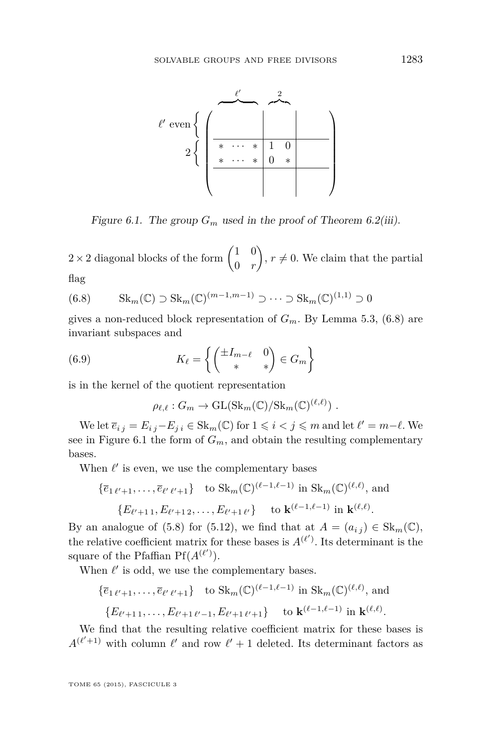

Figure 6.1. The group  $G_m$  used in the proof of Theorem [6.2\(](#page-30-0)iii).

 $2\times 2$  diagonal blocks of the form  $\begin{pmatrix} 1 & 0 \\ 0 & 0 \end{pmatrix}$ 0 *r*  $\left( n, r \neq 0. \right.$  We claim that the partial flag

(6.8) 
$$
Sk_m(\mathbb{C}) \supset Sk_m(\mathbb{C})^{(m-1,m-1)} \supset \cdots \supset Sk_m(\mathbb{C})^{(1,1)} \supset 0
$$

gives a non-reduced block representation of  $G_m$ . By Lemma [5.3,](#page-26-0) (6.8) are invariant subspaces and

(6.9) 
$$
K_{\ell} = \left\{ \begin{pmatrix} \pm I_{m-\ell} & 0 \\ * & * \end{pmatrix} \in G_m \right\}
$$

is in the kernel of the quotient representation

 $\rho_{\ell,\ell}: G_m \to \mathrm{GL}(\mathrm{Sk}_m(\mathbb{C})/\mathrm{Sk}_m(\mathbb{C})^{(\ell,\ell)})$ .

We let  $\overline{e}_{i j} = E_{i j} - E_{j i} \in Sk_m(\mathbb{C})$  for  $1 \leq i < j \leq m$  and let  $\ell' = m - \ell$ . We see in Figure 6.1 the form of  $G_m$ , and obtain the resulting complementary bases.

When  $\ell'$  is even, we use the complementary bases

$$
\{\overline{e}_1 \ell_{\ell+1}, \ldots, \overline{e}_{\ell'} \ell_{\ell+1}\} \text{ to } \text{Sk}_m(\mathbb{C})^{(\ell-1,\ell-1)} \text{ in } \text{Sk}_m(\mathbb{C})^{(\ell,\ell)}, \text{ and}
$$
  

$$
\{E_{\ell'+1,1}, E_{\ell'+1,2}, \ldots, E_{\ell'+1,\ell'}\} \text{ to } \mathbf{k}^{(\ell-1,\ell-1)} \text{ in } \mathbf{k}^{(\ell,\ell)}.
$$

By an analogue of [\(5.8\)](#page-25-0) for [\(5.12\)](#page-27-0), we find that at  $A = (a_{ij}) \in Sk_m(\mathbb{C}),$ the relative coefficient matrix for these bases is  $A^{(\ell')}$ . Its determinant is the square of the Pfaffian  $Pf(A^{(\ell')})$ .

When  $\ell'$  is odd, we use the complementary bases.

$$
\{\overline{e}_1 \ell_{+1}, \ldots, \overline{e}_{\ell'} \ell_{+1}\} \text{ to } \text{Sk}_m(\mathbb{C})^{(\ell-1,\ell-1)} \text{ in } \text{Sk}_m(\mathbb{C})^{(\ell,\ell)}, \text{ and}
$$
  

$$
\{E_{\ell'+1,1}, \ldots, E_{\ell'+1, \ell'-1}, E_{\ell'+1, \ell'+1}\} \text{ to } \mathbf{k}^{(\ell-1,\ell-1)} \text{ in } \mathbf{k}^{(\ell,\ell)}.
$$

We find that the resulting relative coefficient matrix for these bases is  $A^{(\ell'+1)}$  with column  $\ell'$  and row  $\ell' + 1$  deleted. Its determinant factors as

TOME 65 (2015), FASCICULE 3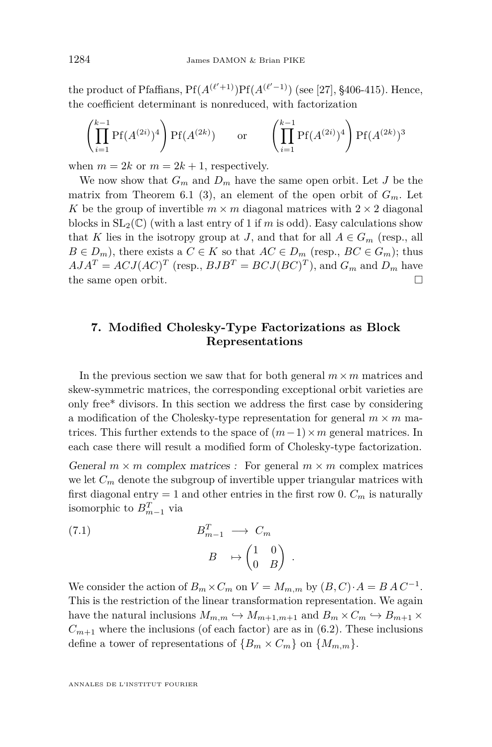<span id="page-34-0"></span>the product of Pfaffians,  $Pf(A^{(\ell'+1)})Pf(A^{(\ell'-1)})$  (see [\[27\]](#page-49-0), §406-415). Hence, the coefficient determinant is nonreduced, with factorization

$$
\left(\prod_{i=1}^{k-1} \text{Pf}(A^{(2i)})^4\right) \text{Pf}(A^{(2k)}) \qquad \text{or} \qquad \left(\prod_{i=1}^{k-1} \text{Pf}(A^{(2i)})^4\right) \text{Pf}(A^{(2k)})^3
$$

when  $m = 2k$  or  $m = 2k + 1$ , respectively.

We now show that  $G_m$  and  $D_m$  have the same open orbit. Let *J* be the matrix from Theorem [6.1](#page-28-0) (3), an element of the open orbit of  $G_m$ . Let *K* be the group of invertible  $m \times m$  diagonal matrices with  $2 \times 2$  diagonal blocks in  $SL_2(\mathbb{C})$  (with a last entry of 1 if *m* is odd). Easy calculations show that *K* lies in the isotropy group at *J*, and that for all  $A \in G_m$  (resp., all *B* ∈ *D<sub>m</sub>*), there exists a *C* ∈ *K* so that  $AC \in D_m$  (resp.,  $BC \in G_m$ ); thus  $AJA<sup>T</sup> = ACJ(AC)<sup>T</sup>$  (resp.,  $BJB<sup>T</sup> = BCJ(BC)<sup>T</sup>$ ), and  $G<sub>m</sub>$  and  $D<sub>m</sub>$  have the same open orbit.

#### **7. Modified Cholesky-Type Factorizations as Block Representations**

In the previous section we saw that for both general  $m \times m$  matrices and skew-symmetric matrices, the corresponding exceptional orbit varieties are only free\* divisors. In this section we address the first case by considering a modification of the Cholesky-type representation for general  $m \times m$  matrices. This further extends to the space of  $(m-1) \times m$  general matrices. In each case there will result a modified form of Cholesky-type factorization.

General  $m \times m$  complex matrices : For general  $m \times m$  complex matrices we let  $C_m$  denote the subgroup of invertible upper triangular matrices with first diagonal entry  $= 1$  and other entries in the first row 0.  $C_m$  is naturally isomorphic to  $B_{m-1}^T$  via

(7.1) 
$$
B_{m-1}^T \longrightarrow C_m
$$

$$
B \longrightarrow \begin{pmatrix} 1 & 0 \\ 0 & B \end{pmatrix}
$$

We consider the action of  $B_m \times C_m$  on  $V = M_{m,m}$  by  $(B, C) \cdot A = B A C^{-1}$ . This is the restriction of the linear transformation representation. We again have the natural inclusions  $M_{m,m} \hookrightarrow M_{m+1,m+1}$  and  $B_m \times C_m \hookrightarrow B_{m+1} \times$  $C_{m+1}$  where the inclusions (of each factor) are as in [\(6.2\)](#page-29-0). These inclusions define a tower of representations of  ${B_m \times C_m}$  on  ${M_{m,m}}$ .

*.*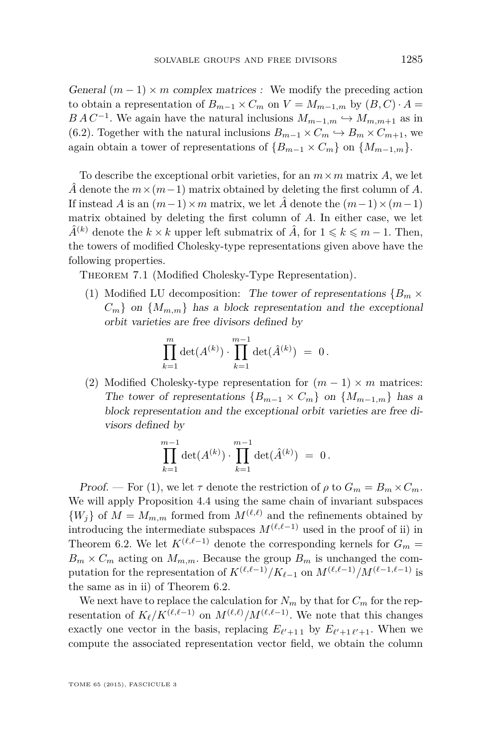<span id="page-35-0"></span>General  $(m-1) \times m$  complex matrices : We modify the preceding action to obtain a representation of  $B_{m-1} \times C_m$  on  $V = M_{m-1,m}$  by  $(B, C) \cdot A =$ *BAC*<sup>−1</sup>. We again have the natural inclusions  $M_{m-1,m}$   $\hookrightarrow$   $M_{m,m+1}$  as in [\(6.2\)](#page-29-0). Together with the natural inclusions  $B_{m-1} \times C_m \hookrightarrow B_m \times C_{m+1}$ , we again obtain a tower of representations of  ${B_{m-1} \times C_m}$  on  ${M_{m-1,m}}$ .

To describe the exceptional orbit varieties, for an  $m \times m$  matrix A, we let  $\hat{A}$  denote the  $m \times (m-1)$  matrix obtained by deleting the first column of  $A$ . If instead *A* is an  $(m-1) \times m$  matrix, we let  $\hat{A}$  denote the  $(m-1) \times (m-1)$ matrix obtained by deleting the first column of *A*. In either case, we let  $\hat{A}^{(k)}$  denote the  $k \times k$  upper left submatrix of  $\hat{A}$ , for  $1 \leq k \leq m-1$ . Then, the towers of modified Cholesky-type representations given above have the following properties.

THEOREM 7.1 (Modified Cholesky-Type Representation).

(1) Modified LU decomposition: The tower of representations  ${B_m \times B_m}$  $C_m$  on  $\{M_{m,m}\}\$  has a block representation and the exceptional orbit varieties are free divisors defined by

$$
\prod_{k=1}^m \det(A^{(k)}) \cdot \prod_{k=1}^{m-1} \det(\hat{A}^{(k)}) = 0.
$$

(2) Modified Cholesky-type representation for  $(m-1) \times m$  matrices: The tower of representations  ${B_{m-1} \times C_m}$  on  ${M_{m-1,m}}$  has a block representation and the exceptional orbit varieties are free divisors defined by

$$
\prod_{k=1}^{m-1} \det(A^{(k)}) \cdot \prod_{k=1}^{m-1} \det(\hat{A}^{(k)}) = 0.
$$

Proof. — For (1), we let  $\tau$  denote the restriction of  $\rho$  to  $G_m = B_m \times C_m$ . We will apply Proposition [4.4](#page-21-0) using the same chain of invariant subspaces  ${W_i}$  of  $M = M_{m,m}$  formed from  $M^{(\ell,\ell)}$  and the refinements obtained by introducing the intermediate subspaces  $M^{(\ell,\ell-1)}$  used in the proof of ii) in Theorem [6.2.](#page-30-0) We let  $K^{(\ell,\ell-1)}$  denote the corresponding kernels for  $G_m$  =  $B_m \times C_m$  acting on  $M_{m,m}$ . Because the group  $B_m$  is unchanged the computation for the representation of  $K^{(\ell,\ell-1)}/K_{\ell-1}$  on  $M^{(\ell,\ell-1)}/M^{(\ell-1,\ell-1)}$  is the same as in ii) of Theorem [6.2.](#page-30-0)

We next have to replace the calculation for  $N_m$  by that for  $C_m$  for the representation of  $K_{\ell}/K^{(\ell,\ell-1)}$  on  $M^{(\ell,\ell)}/M^{(\ell,\ell-1)}$ . We note that this changes exactly one vector in the basis, replacing  $E_{\ell'+1}$  by  $E_{\ell'+1}$ , *N*hen we compute the associated representation vector field, we obtain the column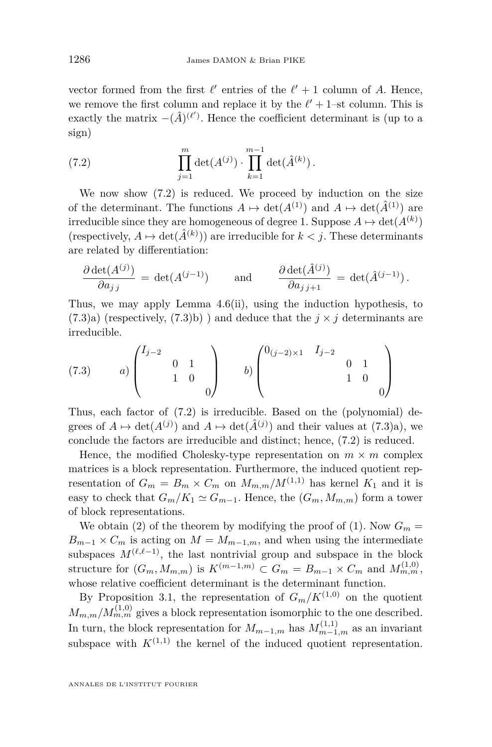vector formed from the first  $\ell'$  entries of the  $\ell' + 1$  column of *A*. Hence, we remove the first column and replace it by the  $\ell' + 1$ -st column. This is exactly the matrix  $-(\hat{A})^{(\ell')}$ . Hence the coefficient determinant is (up to a sign)

(7.2) 
$$
\prod_{j=1}^{m} \det(A^{(j)}) \cdot \prod_{k=1}^{m-1} \det(\hat{A}^{(k)}) .
$$

We now show (7.2) is reduced. We proceed by induction on the size of the determinant. The functions  $A \mapsto \det(A^{(1)})$  and  $A \mapsto \det(\hat{A}^{(1)})$  are irreducible since they are homogeneous of degree 1. Suppose  $A \mapsto \det(A^{(k)})$ (respectively,  $A \mapsto \det(\hat{A}^{(k)})$ ) are irreducible for  $k < j$ . These determinants are related by differentiation:

$$
\frac{\partial \det(A^{(j)})}{\partial a_{j\,j}} = \det(A^{(j-1)}) \quad \text{and} \quad \frac{\partial \det(\hat{A}^{(j)})}{\partial a_{j\,j+1}} = \det(\hat{A}^{(j-1)})\,.
$$

Thus, we may apply Lemma [4.6\(](#page-22-0)ii), using the induction hypothesis, to  $(7.3)a$ ) (respectively,  $(7.3)b$ ) and deduce that the  $j \times j$  determinants are irreducible.

(7.3) 
$$
a) \begin{pmatrix} I_{j-2} & 0 & 1 \\ 0 & 1 & 0 \\ 1 & 0 & 0 \end{pmatrix}
$$
  $b) \begin{pmatrix} 0_{(j-2)\times 1} & I_{j-2} & 0 & 1 \\ 0 & 1 & 0 \\ 0 & 0 & 0 \end{pmatrix}$ 

Thus, each factor of (7.2) is irreducible. Based on the (polynomial) degrees of  $A \mapsto \det(A^{(j)})$  and  $A \mapsto \det(\hat{A}^{(j)})$  and their values at (7.3)a), we conclude the factors are irreducible and distinct; hence, (7.2) is reduced.

Hence, the modified Cholesky-type representation on  $m \times m$  complex matrices is a block representation. Furthermore, the induced quotient representation of  $G_m = B_m \times C_m$  on  $M_{m,m}/M^{(1,1)}$  has kernel  $K_1$  and it is easy to check that  $G_m/K_1 \simeq G_{m-1}$ . Hence, the  $(G_m, M_{m,m})$  form a tower of block representations.

We obtain (2) of the theorem by modifying the proof of (1). Now  $G_m =$  $B_{m-1} \times C_m$  is acting on  $M = M_{m-1,m}$ , and when using the intermediate subspaces  $M^{(\ell,\ell-1)}$ , the last nontrivial group and subspace in the block structure for  $(G_m, M_{m,m})$  is  $K^{(m-1,m)} \subset G_m = B_{m-1} \times C_m$  and  $M_{m,m}^{(1,0)}$ , whose relative coefficient determinant is the determinant function.

By Proposition [3.1,](#page-16-0) the representation of  $G_m/K^{(1,0)}$  on the quotient  $M_{m,m}/M_{m,m}^{(1,0)}$  gives a block representation isomorphic to the one described. In turn, the block representation for  $M_{m-1,m}$  has  $M_{m-1,m}^{(1,1)}$  as an invariant subspace with  $K^{(1,1)}$  the kernel of the induced quotient representation.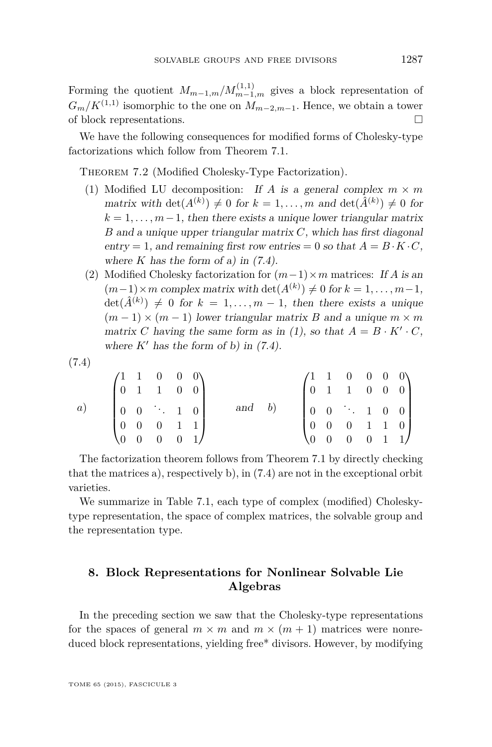<span id="page-37-0"></span>Forming the quotient  $M_{m-1,m}/M_{m-1,m}^{(1,1)}$  gives a block representation of  $G_m/K^{(1,1)}$  isomorphic to the one on  $M_{m-2,m-1}$ . Hence, we obtain a tower of block representations.

We have the following consequences for modified forms of Cholesky-type factorizations which follow from Theorem [7.1.](#page-35-0)

Theorem 7.2 (Modified Cholesky-Type Factorization).

- (1) Modified LU decomposition: If *A* is a general complex  $m \times m$ matrix with  $\det(A^{(k)}) \neq 0$  for  $k = 1, ..., m$  and  $\det(\hat{A}^{(k)}) \neq 0$  for  $k = 1, \ldots, m-1$ , then there exists a unique lower triangular matrix *B* and a unique upper triangular matrix *C*, which has first diagonal entry = 1, and remaining first row entries = 0 so that  $A = B \cdot K \cdot C$ , where  $K$  has the form of a) in  $(7.4)$ .
- (2) Modified Cholesky factorization for  $(m-1) \times m$  matrices: If *A* is an  $(m-1) \times m$  complex matrix with  $\det(A^{(k)}) \neq 0$  for  $k = 1, \ldots, m-1$ ,  $\det(\hat{A}^{(k)}) \neq 0$  for  $k = 1, ..., m - 1$ , then there exists a unique  $(m-1) \times (m-1)$  lower triangular matrix *B* and a unique  $m \times m$ matrix *C* having the same form as in (1), so that  $A = B \cdot K' \cdot C$ , where  $K'$  has the form of b) in  $(7.4)$ .

$$
(7.4)
$$

|    |                                           | $\begin{pmatrix} 1 & 1 & 0 & 0 & 0 \end{pmatrix}$                                                |  |     |    |                                       |                                                                                                              |  |  |
|----|-------------------------------------------|--------------------------------------------------------------------------------------------------|--|-----|----|---------------------------------------|--------------------------------------------------------------------------------------------------------------|--|--|
|    |                                           | $\begin{bmatrix} 0 & 1 & 1 & 0 & 0 \end{bmatrix}$                                                |  |     |    |                                       | $\begin{pmatrix} 1 & 1 & 0 & 0 & 0 & 0 \\ 0 & 1 & 1 & 0 & 0 & 0 \end{pmatrix}$                               |  |  |
| a) |                                           | $\begin{bmatrix} 0 & 0 & \ddots & 1 & 0 \\ 0 & 0 & 0 & 1 & 1 \\ 0 & 0 & 0 & 0 & 1 \end{bmatrix}$ |  | and | b) |                                       | $\begin{bmatrix} 0 & 0 & \ddots & 1 & 0 & 0 \\ 0 & 0 & 0 & 1 & 1 & 0 \\ 0 & 0 & 0 & 0 & 1 & 1 \end{bmatrix}$ |  |  |
|    | $\begin{bmatrix} 0 & 0 & 0 \end{bmatrix}$ |                                                                                                  |  |     |    | $\begin{pmatrix} 0 & 0 \end{pmatrix}$ |                                                                                                              |  |  |
|    |                                           |                                                                                                  |  |     |    |                                       |                                                                                                              |  |  |

The factorization theorem follows from Theorem [7.1](#page-35-0) by directly checking that the matrices a), respectively b), in  $(7.4)$  are not in the exceptional orbit varieties.

We summarize in Table [7.1,](#page-38-0) each type of complex (modified) Choleskytype representation, the space of complex matrices, the solvable group and the representation type.

#### **8. Block Representations for Nonlinear Solvable Lie Algebras**

In the preceding section we saw that the Cholesky-type representations for the spaces of general  $m \times m$  and  $m \times (m + 1)$  matrices were nonreduced block representations, yielding free\* divisors. However, by modifying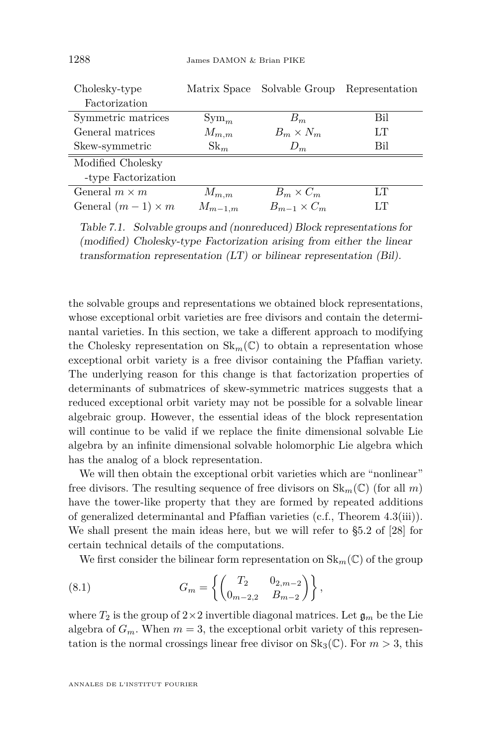<span id="page-38-0"></span>

| Cholesky-type            |                       | Matrix Space Solvable Group | Representation |  |  |
|--------------------------|-----------------------|-----------------------------|----------------|--|--|
| Factorization            |                       |                             |                |  |  |
| Symmetric matrices       | $Sym_m$               | $B_m$                       | Bil            |  |  |
| General matrices         | $M_{m,m}$             | $B_m \times N_m$            | LТ             |  |  |
| Skew-symmetric           | $\operatorname{Sk}_m$ | $D_m$                       | Bil            |  |  |
| Modified Cholesky        |                       |                             |                |  |  |
| -type Factorization      |                       |                             |                |  |  |
| General $m \times m$     | $M_{m,m}$             | $B_m \times C_m$            | LТ             |  |  |
| General $(m-1) \times m$ | $M_{m-1,m}$           | $B_{m-1} \times C_m$        | LТ             |  |  |

Table 7.1. Solvable groups and (nonreduced) Block representations for (modified) Cholesky-type Factorization arising from either the linear transformation representation (LT) or bilinear representation (Bil).

the solvable groups and representations we obtained block representations, whose exceptional orbit varieties are free divisors and contain the determinantal varieties. In this section, we take a different approach to modifying the Cholesky representation on  $\text{Sk}_m(\mathbb{C})$  to obtain a representation whose exceptional orbit variety is a free divisor containing the Pfaffian variety. The underlying reason for this change is that factorization properties of determinants of submatrices of skew-symmetric matrices suggests that a reduced exceptional orbit variety may not be possible for a solvable linear algebraic group. However, the essential ideas of the block representation will continue to be valid if we replace the finite dimensional solvable Lie algebra by an infinite dimensional solvable holomorphic Lie algebra which has the analog of a block representation.

We will then obtain the exceptional orbit varieties which are "nonlinear" free divisors. The resulting sequence of free divisors on  $\text{Sk}_m(\mathbb{C})$  (for all m) have the tower-like property that they are formed by repeated additions of generalized determinantal and Pfaffian varieties (c.f., Theorem [4.3\(](#page-20-0)iii)). We shall present the main ideas here, but we will refer to §5.2 of [\[28\]](#page-49-0) for certain technical details of the computations.

We first consider the bilinear form representation on  $\text{Sk}_m(\mathbb{C})$  of the group

(8.1) 
$$
G_m = \left\{ \begin{pmatrix} T_2 & 0_{2,m-2} \\ 0_{m-2,2} & B_{m-2} \end{pmatrix} \right\},
$$

where  $T_2$  is the group of  $2 \times 2$  invertible diagonal matrices. Let  $\mathfrak{g}_m$  be the Lie algebra of  $G_m$ . When  $m=3$ , the exceptional orbit variety of this representation is the normal crossings linear free divisor on  $\text{Sk}_3(\mathbb{C})$ . For  $m > 3$ , this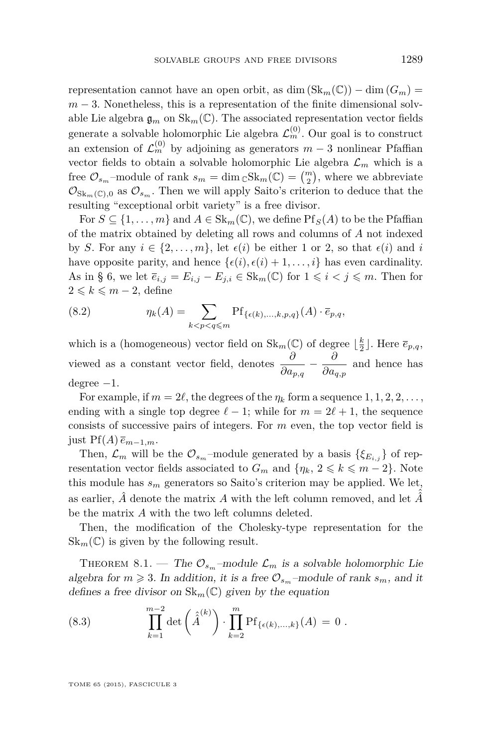<span id="page-39-0"></span>representation cannot have an open orbit, as dim  $(\text{Sk}_m(\mathbb{C})) - \dim(G_m) =$  $m-3$ . Nonetheless, this is a representation of the finite dimensional solvable Lie algebra  $\mathfrak{g}_m$  on  $\text{Sk}_m(\mathbb{C})$ . The associated representation vector fields generate a solvable holomorphic Lie algebra  $\mathcal{L}_m^{(0)}$ . Our goal is to construct an extension of  $\mathcal{L}_m^{(0)}$  by adjoining as generators  $m-3$  nonlinear Pfaffian vector fields to obtain a solvable holomorphic Lie algebra  $\mathcal{L}_m$  which is a free  $\mathcal{O}_{s_m}$ -module of rank  $s_m = \dim_{\mathbb{C}} Sk_m(\mathbb{C}) = \binom{m}{2}$ , where we abbreviate  $\mathcal{O}_{\text{Sk}_m(\mathbb{C}),0}$  as  $\mathcal{O}_{s_m}$ . Then we will apply Saito's criterion to deduce that the resulting "exceptional orbit variety" is a free divisor.

For  $S \subseteq \{1, \ldots, m\}$  and  $A \in Sk_m(\mathbb{C})$ , we define  $Pf_S(A)$  to be the Pfaffian of the matrix obtained by deleting all rows and columns of *A* not indexed by *S*. For any  $i \in \{2, \ldots, m\}$ , let  $\epsilon(i)$  be either 1 or 2, so that  $\epsilon(i)$  and *i* have opposite parity, and hence  $\{\epsilon(i), \epsilon(i) + 1, \ldots, i\}$  has even cardinality. As in § [6,](#page-27-0) we let  $\overline{e}_{i,j} = E_{i,j} - E_{j,i} \in Sk_m(\mathbb{C})$  for  $1 \leq i < j \leq m$ . Then for  $2 \leq k \leq m-2$ , define

(8.2) 
$$
\eta_k(A) = \sum_{k < p < q \leq m} \text{Pf}_{\{\epsilon(k),\dots,k,p,q\}}(A) \cdot \overline{e}_{p,q},
$$

which is a (homogeneous) vector field on  $\text{Sk}_m(\mathbb{C})$  of degree  $\lfloor \frac{k}{2} \rfloor$ . Here  $\overline{e}_{p,q}$ , viewed as a constant vector field, denotes  $\frac{\partial}{\partial a_{p,q}} - \frac{\partial}{\partial a_q}$  $\frac{\partial}{\partial a_{q,p}}$  and hence has degree  $-1$ .

For example, if  $m = 2\ell$ , the degrees of the  $\eta_k$  form a sequence  $1, 1, 2, 2, \ldots$ , ending with a single top degree  $\ell - 1$ ; while for  $m = 2\ell + 1$ , the sequence consists of successive pairs of integers. For *m* even, the top vector field is just Pf(*A*) *em*−1*,m*.

Then,  $\mathcal{L}_m$  will be the  $\mathcal{O}_{s_m}$ –module generated by a basis  $\{\xi_{E_i,j}\}\$  of representation vector fields associated to  $G_m$  and  $\{\eta_k, 2 \leq k \leq m-2\}$ . Note this module has  $s_m$  generators so Saito's criterion may be applied. We let, as earlier,  $\hat{A}$  denote the matrix  $A$  with the left column removed, and let  $\hat{A}$ be the matrix *A* with the two left columns deleted.

Then, the modification of the Cholesky-type representation for the  $\text{Sk}_m(\mathbb{C})$  is given by the following result.

THEOREM 8.1. — The  $\mathcal{O}_{s_m}$ -module  $\mathcal{L}_m$  is a solvable holomorphic Lie algebra for  $m \ge 3$ . In addition, it is a free  $\mathcal{O}_{s_m}$ -module of rank  $s_m$ , and it defines a free divisor on  $\text{Sk}_m(\mathbb{C})$  given by the equation

(8.3) 
$$
\prod_{k=1}^{m-2} \det \left( \hat{\hat{A}}^{(k)} \right) \cdot \prod_{k=2}^{m} Pf_{\{\epsilon(k),...,k\}}(A) = 0.
$$

TOME 65 (2015), FASCICULE 3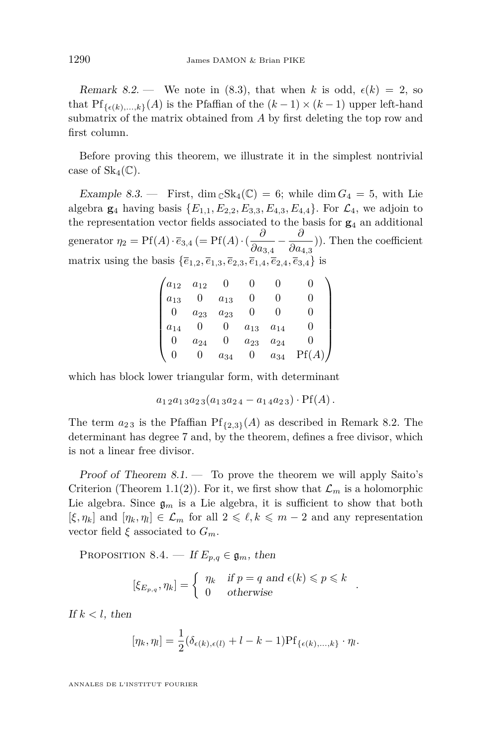Remark 8.2. — We note in  $(8.3)$ , that when k is odd,  $\epsilon(k) = 2$ , so that  $Pf_{\{\epsilon(k),...,k\}}(A)$  is the Pfaffian of the  $(k-1) \times (k-1)$  upper left-hand submatrix of the matrix obtained from *A* by first deleting the top row and first column.

Before proving this theorem, we illustrate it in the simplest nontrivial case of  $Sk_4(\mathbb{C})$ .

Example 8.3. — First, dim  $\text{cSk}_4(\mathbb{C}) = 6$ ; while dim  $G_4 = 5$ , with Lie algebra **g**<sub>4</sub> having basis  $\{E_{1,1}, E_{2,2}, E_{3,3}, E_{4,3}, E_{4,4}\}$ . For  $\mathcal{L}_4$ , we adjoin to the representation vector fields associated to the basis for **g**<sup>4</sup> an additional generator  $\eta_2 = \text{Pf}(A) \cdot \overline{e}_{3,4}$  (=  $\text{Pf}(A) \cdot (\frac{\partial}{\partial \overline{z}})$  $\frac{\partial}{\partial a_{3,4}} - \frac{\partial}{\partial a_{4}}$  $\frac{1}{\partial a_{4,3}}$ ). Then the coefficient matrix using the basis  $\{\bar{e}_{1,2}, \bar{e}_{1,3}, \bar{e}_{2,3}, \bar{e}_{1,4}, \bar{e}_{2,4}, \bar{e}_{3,4}\}$  is

| $a_{12}$ | $a_{12}$ |          |          |          |       |
|----------|----------|----------|----------|----------|-------|
| $a_{13}$ |          | $a_{13}$ |          |          |       |
|          | $a_{23}$ | $a_{23}$ |          |          |       |
| $a_{14}$ |          |          | $a_{13}$ | $a_{14}$ |       |
|          | $a_{24}$ |          | $a_{23}$ | $a_{24}$ |       |
|          |          | $a_{34}$ | 0        | $a_{34}$ | Pf(A) |

which has block lower triangular form, with determinant

$$
a_{1\,2}a_{1\,3}a_{2\,3}(a_{1\,3}a_{2\,4}-a_{1\,4}a_{2\,3})\cdot \text{Pf}(A)
$$
.

The term  $a_{23}$  is the Pfaffian  $Pf_{\{2,3\}}(A)$  as described in Remark 8.2. The determinant has degree 7 and, by the theorem, defines a free divisor, which is not a linear free divisor.

Proof of Theorem  $8.1$ . — To prove the theorem we will apply Saito's Criterion (Theorem [1.1\(](#page-5-0)2)). For it, we first show that  $\mathcal{L}_m$  is a holomorphic Lie algebra. Since  $\mathfrak{g}_m$  is a Lie algebra, it is sufficient to show that both  $[\xi, \eta_k]$  and  $[\eta_k, \eta_l] \in \mathcal{L}_m$  for all  $2 \leq \ell, k \leq m-2$  and any representation vector field  $\xi$  associated to  $G_m$ .

PROPOSITION 8.4. — If  $E_{p,q} \in \mathfrak{g}_m$ , then

$$
[\xi_{E_{p,q}}, \eta_k] = \begin{cases} \eta_k & \text{if } p = q \text{ and } \epsilon(k) \leqslant p \leqslant k \\ 0 & \text{otherwise} \end{cases}.
$$

If  $k < l$ , then

$$
[\eta_k, \eta_l] = \frac{1}{2} (\delta_{\epsilon(k), \epsilon(l)} + l - k - 1) \text{Pf}_{\{\epsilon(k), \dots, k\}} \cdot \eta_l.
$$

ANNALES DE L'INSTITUT FOURIER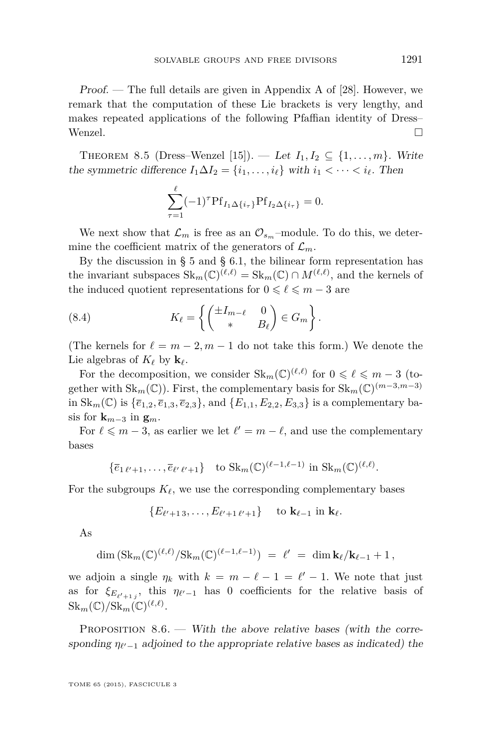<span id="page-41-0"></span>Proof. — The full details are given in Appendix A of [\[28\]](#page-49-0). However, we remark that the computation of these Lie brackets is very lengthy, and makes repeated applications of the following Pfaffian identity of Dress– Wenzel.  $\Box$ 

THEOREM 8.5 (Dress–Wenzel [\[15\]](#page-49-0)). — Let  $I_1, I_2 \subseteq \{1, ..., m\}$ . Write the symmetric difference  $I_1 \Delta I_2 = \{i_1, \ldots, i_\ell\}$  with  $i_1 < \cdots < i_\ell$ . Then

$$
\sum_{\tau=1}^{\ell} (-1)^{\tau} P f_{I_1 \Delta \{i_{\tau}\}} P f_{I_2 \Delta \{i_{\tau}\}} = 0.
$$

We next show that  $\mathcal{L}_m$  is free as an  $\mathcal{O}_{s_m}$ –module. To do this, we determine the coefficient matrix of the generators of  $\mathcal{L}_m$ .

By the discussion in § [5](#page-23-0) and § [6.1,](#page-28-0) the bilinear form representation has the invariant subspaces  $\text{Sk}_m(\mathbb{C})^{(\ell,\ell)} = \text{Sk}_m(\mathbb{C}) \cap M^{(\ell,\ell)}$ , and the kernels of the induced quotient representations for  $0 \leq \ell \leq m - 3$  are

(8.4) 
$$
K_{\ell} = \left\{ \begin{pmatrix} \pm I_{m-\ell} & 0 \\ * & B_{\ell} \end{pmatrix} \in G_m \right\}.
$$

(The kernels for  $\ell = m - 2, m - 1$  do not take this form.) We denote the Lie algebras of  $K_{\ell}$  by  $\mathbf{k}_{\ell}$ .

For the decomposition, we consider  $\operatorname{Sk}_m(\mathbb{C})^{(\ell,\ell)}$  for  $0 \leq \ell \leq m-3$  (together with  $\text{Sk}_m(\mathbb{C})$ ). First, the complementary basis for  $\text{Sk}_m(\mathbb{C})^{(m-3,m-3)}$ in  $\text{Sk}_m(\mathbb{C})$  is  $\{\bar{e}_{1,2}, \bar{e}_{1,3}, \bar{e}_{2,3}\}$ , and  $\{E_{1,1}, E_{2,2}, E_{3,3}\}$  is a complementary basis for  $\mathbf{k}_{m-3}$  in  $\mathbf{g}_m$ .

For  $\ell \leq m - 3$ , as earlier we let  $\ell' = m - \ell$ , and use the complementary bases

$$
\{\overline{e}_{1 \ell'+1}, \ldots, \overline{e}_{\ell' \ell'+1}\}\
$$
 to  $\text{Sk}_{m}(\mathbb{C})^{(\ell-1,\ell-1)}$  in  $\text{Sk}_{m}(\mathbb{C})^{(\ell,\ell)}$ .

For the subgroups  $K_{\ell}$ , we use the corresponding complementary bases

$$
{E_{\ell'+13},\ldots,E_{\ell'+1\ell'+1}}
$$
 to  $\mathbf{k}_{\ell-1}$  in  $\mathbf{k}_{\ell}$ .

As

$$
\dim\left(\text{Sk}_m(\mathbb{C})^{(\ell,\ell)}/\text{Sk}_m(\mathbb{C})^{(\ell-1,\ell-1)}\right) \;=\; \ell' \;=\; \dim\mathbf{k}_\ell/\mathbf{k}_{\ell-1}+1\,,
$$

we adjoin a single  $\eta_k$  with  $k = m - \ell - 1 = \ell' - 1$ . We note that just as for  $\xi_{E_{\ell'+1}}$ , this  $\eta_{\ell'-1}$  has 0 coefficients for the relative basis of  $\operatorname{Sk}_m(\mathbb{C})/\operatorname{Sk}_m(\mathbb{C})^{(\ell,\ell)}.$ 

PROPOSITION  $8.6.$  — With the above relative bases (with the corresponding  $\eta_{\ell'-1}$  adjoined to the appropriate relative bases as indicated) the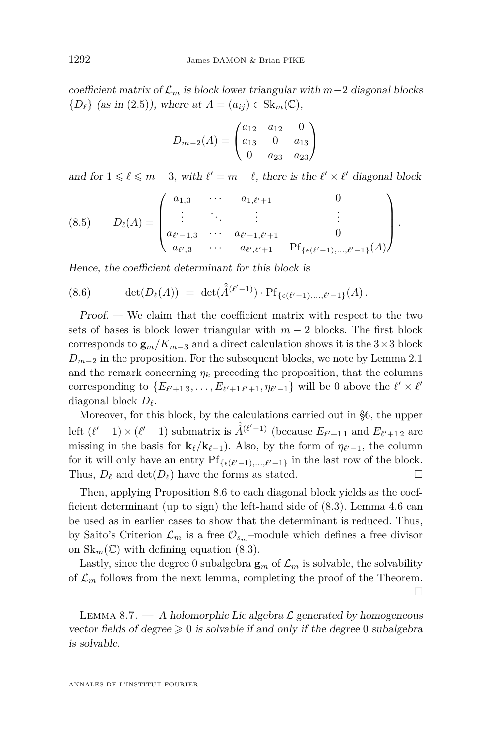coefficient matrix of L*<sup>m</sup>* is block lower triangular with *m*−2 diagonal blocks  ${D_{\ell}}$  (as in [\(2.5\)](#page-12-0)), where at  $A = (a_{ij}) \in Sk_m(\mathbb{C}),$ 

$$
D_{m-2}(A) = \begin{pmatrix} a_{12} & a_{12} & 0 \\ a_{13} & 0 & a_{13} \\ 0 & a_{23} & a_{23} \end{pmatrix}
$$

and for  $1 \leq \ell \leq m - 3$ , with  $\ell' = m - \ell$ , there is the  $\ell' \times \ell'$  diagonal block

$$
(8.5) \t D_{\ell}(A) = \begin{pmatrix} a_{1,3} & \cdots & a_{1,\ell'+1} & 0 \\ \vdots & \ddots & \vdots & \vdots \\ a_{\ell'-1,3} & \cdots & a_{\ell'-1,\ell'+1} & 0 \\ a_{\ell',3} & \cdots & a_{\ell',\ell'+1} & \mathrm{Pf}_{\{\epsilon(\ell'-1),\ldots,\ell'-1\}}(A) \end{pmatrix}.
$$

Hence, the coefficient determinant for this block is

(8.6) 
$$
\det(D_{\ell}(A)) = \det(\hat{A}^{(\ell'-1)}) \cdot \Pr_{\{\epsilon(\ell'-1),\ldots,\ell'-1\}}(A).
$$

Proof. — We claim that the coefficient matrix with respect to the two sets of bases is block lower triangular with  $m-2$  blocks. The first block corresponds to  $\mathbf{g}_m/K_{m-3}$  and a direct calculation shows it is the 3×3 block  $D_{m-2}$  in the proposition. For the subsequent blocks, we note by Lemma [2.1](#page-9-0) and the remark concerning  $\eta_k$  preceding the proposition, that the columns corresponding to  $\{E_{\ell'+1,3}, \ldots, E_{\ell'+1,\ell'+1}, \eta_{\ell'-1}\}$  will be 0 above the  $\ell' \times \ell'$ diagonal block *D`*.

Moreover, for this block, by the calculations carried out in [§6,](#page-27-0) the upper left  $(\ell' - 1) \times (\ell' - 1)$  submatrix is  $\hat{A}^{(\ell' - 1)}$  (because  $E_{\ell' + 1, 1}$  and  $E_{\ell' + 1, 2}$  are missing in the basis for  $\mathbf{k}_{\ell}/\mathbf{k}_{\ell-1}$ ). Also, by the form of  $\eta_{\ell'-1}$ , the column for it will only have an entry  $\mathrm{Pf}_{\{\epsilon(\ell'-1),\ldots,\ell'-1\}}$  in the last row of the block. Thus,  $D_{\ell}$  and  $\det(D_{\ell})$  have the forms as stated.

Then, applying Proposition [8.6](#page-41-0) to each diagonal block yields as the coefficient determinant (up to sign) the left-hand side of [\(8.3\)](#page-39-0). Lemma [4.6](#page-22-0) can be used as in earlier cases to show that the determinant is reduced. Thus, by Saito's Criterion  $\mathcal{L}_m$  is a free  $\mathcal{O}_{s_m}$ –module which defines a free divisor on  $\text{Sk}_m(\mathbb{C})$  with defining equation [\(8.3\)](#page-39-0).

Lastly, since the degree 0 subalgebra  $\mathbf{g}_m$  of  $\mathcal{L}_m$  is solvable, the solvability of  $\mathcal{L}_m$  follows from the next lemma, completing the proof of the Theorem.  $\Box$ 

LEMMA 8.7. — A holomorphic Lie algebra  $\mathcal L$  generated by homogeneous vector fields of degree  $\geq 0$  is solvable if and only if the degree 0 subalgebra is solvable.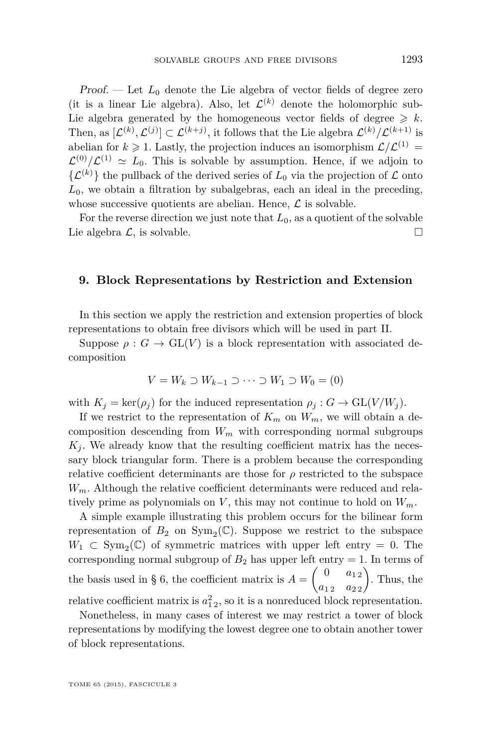<span id="page-43-0"></span>Proof. — Let  $L_0$  denote the Lie algebra of vector fields of degree zero (it is a linear Lie algebra). Also, let  $\mathcal{L}^{(k)}$  denote the holomorphic sub-Lie algebra generated by the homogeneous vector fields of degree  $\geq k$ . Then, as  $[\mathcal{L}^{(k)}, \mathcal{L}^{(j)}] \subset \mathcal{L}^{(k+j)}$ , it follows that the Lie algebra  $\mathcal{L}^{(k)}/\mathcal{L}^{(k+1)}$  is abelian for  $k \geqslant 1$ . Lastly, the projection induces an isomorphism  $\mathcal{L}/\mathcal{L}^{(1)}$  =  $\mathcal{L}^{(0)}/\mathcal{L}^{(1)} \simeq L_0$ . This is solvable by assumption. Hence, if we adjoin to  $\{\mathcal{L}^{(k)}\}\$  the pullback of the derived series of  $L_0$  via the projection of  $\mathcal L$  onto  $L_0$ , we obtain a filtration by subalgebras, each an ideal in the preceding, whose successive quotients are abelian. Hence,  $\mathcal{L}$  is solvable.

For the reverse direction we just note that  $L_0$ , as a quotient of the solvable Lie algebra  $\mathcal{L}$ , is solvable.

#### **9. Block Representations by Restriction and Extension**

In this section we apply the restriction and extension properties of block representations to obtain free divisors which will be used in part II.

Suppose  $\rho: G \to GL(V)$  is a block representation with associated decomposition

$$
V = W_k \supset W_{k-1} \supset \cdots \supset W_1 \supset W_0 = (0)
$$

with  $K_j = \text{ker}(\rho_j)$  for the induced representation  $\rho_j : G \to \text{GL}(V/W_j)$ .

If we restrict to the representation of  $K_m$  on  $W_m$ , we will obtain a decomposition descending from  $W_m$  with corresponding normal subgroups  $K_i$ . We already know that the resulting coefficient matrix has the necessary block triangular form. There is a problem because the corresponding relative coefficient determinants are those for  $\rho$  restricted to the subspace  $W_m$ . Although the relative coefficient determinants were reduced and relatively prime as polynomials on  $V$ , this may not continue to hold on  $W_m$ .

A simple example illustrating this problem occurs for the bilinear form representation of  $B_2$  on  $Sym_2(\mathbb{C})$ . Suppose we restrict to the subspace  $W_1 \subset \text{Sym}_2(\mathbb{C})$  of symmetric matrices with upper left entry = 0. The corresponding normal subgroup of  $B_2$  has upper left entry  $= 1$ . In terms of the basis used in § [6,](#page-27-0) the coefficient matrix is  $A = \begin{pmatrix} 0 & a_{12} \\ a_{12} & a_{22} \end{pmatrix}$ . Thus, the relative coefficient matrix is  $a_{12}^2$ , so it is a nonreduced block representation.

Nonetheless, in many cases of interest we may restrict a tower of block representations by modifying the lowest degree one to obtain another tower of block representations.

TOME 65 (2015), FASCICULE 3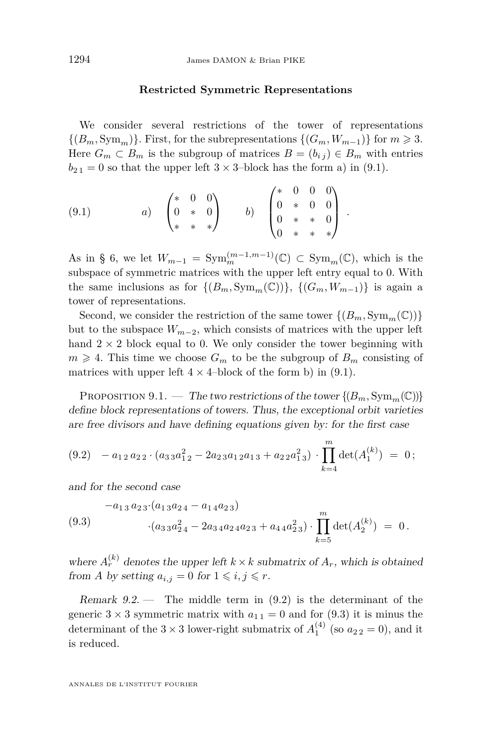#### **Restricted Symmetric Representations**

<span id="page-44-0"></span>We consider several restrictions of the tower of representations  $\{(B_m, \text{Sym}_m)\}.$  First, for the subrepresentations  $\{(G_m, W_{m-1})\}$  for  $m \geq 3$ . Here  $G_m \subset B_m$  is the subgroup of matrices  $B = (b_{i,j}) \in B_m$  with entries  $b_{21} = 0$  so that the upper left  $3 \times 3$ –block has the form a) in (9.1).

$$
(9.1) \t a) \t \begin{pmatrix} * & 0 & 0 \\ 0 & * & 0 \\ * & * & * \end{pmatrix} \t b) \t \begin{pmatrix} * & 0 & 0 & 0 \\ 0 & * & 0 & 0 \\ 0 & * & * & 0 \\ 0 & * & * & * \end{pmatrix}.
$$

As in § [6,](#page-27-0) we let  $W_{m-1} = \text{Sym}_{m}^{(m-1,m-1)}(\mathbb{C}) \subset \text{Sym}_{m}(\mathbb{C})$ , which is the subspace of symmetric matrices with the upper left entry equal to 0. With the same inclusions as for  $\{(B_m, \text{Sym}_m(\mathbb{C}))\}, \{(G_m, W_{m-1})\}$  is again a tower of representations.

Second, we consider the restriction of the same tower  $\{(B_m, \text{Sym}_m(\mathbb{C}))\}$ but to the subspace  $W_{m-2}$ , which consists of matrices with the upper left hand  $2 \times 2$  block equal to 0. We only consider the tower beginning with  $m \geq 4$ . This time we choose  $G_m$  to be the subgroup of  $B_m$  consisting of matrices with upper left  $4 \times 4$ –block of the form b) in (9.1).

PROPOSITION 9.1. — The two restrictions of the tower  $\{(\mathcal{B}_m, \mathrm{Sym}_m(\mathbb{C}))\}$ define block representations of towers. Thus, the exceptional orbit varieties are free divisors and have defining equations given by: for the first case

$$
(9.2) \quad -a_{12} a_{22} \cdot (a_{33} a_{12}^2 - 2a_{23} a_{12} a_{13} + a_{22} a_{13}^2) \cdot \prod_{k=4}^m \det(A_1^{(k)}) = 0;
$$

and for the second case

$$
(9.3) \t-a_{13} a_{23} \cdot (a_{13} a_{24} - a_{14} a_{23})
$$
  

$$
(a_{33} a_{24}^2 - 2a_{34} a_{24} a_{23} + a_{44} a_{23}^2) \cdot \prod_{k=5}^{m} \det(A_2^{(k)}) = 0.
$$

where  $A_r^{(k)}$  denotes the upper left  $k \times k$  submatrix of  $A_r$ , which is obtained from *A* by setting  $a_{i,j} = 0$  for  $1 \leq i, j \leq r$ .

Remark  $9.2.$  — The middle term in  $(9.2)$  is the determinant of the generic  $3 \times 3$  symmetric matrix with  $a_{1,1} = 0$  and for (9.3) it is minus the determinant of the  $3 \times 3$  lower-right submatrix of  $A_1^{(4)}$  (so  $a_{2,2} = 0$ ), and it is reduced.

ANNALES DE L'INSTITUT FOURIER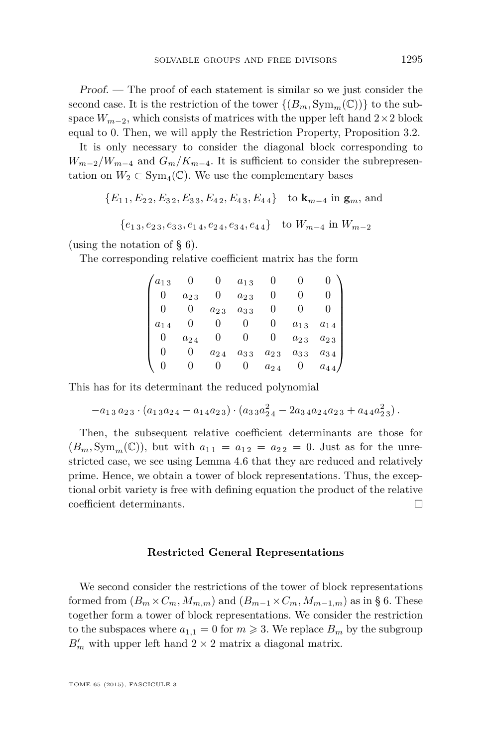Proof. — The proof of each statement is similar so we just consider the second case. It is the restriction of the tower  $\{(B_m, \text{Sym}_m(\mathbb{C}))\}$  to the subspace  $W_{m-2}$ , which consists of matrices with the upper left hand  $2\times 2$  block equal to 0. Then, we will apply the Restriction Property, Proposition [3.2.](#page-17-0)

It is only necessary to consider the diagonal block corresponding to  $W_{m-2}/W_{m-4}$  and  $G_m/K_{m-4}$ . It is sufficient to consider the subrepresentation on  $W_2 \subset \text{Sym}_4(\mathbb{C})$ . We use the complementary bases

$$
\{E_{11}, E_{22}, E_{32}, E_{33}, E_{42}, E_{43}, E_{44}\} \text{ to } \mathbf{k}_{m-4} \text{ in } \mathbf{g}_m, \text{ and}
$$

$$
\{e_{13}, e_{23}, e_{33}, e_{14}, e_{24}, e_{34}, e_{44}\} \text{ to } W_{m-4} \text{ in } W_{m-2}
$$

(using the notation of § [6\)](#page-27-0).

The corresponding relative coefficient matrix has the form

| $a_{\rm 1\,3}$ |          |          | $a_{13}$ |            |                |            |
|----------------|----------|----------|----------|------------|----------------|------------|
|                | $a_{23}$ |          | $a_{23}$ |            |                |            |
|                |          | $a_{23}$ | $a_{33}$ |            |                |            |
| $a_{14}$       |          |          |          | U          | $a_{\rm 1\,3}$ | $a_{14}$   |
| O              | $a_{24}$ |          |          |            | $a_{2\,3}$     | $a_{23}$   |
|                |          | $a_{24}$ | $a_{33}$ | $a_{2\,3}$ | $a_{33}$       | $a_{3\,4}$ |
|                |          |          |          | $a_{24}$   |                | $a_{4\,4}$ |

This has for its determinant the reduced polynomial

$$
-a_{13}a_{23}\cdot\left(a_{13}a_{24}-a_{14}a_{23}\right)\cdot\left(a_{33}a_{24}^{2}-2a_{34}a_{24}a_{23}+a_{44}a_{23}^{2}\right).
$$

Then, the subsequent relative coefficient determinants are those for  $(B_m, \text{Sym}_m(\mathbb{C}))$ , but with  $a_{11} = a_{12} = a_{22} = 0$ . Just as for the unrestricted case, we see using Lemma [4.6](#page-22-0) that they are reduced and relatively prime. Hence, we obtain a tower of block representations. Thus, the exceptional orbit variety is free with defining equation the product of the relative coefficient determinants.  $\hfill \square$ 

#### **Restricted General Representations**

We second consider the restrictions of the tower of block representations formed from  $(B_m \times C_m, M_{m,m})$  and  $(B_{m-1} \times C_m, M_{m-1,m})$  as in § [6.](#page-27-0) These together form a tower of block representations. We consider the restriction to the subspaces where  $a_{1,1} = 0$  for  $m \ge 3$ . We replace  $B_m$  by the subgroup  $B'_m$  with upper left hand  $2\times 2$  matrix a diagonal matrix.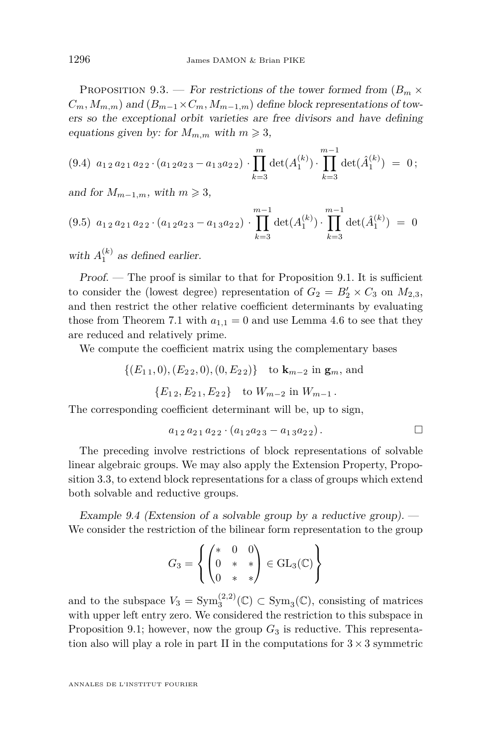PROPOSITION 9.3. — For restrictions of the tower formed from  $(B_m \times$  $C_m$ ,  $M_{m,m}$ ) and  $(B_{m-1} \times C_m, M_{m-1,m})$  define block representations of towers so the exceptional orbit varieties are free divisors and have defining equations given by: for  $M_{m,m}$  with  $m \geq 3$ ,

$$
(9.4) \ \ a_{1\,2}\,a_{2\,1}\,a_{2\,2}\cdot(a_{1\,2}\,a_{2\,3}-a_{1\,3}\,a_{2\,2})\cdot\prod_{k=3}^{m}\det(A_1^{(k)})\cdot\prod_{k=3}^{m-1}\det(\hat{A}_1^{(k)})\ =\ 0\,;
$$

and for  $M_{m-1,m}$ , with  $m \geqslant 3$ ,

$$
(9.5) \ \ a_{1\,2}\,a_{2\,1}\,a_{2\,2}\cdot(a_{1\,2}\,a_{2\,3}-a_{1\,3}\,a_{2\,2})\cdot\prod_{k=3}^{m-1}\det(A_1^{(k)})\cdot\prod_{k=3}^{m-1}\det(\hat{A}_1^{(k)})\ =\ 0
$$

with  $A_1^{(k)}$  as defined earlier.

Proof. — The proof is similar to that for Proposition [9.1.](#page-44-0) It is sufficient to consider the (lowest degree) representation of  $G_2 = B'_2 \times C_3$  on  $M_{2,3}$ , and then restrict the other relative coefficient determinants by evaluating those from Theorem [7.1](#page-35-0) with  $a_{1,1} = 0$  and use Lemma [4.6](#page-22-0) to see that they are reduced and relatively prime.

We compute the coefficient matrix using the complementary bases

$$
\{(E_{1,1},0), (E_{2,2},0), (0, E_{2,2})\} \text{ to } \mathbf{k}_{m-2} \text{ in } \mathbf{g}_m, \text{ and}
$$

$$
\{E_{1,2}, E_{2,1}, E_{2,2}\} \text{ to } W_{m-2} \text{ in } W_{m-1}.
$$

The corresponding coefficient determinant will be, up to sign,

$$
a_{1\,2}\,a_{2\,1}\,a_{2\,2}\cdot\left(a_{1\,2}a_{2\,3}-a_{1\,3}a_{2\,2}\right).
$$

The preceding involve restrictions of block representations of solvable linear algebraic groups. We may also apply the Extension Property, Proposition [3.3,](#page-18-0) to extend block representations for a class of groups which extend both solvable and reductive groups.

Example 9.4 (Extension of a solvable group by a reductive group).  $-$ We consider the restriction of the bilinear form representation to the group

$$
G_3 = \left\{ \begin{pmatrix} * & 0 & 0 \\ 0 & * & * \\ 0 & * & * \end{pmatrix} \in \text{GL}_3(\mathbb{C}) \right\}
$$

and to the subspace  $V_3 = \text{Sym}_3^{(2,2)}(\mathbb{C}) \subset \text{Sym}_3(\mathbb{C})$ , consisting of matrices with upper left entry zero. We considered the restriction to this subspace in Proposition [9.1;](#page-44-0) however, now the group  $G_3$  is reductive. This representation also will play a role in part II in the computations for  $3 \times 3$  symmetric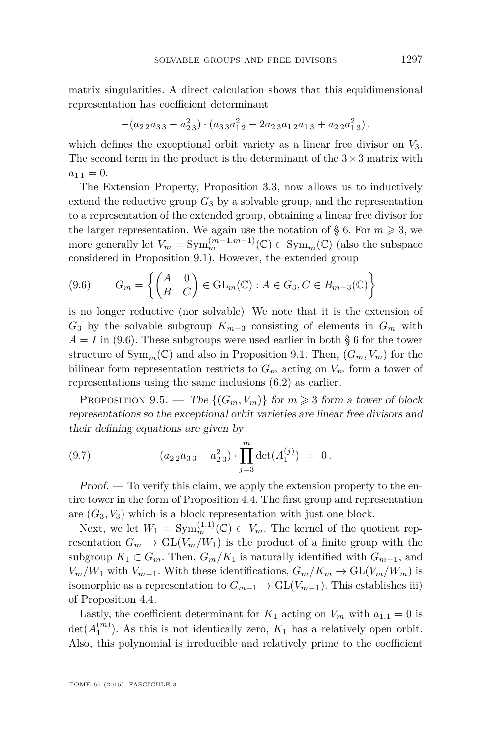matrix singularities. A direct calculation shows that this equidimensional representation has coefficient determinant

$$
-(a_{2\,2}a_{3\,3}-a_{2\,3}^2)\cdot(a_{3\,3}a_{1\,2}^2-2a_{2\,3}a_{1\,2}a_{1\,3}+a_{2\,2}a_{1\,3}^2),
$$

which defines the exceptional orbit variety as a linear free divisor on *V*3. The second term in the product is the determinant of the  $3\times 3$  matrix with  $a_{1,1} = 0.$ 

The Extension Property, Proposition [3.3,](#page-18-0) now allows us to inductively extend the reductive group  $G_3$  by a solvable group, and the representation to a representation of the extended group, obtaining a linear free divisor for the larger representation. We again use the notation of  $\S 6$ . For  $m \geq 3$ , we more generally let  $V_m = \text{Sym}_m^{(m-1,m-1)}(\mathbb{C}) \subset \text{Sym}_m(\mathbb{C})$  (also the subspace considered in Proposition [9.1\)](#page-44-0). However, the extended group

$$
(9.6) \qquad G_m = \left\{ \begin{pmatrix} A & 0 \\ B & C \end{pmatrix} \in \mathrm{GL}_m(\mathbb{C}) : A \in G_3, C \in B_{m-3}(\mathbb{C}) \right\}
$$

is no longer reductive (nor solvable). We note that it is the extension of  $G_3$  by the solvable subgroup  $K_{m-3}$  consisting of elements in  $G_m$  with  $A = I$  in (9.[6](#page-27-0)). These subgroups were used earlier in both § 6 for the tower structure of  $Sym_m(\mathbb{C})$  and also in Proposition [9.1.](#page-44-0) Then,  $(G_m, V_m)$  for the bilinear form representation restricts to  $G_m$  acting on  $V_m$  form a tower of representations using the same inclusions [\(6.2\)](#page-29-0) as earlier.

PROPOSITION 9.5. — The  $\{(G_m, V_m)\}\)$  for  $m \geq 3$  form a tower of block representations so the exceptional orbit varieties are linear free divisors and their defining equations are given by

(9.7) 
$$
(a_{2\,2}a_{3\,3}-a_{2\,3}^2)\cdot \prod_{j=3}^m \det(A_1^{(j)}) = 0.
$$

Proof. — To verify this claim, we apply the extension property to the entire tower in the form of Proposition [4.4.](#page-21-0) The first group and representation are  $(G_3, V_3)$  which is a block representation with just one block.

Next, we let  $W_1 = \text{Sym}_m^{(1,1)}(\mathbb{C}) \subset V_m$ . The kernel of the quotient representation  $G_m \to GL(V_m/W_1)$  is the product of a finite group with the subgroup  $K_1 \subset G_m$ . Then,  $G_m/K_1$  is naturally identified with  $G_{m-1}$ , and  $V_m/W_1$  with  $V_{m-1}$ . With these identifications,  $G_m/K_m \to GL(V_m/W_m)$  is isomorphic as a representation to  $G_{m-1} \to GL(V_{m-1})$ . This establishes iii) of Proposition [4.4.](#page-21-0)

Lastly, the coefficient determinant for  $K_1$  acting on  $V_m$  with  $a_{1,1} = 0$  is  $\det(A_1^{(m)})$ . As this is not identically zero,  $K_1$  has a relatively open orbit. Also, this polynomial is irreducible and relatively prime to the coefficient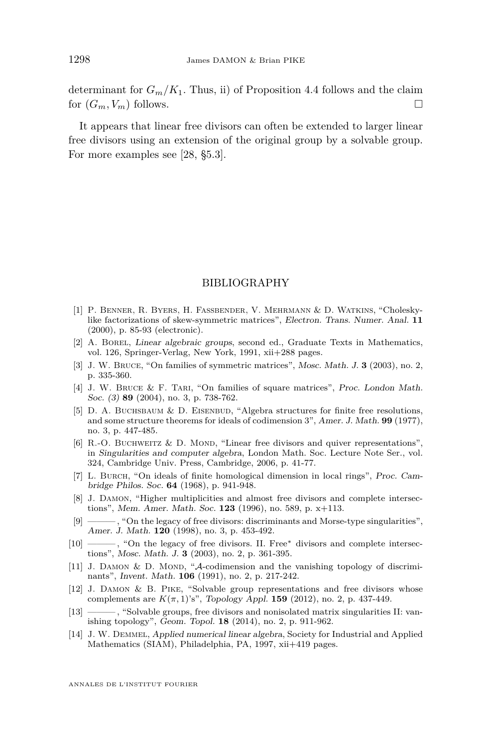<span id="page-48-0"></span>determinant for  $G_m/K_1$ . Thus, ii) of Proposition [4.4](#page-21-0) follows and the claim for  $(G_m, V_m)$  follows.

It appears that linear free divisors can often be extended to larger linear free divisors using an extension of the original group by a solvable group. For more examples see [\[28,](#page-49-0) §5.3].

#### BIBLIOGRAPHY

- [1] P. Benner, R. Byers, H. Fassbender, V. Mehrmann & D. Watkins, "Choleskylike factorizations of skew-symmetric matrices", Electron. Trans. Numer. Anal. **11** (2000), p. 85-93 (electronic).
- [2] A. Borel, Linear algebraic groups, second ed., Graduate Texts in Mathematics, vol. 126, Springer-Verlag, New York, 1991, xii+288 pages.
- [3] J. W. Bruce, "On families of symmetric matrices", Mosc. Math. J. **3** (2003), no. 2, p. 335-360.
- [4] J. W. Bruce & F. Tari, "On families of square matrices", Proc. London Math. Soc. (3) **89** (2004), no. 3, p. 738-762.
- [5] D. A. BUCHSBAUM & D. EISENBUD, "Algebra structures for finite free resolutions, and some structure theorems for ideals of codimension 3", Amer. J. Math. **99** (1977), no. 3, p. 447-485.
- [6] R.-O. BUCHWEITZ  $&$  D. MOND, "Linear free divisors and quiver representations" in Singularities and computer algebra, London Math. Soc. Lecture Note Ser., vol. 324, Cambridge Univ. Press, Cambridge, 2006, p. 41-77.
- [7] L. Burch, "On ideals of finite homological dimension in local rings", Proc. Cambridge Philos. Soc. **64** (1968), p. 941-948.
- [8] J. Damon, "Higher multiplicities and almost free divisors and complete intersections", Mem. Amer. Math. Soc. **123** (1996), no. 589, p. x+113.
- [9] ——— , "On the legacy of free divisors: discriminants and Morse-type singularities", Amer. J. Math. **120** (1998), no. 3, p. 453-492.
- [10] ——— , "On the legacy of free divisors. II. Free<sup>∗</sup> divisors and complete intersections", Mosc. Math. J. **3** (2003), no. 2, p. 361-395.
- [11] J. DAMON & D. MOND, "A-codimension and the vanishing topology of discriminants", Invent. Math. **106** (1991), no. 2, p. 217-242.
- [12] J. Damon & B. Pike, "Solvable group representations and free divisors whose complements are  $K(\pi, 1)$ 's", Topology Appl. **159** (2012), no. 2, p. 437-449.
- [13] ——— , "Solvable groups, free divisors and nonisolated matrix singularities II: vanishing topology", Geom. Topol. **18** (2014), no. 2, p. 911-962.
- [14] J. W. Demmel, Applied numerical linear algebra, Society for Industrial and Applied Mathematics (SIAM), Philadelphia, PA, 1997, xii+419 pages.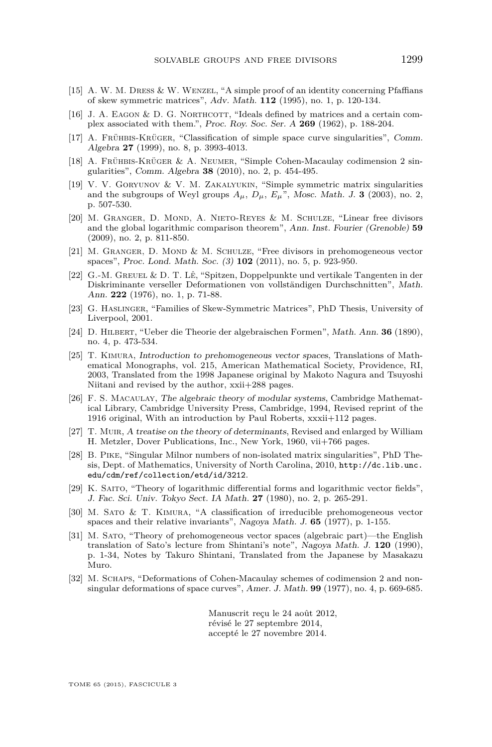- <span id="page-49-0"></span>[15] A. W. M. Dress & W. Wenzel, "A simple proof of an identity concerning Pfaffians of skew symmetric matrices", Adv. Math. **112** (1995), no. 1, p. 120-134.
- [16] J. A. EAGON  $&$  D. G. NORTHCOTT, "Ideals defined by matrices and a certain complex associated with them.", Proc. Roy. Soc. Ser. A **269** (1962), p. 188-204.
- [17] A. Frühbis-Krüger, "Classification of simple space curve singularities", Comm. Algebra **27** (1999), no. 8, p. 3993-4013.
- [18] A. Frühbis-Krüger & A. Neumer, "Simple Cohen-Macaulay codimension 2 singularities", Comm. Algebra **38** (2010), no. 2, p. 454-495.
- [19] V. V. Goryunov & V. M. Zakalyukin, "Simple symmetric matrix singularities and the subgroups of Weyl groups *Aµ*, *Dµ*, *Eµ*", Mosc. Math. J. **3** (2003), no. 2, p. 507-530.
- [20] M. Granger, D. Mond, A. Nieto-Reyes & M. Schulze, "Linear free divisors and the global logarithmic comparison theorem", Ann. Inst. Fourier (Grenoble) **59** (2009), no. 2, p. 811-850.
- [21] M. Granger, D. Mond & M. Schulze, "Free divisors in prehomogeneous vector spaces", Proc. Lond. Math. Soc. (3) **102** (2011), no. 5, p. 923-950.
- [22] G.-M. Greuel & D. T. Lê, "Spitzen, Doppelpunkte und vertikale Tangenten in der Diskriminante verseller Deformationen von vollständigen Durchschnitten", Math. Ann. **222** (1976), no. 1, p. 71-88.
- [23] G. Haslinger, "Families of Skew-Symmetric Matrices", PhD Thesis, University of Liverpool, 2001.
- [24] D. Hilbert, "Ueber die Theorie der algebraischen Formen", Math. Ann. **36** (1890), no. 4, p. 473-534.
- [25] T. Kimura, Introduction to prehomogeneous vector spaces, Translations of Mathematical Monographs, vol. 215, American Mathematical Society, Providence, RI, 2003, Translated from the 1998 Japanese original by Makoto Nagura and Tsuyoshi Niitani and revised by the author, xxii+288 pages.
- [26] F. S. Macaulay, The algebraic theory of modular systems, Cambridge Mathematical Library, Cambridge University Press, Cambridge, 1994, Revised reprint of the 1916 original, With an introduction by Paul Roberts, xxxii+112 pages.
- [27] T. Muir, A treatise on the theory of determinants, Revised and enlarged by William H. Metzler, Dover Publications, Inc., New York, 1960, vii+766 pages.
- [28] B. Pike, "Singular Milnor numbers of non-isolated matrix singularities", PhD Thesis, Dept. of Mathematics, University of North Carolina, 2010, [http://dc.lib.unc.](http://dc.lib.unc.edu/cdm/ref/collection/etd/id/3212) [edu/cdm/ref/collection/etd/id/3212](http://dc.lib.unc.edu/cdm/ref/collection/etd/id/3212).
- [29] K. Saito, "Theory of logarithmic differential forms and logarithmic vector fields", J. Fac. Sci. Univ. Tokyo Sect. IA Math. **27** (1980), no. 2, p. 265-291.
- [30] M. Sato & T. Kimura, "A classification of irreducible prehomogeneous vector spaces and their relative invariants", Nagoya Math. J. **65** (1977), p. 1-155.
- [31] M. Sato, "Theory of prehomogeneous vector spaces (algebraic part)—the English translation of Sato's lecture from Shintani's note", Nagoya Math. J. **120** (1990), p. 1-34, Notes by Takuro Shintani, Translated from the Japanese by Masakazu Muro.
- [32] M. SCHAPS, "Deformations of Cohen-Macaulay schemes of codimension 2 and nonsingular deformations of space curves", Amer. J. Math. **99** (1977), no. 4, p. 669-685.

Manuscrit reçu le 24 août 2012, révisé le 27 septembre 2014, accepté le 27 novembre 2014.